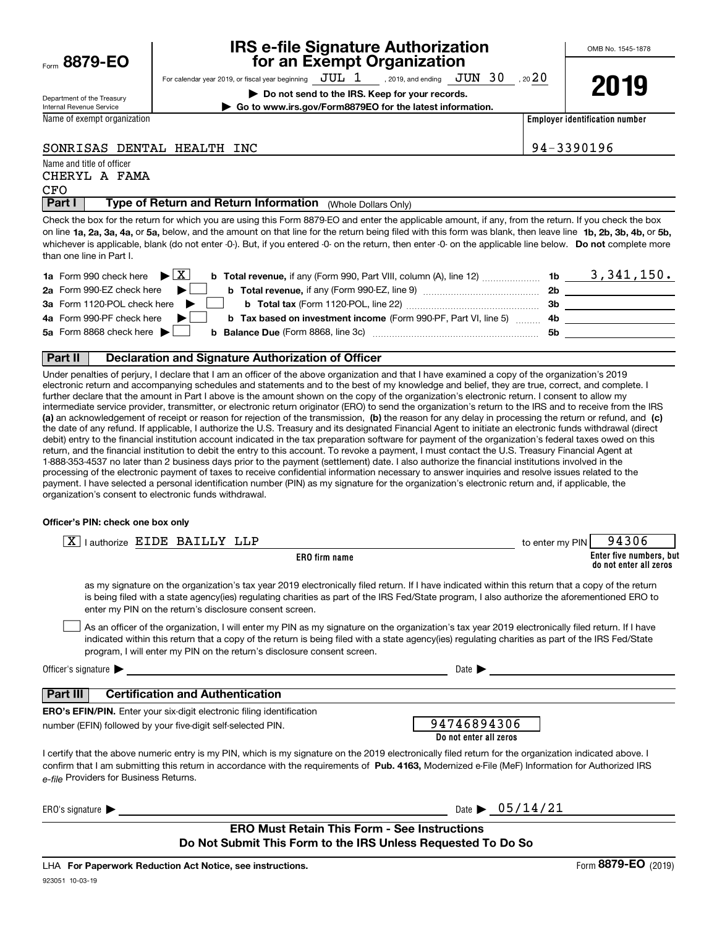| Form | 8879-EO |  |
|------|---------|--|
|      |         |  |

### **IRS e-file Signature Authorization for an Exempt Organization**

For calendar year 2019, or fiscal year beginning  $\rm\,JUL~$   $1$   $\rm\,$  , 2019, and ending  $\rm\,JUN~$   $30$   $\rm\,$  , 20  $20$ 

**| Do not send to the IRS. Keep for your records. | Go to www.irs.gov/Form8879EO for the latest information.** **2019**

Department of the Treasury Internal Revenue Service

Name of exempt organization

**Employer identification number**

#### SONRISAS DENTAL HEALTH INC 94-3390196

Name and title of officer

#### CFO CHERYL A FAMA

**Part I** | Type of Return and Return Information (Whole Dollars Only)

on line **1a, 2a, 3a, 4a,** or **5a,** below, and the amount on that line for the return being filed with this form was blank, then leave line **1b, 2b, 3b, 4b,** or **5b,** whichever is applicable, blank (do not enter -0-). But, if you entered -0- on the return, then enter -0- on the applicable line below. **Do not** complete more Check the box for the return for which you are using this Form 8879-EO and enter the applicable amount, if any, from the return. If you check the box than one line in Part I.

| <b>1a</b> Form 990 check here $\blacktriangleright \begin{bmatrix} X \end{bmatrix}$                                                            | 1b  | 3,341,150. |
|------------------------------------------------------------------------------------------------------------------------------------------------|-----|------------|
| 2a Form 990-EZ check here $\blacktriangleright$<br><b>b</b> Total revenue, if any (Form 990-EZ, line 9)                                        | 2b  |            |
| 3a Form 1120-POL check here $\blacktriangleright$                                                                                              | 3b  |            |
| 4a Form 990-PF check here $\blacktriangleright$<br><b>b</b> Tax based on investment income (Form 990-PF, Part VI, line 5) 4b                   |     |            |
| 5a Form 8868 check here $\blacktriangleright$<br><b>b Balance Due</b> (Form 8868, line 3c) <b>Constanting Balance Due</b> (Form 8868, line 3c) | .5b |            |
|                                                                                                                                                |     |            |

#### **Part II Declaration and Signature Authorization of Officer**

**(a)** an acknowledgement of receipt or reason for rejection of the transmission, (b) the reason for any delay in processing the return or refund, and (c) Under penalties of perjury, I declare that I am an officer of the above organization and that I have examined a copy of the organization's 2019 electronic return and accompanying schedules and statements and to the best of my knowledge and belief, they are true, correct, and complete. I further declare that the amount in Part I above is the amount shown on the copy of the organization's electronic return. I consent to allow my intermediate service provider, transmitter, or electronic return originator (ERO) to send the organization's return to the IRS and to receive from the IRS the date of any refund. If applicable, I authorize the U.S. Treasury and its designated Financial Agent to initiate an electronic funds withdrawal (direct debit) entry to the financial institution account indicated in the tax preparation software for payment of the organization's federal taxes owed on this return, and the financial institution to debit the entry to this account. To revoke a payment, I must contact the U.S. Treasury Financial Agent at 1-888-353-4537 no later than 2 business days prior to the payment (settlement) date. I also authorize the financial institutions involved in the processing of the electronic payment of taxes to receive confidential information necessary to answer inquiries and resolve issues related to the payment. I have selected a personal identification number (PIN) as my signature for the organization's electronic return and, if applicable, the organization's consent to electronic funds withdrawal.

#### **Officer's PIN: check one box only**

| $\boxed{\text{X}}$   authorize EIDE BAILLY LLP                                                                                                                                                                                                                                                                                                                                   | to enter my PIN | 94306                                             |
|----------------------------------------------------------------------------------------------------------------------------------------------------------------------------------------------------------------------------------------------------------------------------------------------------------------------------------------------------------------------------------|-----------------|---------------------------------------------------|
| <b>ERO</b> firm name                                                                                                                                                                                                                                                                                                                                                             |                 | Enter five numbers, but<br>do not enter all zeros |
| as my signature on the organization's tax year 2019 electronically filed return. If I have indicated within this return that a copy of the return<br>is being filed with a state agency(ies) regulating charities as part of the IRS Fed/State program, I also authorize the aforementioned ERO to<br>enter my PIN on the return's disclosure consent screen.                    |                 |                                                   |
| As an officer of the organization, I will enter my PIN as my signature on the organization's tax year 2019 electronically filed return. If I have<br>indicated within this return that a copy of the return is being filed with a state agency(ies) regulating charities as part of the IRS Fed/State<br>program, I will enter my PIN on the return's disclosure consent screen. |                 |                                                   |
| Officer's signature $\blacktriangleright$<br>Date $\blacktriangleright$                                                                                                                                                                                                                                                                                                          |                 |                                                   |
| Part III<br><b>Certification and Authentication</b>                                                                                                                                                                                                                                                                                                                              |                 |                                                   |
| <b>ERO's EFIN/PIN.</b> Enter your six-digit electronic filing identification<br>94746894306<br>number (EFIN) followed by your five-digit self-selected PIN.<br>Do not enter all zeros                                                                                                                                                                                            |                 |                                                   |
| I certify that the above numeric entry is my PIN, which is my signature on the 2019 electronically filed return for the organization indicated above. I<br>confirm that I am submitting this return in accordance with the requirements of Pub. 4163, Modernized e-File (MeF) Information for Authorized IRS<br>e-file Providers for Business Returns.                           |                 |                                                   |
| Date $\triangleright$ 05/14/21<br>ERO's signature $\blacktriangleright$                                                                                                                                                                                                                                                                                                          |                 |                                                   |
| <b>ERO Must Retain This Form - See Instructions</b><br>Do Not Submit This Form to the IRS Unless Requested To Do So                                                                                                                                                                                                                                                              |                 |                                                   |

923051 10-03-19 LHA For Paperwork Reduction Act Notice, see instructions.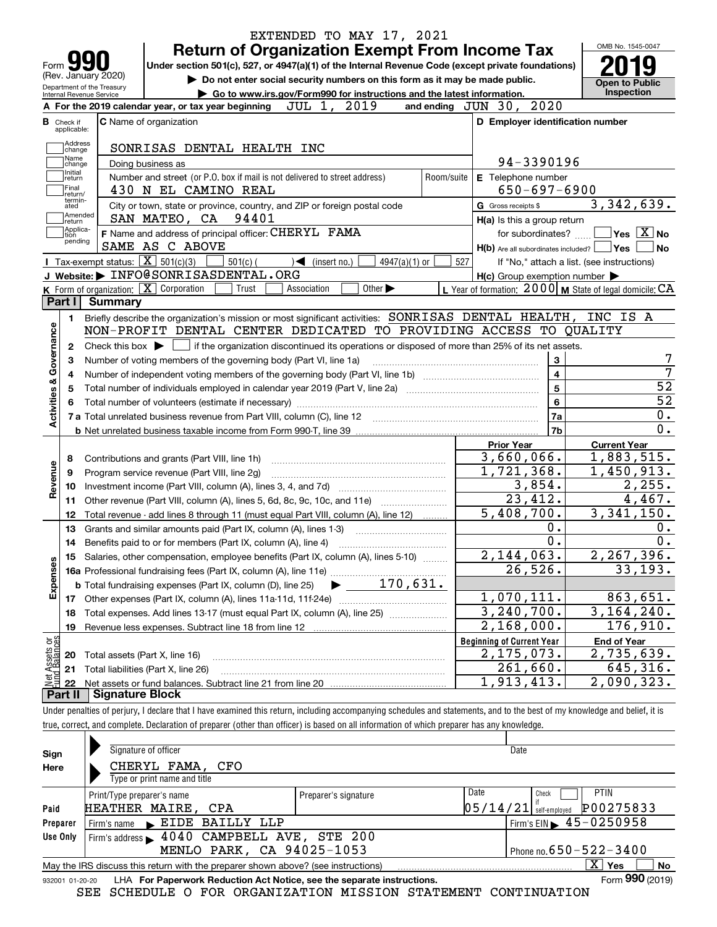|                                                 | Form yy                                                | <b>Return of Organization Exempt From Income Tax</b><br>Under section 501(c), 527, or 4947(a)(1) of the Internal Revenue Code (except private foundations) |                                                             | OMB No. 1545-0047                                                                                                                                                                            |
|-------------------------------------------------|--------------------------------------------------------|------------------------------------------------------------------------------------------------------------------------------------------------------------|-------------------------------------------------------------|----------------------------------------------------------------------------------------------------------------------------------------------------------------------------------------------|
|                                                 | (Rev. January 2020)                                    | Do not enter social security numbers on this form as it may be made public.                                                                                |                                                             |                                                                                                                                                                                              |
|                                                 | Department of the Treasury<br>Internal Revenue Service | Go to www.irs.gov/Form990 for instructions and the latest information.                                                                                     |                                                             | <b>Open to Public</b><br>Inspection                                                                                                                                                          |
|                                                 |                                                        | 2019<br>JUL 1,<br>A For the 2019 calendar year, or tax year beginning                                                                                      | 2020<br>and ending $JUN$ 30,                                |                                                                                                                                                                                              |
|                                                 | <b>B</b> Check if<br>applicable:                       | <b>C</b> Name of organization                                                                                                                              | D Employer identification number                            |                                                                                                                                                                                              |
|                                                 | Address<br>change                                      | SONRISAS DENTAL HEALTH INC                                                                                                                                 |                                                             |                                                                                                                                                                                              |
|                                                 | Name<br>change                                         | Doing business as                                                                                                                                          | 94-3390196                                                  |                                                                                                                                                                                              |
|                                                 | Initial<br>return<br>Final<br>return/                  | Number and street (or P.O. box if mail is not delivered to street address)<br>Room/suite<br>430 N EL CAMINO REAL                                           | E Telephone number<br>$650 - 697 - 6900$                    |                                                                                                                                                                                              |
|                                                 | termin-<br>ated                                        | City or town, state or province, country, and ZIP or foreign postal code                                                                                   | G Gross receipts \$                                         | 3,342,639.                                                                                                                                                                                   |
|                                                 | Amended<br>return]                                     | SAN MATEO, CA 94401                                                                                                                                        | H(a) Is this a group return                                 |                                                                                                                                                                                              |
|                                                 | Applica-<br> tion                                      | F Name and address of principal officer: CHERYL FAMA                                                                                                       | for subordinates?                                           | $ {\mathsf Y}{\mathsf e}{\mathsf s} \:\:   \overline{{\rm X}}  $ No                                                                                                                          |
|                                                 | pending                                                | SAME AS C ABOVE                                                                                                                                            | $H(b)$ Are all subordinates included? $\Box$ Yes            | No                                                                                                                                                                                           |
|                                                 | Tax-exempt status: $\boxed{\mathbf{X}}$ 501(c)(3)      | $501(c)$ (<br>$)\blacktriangleleft$ (insert no.)<br>$4947(a)(1)$ or                                                                                        | 527<br>If "No," attach a list. (see instructions)           |                                                                                                                                                                                              |
|                                                 |                                                        | J Website: FINFO@SONRISASDENTAL.ORG                                                                                                                        | $H(c)$ Group exemption number $\blacktriangleright$         |                                                                                                                                                                                              |
|                                                 | $K$ Form of organization: $\boxed{X}$ Corporation      | Other $\blacktriangleright$<br>Trust<br>Association                                                                                                        | L Year of formation: $2000$ M State of legal domicile: $CA$ |                                                                                                                                                                                              |
|                                                 | Part I<br><b>Summary</b>                               |                                                                                                                                                            |                                                             |                                                                                                                                                                                              |
|                                                 | 1.                                                     | Briefly describe the organization's mission or most significant activities: SONRISAS DENTAL HEALTH,                                                        |                                                             | INC IS A                                                                                                                                                                                     |
|                                                 |                                                        | NON-PROFIT DENTAL CENTER DEDICATED TO PROVIDING ACCESS TO QUALITY                                                                                          |                                                             |                                                                                                                                                                                              |
|                                                 | 2                                                      | Check this box $\blacktriangleright$ $\Box$ if the organization discontinued its operations or disposed of more than 25% of its net assets.                |                                                             |                                                                                                                                                                                              |
|                                                 | з                                                      | Number of voting members of the governing body (Part VI, line 1a)                                                                                          | 3                                                           |                                                                                                                                                                                              |
|                                                 | 4                                                      |                                                                                                                                                            | $\overline{4}$                                              |                                                                                                                                                                                              |
| Activities & Governance                         | 5                                                      |                                                                                                                                                            | $5\phantom{.0}$                                             | $\overline{52}$                                                                                                                                                                              |
|                                                 |                                                        |                                                                                                                                                            | 6                                                           | $\overline{52}$                                                                                                                                                                              |
|                                                 |                                                        |                                                                                                                                                            | 7a                                                          | 0.                                                                                                                                                                                           |
|                                                 |                                                        |                                                                                                                                                            | 7b                                                          | 0.                                                                                                                                                                                           |
|                                                 |                                                        |                                                                                                                                                            |                                                             |                                                                                                                                                                                              |
|                                                 | 8                                                      |                                                                                                                                                            | <b>Prior Year</b>                                           | <b>Current Year</b>                                                                                                                                                                          |
|                                                 | 9                                                      |                                                                                                                                                            | 3,660,066.                                                  |                                                                                                                                                                                              |
|                                                 | 10                                                     | Contributions and grants (Part VIII, line 1h)                                                                                                              |                                                             |                                                                                                                                                                                              |
|                                                 |                                                        | Program service revenue (Part VIII, line 2g)                                                                                                               | 1,721,368.                                                  |                                                                                                                                                                                              |
|                                                 |                                                        |                                                                                                                                                            | 3,854.                                                      |                                                                                                                                                                                              |
|                                                 | 11                                                     | Other revenue (Part VIII, column (A), lines 5, 6d, 8c, 9c, 10c, and 11e)                                                                                   | 23,412.                                                     |                                                                                                                                                                                              |
|                                                 | 12                                                     | Total revenue - add lines 8 through 11 (must equal Part VIII, column (A), line 12)                                                                         | 5,408,700.                                                  |                                                                                                                                                                                              |
|                                                 | 13                                                     | Grants and similar amounts paid (Part IX, column (A), lines 1-3)                                                                                           | 0.                                                          |                                                                                                                                                                                              |
|                                                 |                                                        |                                                                                                                                                            | 0.                                                          |                                                                                                                                                                                              |
|                                                 |                                                        | 15 Salaries, other compensation, employee benefits (Part IX, column (A), lines 5-10)                                                                       | 2,144,063.                                                  |                                                                                                                                                                                              |
|                                                 |                                                        |                                                                                                                                                            | 26,526.                                                     |                                                                                                                                                                                              |
|                                                 |                                                        | 170,631.<br><b>b</b> Total fundraising expenses (Part IX, column (D), line 25)                                                                             |                                                             |                                                                                                                                                                                              |
|                                                 | 17                                                     |                                                                                                                                                            | 1,070,111.                                                  |                                                                                                                                                                                              |
|                                                 | 18                                                     | Total expenses. Add lines 13-17 (must equal Part IX, column (A), line 25)                                                                                  | 3,240,700.                                                  |                                                                                                                                                                                              |
|                                                 | 19                                                     | Revenue less expenses. Subtract line 18 from line 12                                                                                                       | $\overline{2,168,000}$ .                                    |                                                                                                                                                                                              |
| Revenue<br>Expenses                             |                                                        |                                                                                                                                                            | <b>Beginning of Current Year</b>                            | $\overline{1,883,515}$ .<br>1,450,913.<br>$\overline{2,255}$ .<br>4,467.<br>3,341,150.<br>0.<br>0.<br>2, 267, 396.<br>33, 193.<br>863,651.<br>3, 164, 240.<br>176,910.<br><b>End of Year</b> |
|                                                 | 20                                                     | Total assets (Part X, line 16)                                                                                                                             | 2,175,073.                                                  | 2,735,639.                                                                                                                                                                                   |
| t Assets or<br>d Balances<br><b>Net</b><br>Fund | 21<br>22                                               | Total liabilities (Part X, line 26)                                                                                                                        | 261,660.<br>1,913,413.                                      | 645,316.<br>2,090,323.                                                                                                                                                                       |

| Sign            | Signature of officer                                                              |                      | Date     |                                               |
|-----------------|-----------------------------------------------------------------------------------|----------------------|----------|-----------------------------------------------|
| Here            | CHERYL FAMA, CFO                                                                  |                      |          |                                               |
|                 | Type or print name and title                                                      |                      |          |                                               |
|                 | Print/Type preparer's name                                                        | Preparer's signature | Date     | <b>PTIN</b><br>Check                          |
| Paid            | HEATHER MAIRE, CPA                                                                |                      | 05/14/21 | P00275833<br>self-emploved                    |
| Preparer        | Firm's name EIDE BAILLY LLP                                                       |                      |          | Firm's EIN $\blacktriangleright$ 45 - 0250958 |
| Use Only        | Firm's address > 4040 CAMPBELL AVE, STE 200                                       |                      |          |                                               |
|                 | MENLO PARK, CA 94025-1053                                                         |                      |          | Phone no. $650 - 522 - 3400$                  |
|                 | May the IRS discuss this return with the preparer shown above? (see instructions) |                      |          | $X \mid Y$ es<br>No                           |
| 932001 01-20-20 | LHA For Paperwork Reduction Act Notice, see the separate instructions.            |                      |          | Form 990 (2019)                               |

SEE SCHEDULE O FOR ORGANIZATION MISSION STATEMENT CONTINUATION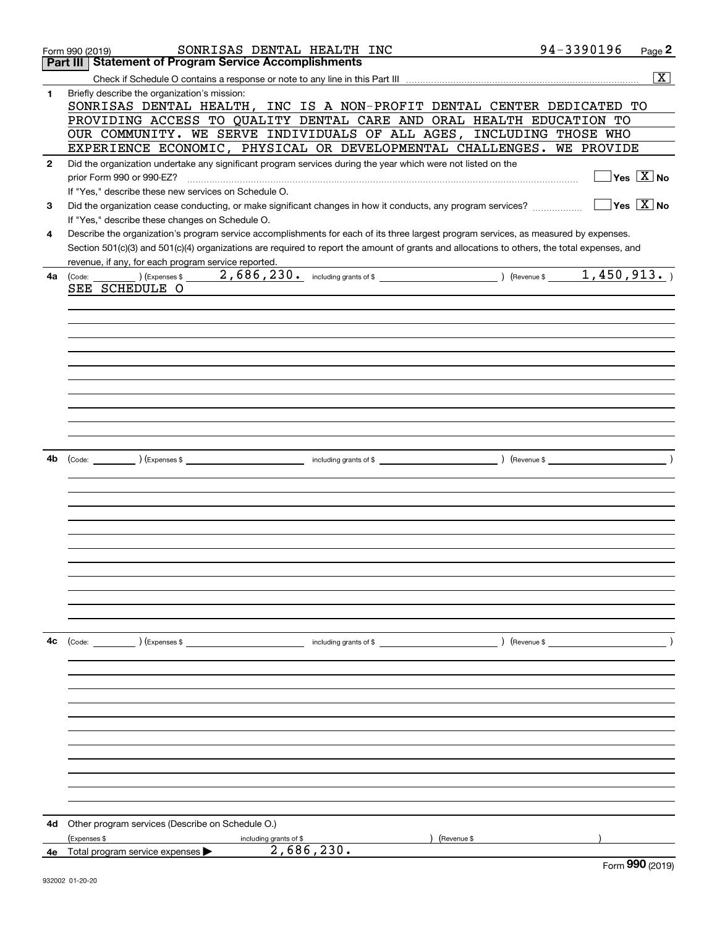|              | SONRISAS DENTAL HEALTH INC<br>Form 990 (2019)                                                                                                      | 94-3390196    | Page 2                                  |
|--------------|----------------------------------------------------------------------------------------------------------------------------------------------------|---------------|-----------------------------------------|
|              | <b>Statement of Program Service Accomplishments</b><br>Part III                                                                                    |               |                                         |
|              |                                                                                                                                                    |               | $\overline{\mathbf{X}}$                 |
| 1            | Briefly describe the organization's mission:<br>SONRISAS DENTAL HEALTH, INC IS A NON-PROFIT DENTAL CENTER DEDICATED TO                             |               |                                         |
|              | PROVIDING ACCESS TO QUALITY DENTAL CARE AND ORAL HEALTH EDUCATION TO                                                                               |               |                                         |
|              | OUR COMMUNITY. WE SERVE INDIVIDUALS OF ALL AGES, INCLUDING THOSE WHO                                                                               |               |                                         |
|              | EXPERIENCE ECONOMIC, PHYSICAL OR DEVELOPMENTAL CHALLENGES. WE PROVIDE                                                                              |               |                                         |
| $\mathbf{2}$ | Did the organization undertake any significant program services during the year which were not listed on the                                       |               |                                         |
|              | prior Form 990 or 990-EZ?                                                                                                                          |               | $\sqrt{}$ Yes $\sqrt{X}$ No             |
|              | If "Yes," describe these new services on Schedule O.                                                                                               |               |                                         |
| 3            | Did the organization cease conducting, or make significant changes in how it conducts, any program services?                                       |               | $\overline{\mathsf{Yes} \mathbb{X}}$ No |
|              | If "Yes," describe these changes on Schedule O.                                                                                                    |               |                                         |
| 4            | Describe the organization's program service accomplishments for each of its three largest program services, as measured by expenses.               |               |                                         |
|              | Section 501(c)(3) and 501(c)(4) organizations are required to report the amount of grants and allocations to others, the total expenses, and       |               |                                         |
|              | revenue, if any, for each program service reported.                                                                                                |               |                                         |
| 4a           | $(\text{Code: } \_\_\_\_\)$ (Expenses \$ $\_\_\_\_2$ , 686, 230. including grants of \$ $\_\_\_\_\_\_\_\_\_$ (Revenue \$ $\_\_\_\_\_4$ , 450, 913. |               |                                         |
|              | SEE SCHEDULE O                                                                                                                                     |               |                                         |
|              |                                                                                                                                                    |               |                                         |
|              |                                                                                                                                                    |               |                                         |
|              |                                                                                                                                                    |               |                                         |
|              |                                                                                                                                                    |               |                                         |
|              |                                                                                                                                                    |               |                                         |
|              |                                                                                                                                                    |               |                                         |
|              |                                                                                                                                                    |               |                                         |
|              |                                                                                                                                                    |               |                                         |
|              |                                                                                                                                                    |               |                                         |
|              |                                                                                                                                                    |               |                                         |
|              |                                                                                                                                                    |               |                                         |
|              |                                                                                                                                                    |               |                                         |
| 4b           |                                                                                                                                                    |               |                                         |
|              |                                                                                                                                                    |               |                                         |
|              |                                                                                                                                                    |               |                                         |
|              |                                                                                                                                                    |               |                                         |
|              |                                                                                                                                                    |               |                                         |
|              |                                                                                                                                                    |               |                                         |
|              |                                                                                                                                                    |               |                                         |
|              |                                                                                                                                                    |               |                                         |
|              |                                                                                                                                                    |               |                                         |
|              |                                                                                                                                                    |               |                                         |
|              |                                                                                                                                                    |               |                                         |
|              |                                                                                                                                                    |               |                                         |
|              |                                                                                                                                                    |               |                                         |
|              |                                                                                                                                                    |               |                                         |
| 4с           | (Code: ) (Expenses \$<br>including grants of \$                                                                                                    | ) (Revenue \$ |                                         |
|              |                                                                                                                                                    |               |                                         |
|              |                                                                                                                                                    |               |                                         |
|              |                                                                                                                                                    |               |                                         |
|              |                                                                                                                                                    |               |                                         |
|              |                                                                                                                                                    |               |                                         |
|              |                                                                                                                                                    |               |                                         |
|              |                                                                                                                                                    |               |                                         |
|              |                                                                                                                                                    |               |                                         |
|              |                                                                                                                                                    |               |                                         |
|              |                                                                                                                                                    |               |                                         |
|              |                                                                                                                                                    |               |                                         |
|              |                                                                                                                                                    |               |                                         |
|              |                                                                                                                                                    |               |                                         |
| 4d           | Other program services (Describe on Schedule O.)                                                                                                   |               |                                         |
|              | (Expenses \$<br>(Revenue \$<br>including grants of \$                                                                                              |               |                                         |
|              | 2,686,230.<br>4e Total program service expenses $\blacktriangleright$                                                                              |               | $F_{\text{arm}}$ 990 $(2010)$           |
|              |                                                                                                                                                    |               |                                         |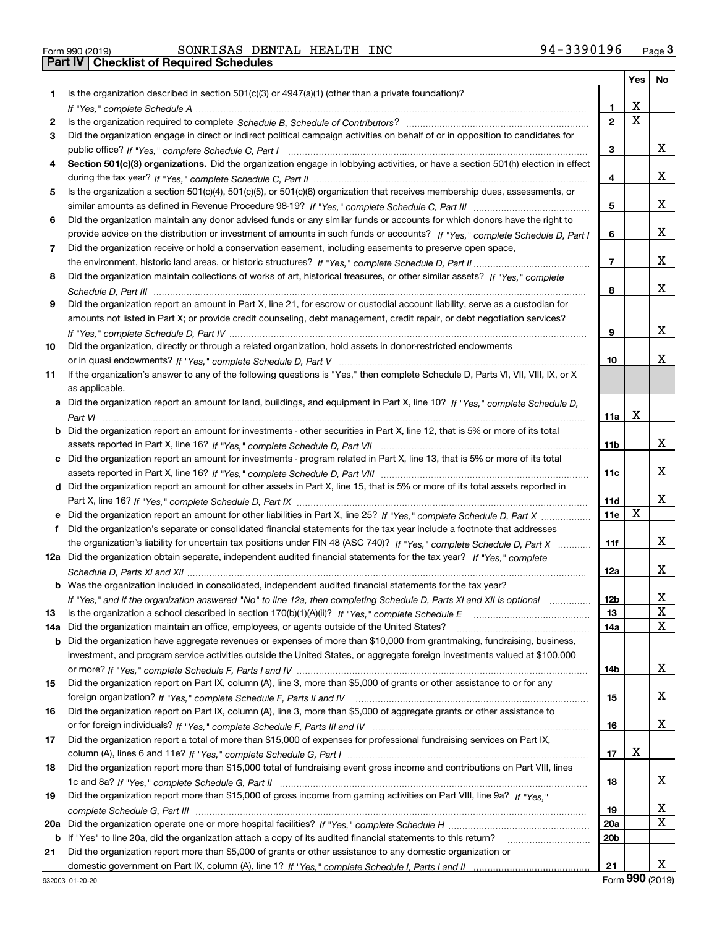| Form 990 (2019) |  |  |
|-----------------|--|--|

Form 990 (2019) Page **3Part IV Checklist of Required Schedules** SONRISAS DENTAL HEALTH INC 94-3390196

|     |                                                                                                                                  |                          | Yes                     | No          |
|-----|----------------------------------------------------------------------------------------------------------------------------------|--------------------------|-------------------------|-------------|
| 1.  | Is the organization described in section $501(c)(3)$ or $4947(a)(1)$ (other than a private foundation)?                          |                          |                         |             |
|     |                                                                                                                                  | 1                        | X                       |             |
| 2   |                                                                                                                                  | $\mathbf{2}$             | $\overline{\mathbf{x}}$ |             |
| 3   | Did the organization engage in direct or indirect political campaign activities on behalf of or in opposition to candidates for  |                          |                         |             |
|     |                                                                                                                                  | 3                        |                         | x           |
| 4   | Section 501(c)(3) organizations. Did the organization engage in lobbying activities, or have a section 501(h) election in effect |                          |                         |             |
|     |                                                                                                                                  | 4                        |                         | x           |
| 5   | Is the organization a section 501(c)(4), 501(c)(5), or 501(c)(6) organization that receives membership dues, assessments, or     |                          |                         |             |
|     |                                                                                                                                  | 5                        |                         | x           |
| 6   | Did the organization maintain any donor advised funds or any similar funds or accounts for which donors have the right to        |                          |                         |             |
|     | provide advice on the distribution or investment of amounts in such funds or accounts? If "Yes," complete Schedule D, Part I     | 6                        |                         | x           |
| 7   | Did the organization receive or hold a conservation easement, including easements to preserve open space,                        |                          |                         |             |
|     |                                                                                                                                  | $\overline{\phantom{a}}$ |                         | х           |
| 8   | Did the organization maintain collections of works of art, historical treasures, or other similar assets? If "Yes," complete     |                          |                         |             |
|     |                                                                                                                                  | 8                        |                         | x           |
| 9   | Did the organization report an amount in Part X, line 21, for escrow or custodial account liability, serve as a custodian for    |                          |                         |             |
|     | amounts not listed in Part X; or provide credit counseling, debt management, credit repair, or debt negotiation services?        |                          |                         |             |
|     |                                                                                                                                  | 9                        |                         | х           |
| 10  | Did the organization, directly or through a related organization, hold assets in donor-restricted endowments                     |                          |                         |             |
|     |                                                                                                                                  | 10                       |                         | x           |
| 11  | If the organization's answer to any of the following questions is "Yes," then complete Schedule D, Parts VI, VII, VIII, IX, or X |                          |                         |             |
|     | as applicable.                                                                                                                   |                          |                         |             |
| а   | Did the organization report an amount for land, buildings, and equipment in Part X, line 10? If "Yes." complete Schedule D.      |                          | X                       |             |
|     |                                                                                                                                  | 11a                      |                         |             |
| b   | Did the organization report an amount for investments - other securities in Part X, line 12, that is 5% or more of its total     |                          |                         | x           |
|     |                                                                                                                                  | 11b                      |                         |             |
| c   | Did the organization report an amount for investments - program related in Part X, line 13, that is 5% or more of its total      |                          |                         | x           |
|     | Did the organization report an amount for other assets in Part X, line 15, that is 5% or more of its total assets reported in    | 11c                      |                         |             |
| d   |                                                                                                                                  | 11d                      |                         | x           |
|     | Did the organization report an amount for other liabilities in Part X, line 25? If "Yes," complete Schedule D, Part X            | 11e                      | X                       |             |
| f   | Did the organization's separate or consolidated financial statements for the tax year include a footnote that addresses          |                          |                         |             |
|     | the organization's liability for uncertain tax positions under FIN 48 (ASC 740)? If "Yes," complete Schedule D, Part X           | 11f                      |                         | x           |
|     | 12a Did the organization obtain separate, independent audited financial statements for the tax year? If "Yes," complete          |                          |                         |             |
|     |                                                                                                                                  | 12a                      |                         | x           |
|     | <b>b</b> Was the organization included in consolidated, independent audited financial statements for the tax year?               |                          |                         |             |
|     | If "Yes," and if the organization answered "No" to line 12a, then completing Schedule D, Parts XI and XII is optional            | 12 <sub>b</sub>          |                         | ▵           |
| 13  | Is the organization a school described in section $170(b)(1)(A)(ii)?$ If "Yes," complete Schedule E                              | 13                       |                         | X           |
| 14a | Did the organization maintain an office, employees, or agents outside of the United States?                                      | 14a                      |                         | $\mathbf X$ |
| b   | Did the organization have aggregate revenues or expenses of more than \$10,000 from grantmaking, fundraising, business,          |                          |                         |             |
|     | investment, and program service activities outside the United States, or aggregate foreign investments valued at \$100,000       |                          |                         |             |
|     |                                                                                                                                  | 14b                      |                         | x           |
| 15  | Did the organization report on Part IX, column (A), line 3, more than \$5,000 of grants or other assistance to or for any        |                          |                         |             |
|     |                                                                                                                                  | 15                       |                         | x           |
| 16  | Did the organization report on Part IX, column (A), line 3, more than \$5,000 of aggregate grants or other assistance to         |                          |                         |             |
|     |                                                                                                                                  | 16                       |                         | x           |
| 17  | Did the organization report a total of more than \$15,000 of expenses for professional fundraising services on Part IX,          |                          |                         |             |
|     |                                                                                                                                  | 17                       | х                       |             |
| 18  | Did the organization report more than \$15,000 total of fundraising event gross income and contributions on Part VIII, lines     |                          |                         |             |
|     |                                                                                                                                  | 18                       |                         | x           |
| 19  | Did the organization report more than \$15,000 of gross income from gaming activities on Part VIII, line 9a? If "Yes."           |                          |                         |             |
|     |                                                                                                                                  | 19                       |                         | х           |
| 20a |                                                                                                                                  | 20a                      |                         | X           |
| b   | If "Yes" to line 20a, did the organization attach a copy of its audited financial statements to this return?                     | 20 <sub>b</sub>          |                         |             |
| 21  | Did the organization report more than \$5,000 of grants or other assistance to any domestic organization or                      |                          |                         |             |
|     |                                                                                                                                  | 21                       |                         | x           |

Form (2019) **990**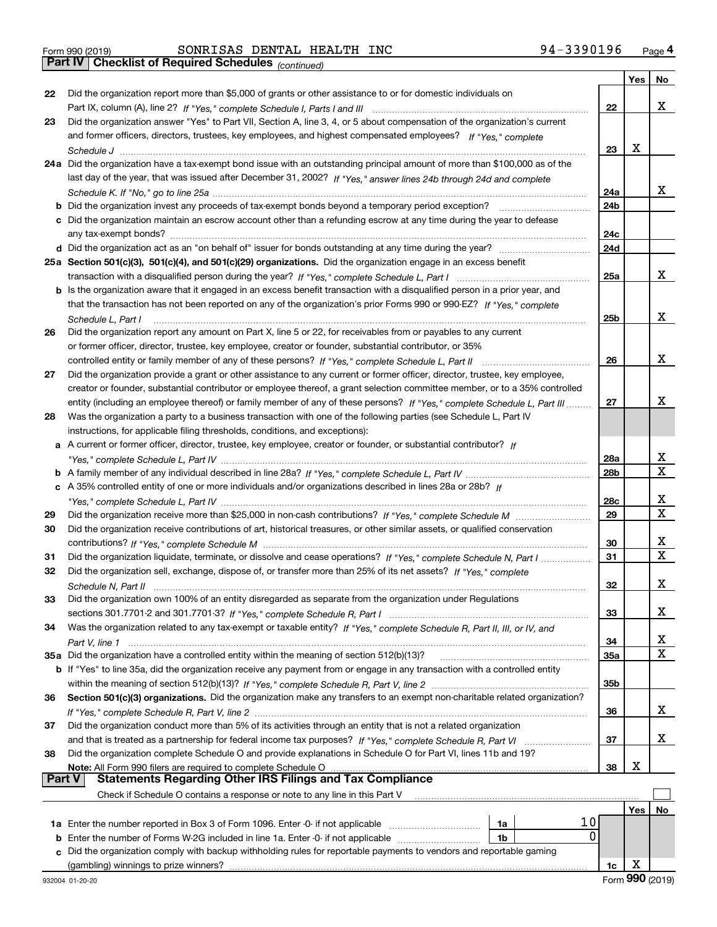| Form 990 (2019) |  |  |
|-----------------|--|--|

Form 990 (2019) Page **4Part IV Checklist of Required Schedules** SONRISAS DENTAL HEALTH INC 94-3390196

*(continued)*

|               |                                                                                                                                                                                                                                        |                 | Yes | No                           |
|---------------|----------------------------------------------------------------------------------------------------------------------------------------------------------------------------------------------------------------------------------------|-----------------|-----|------------------------------|
| 22            | Did the organization report more than \$5,000 of grants or other assistance to or for domestic individuals on                                                                                                                          |                 |     |                              |
|               |                                                                                                                                                                                                                                        | 22              |     | X                            |
| 23            | Did the organization answer "Yes" to Part VII, Section A, line 3, 4, or 5 about compensation of the organization's current                                                                                                             |                 |     |                              |
|               | and former officers, directors, trustees, key employees, and highest compensated employees? If "Yes," complete                                                                                                                         |                 |     |                              |
|               |                                                                                                                                                                                                                                        | 23              | x   |                              |
|               | 24a Did the organization have a tax-exempt bond issue with an outstanding principal amount of more than \$100,000 as of the                                                                                                            |                 |     |                              |
|               | last day of the year, that was issued after December 31, 2002? If "Yes," answer lines 24b through 24d and complete                                                                                                                     |                 |     |                              |
|               |                                                                                                                                                                                                                                        | 24a             |     | x                            |
|               | <b>b</b> Did the organization invest any proceeds of tax-exempt bonds beyond a temporary period exception?                                                                                                                             | 24b             |     |                              |
|               | c Did the organization maintain an escrow account other than a refunding escrow at any time during the year to defease                                                                                                                 |                 |     |                              |
|               |                                                                                                                                                                                                                                        | 24c             |     |                              |
|               |                                                                                                                                                                                                                                        | 24d             |     |                              |
|               | 25a Section 501(c)(3), 501(c)(4), and 501(c)(29) organizations. Did the organization engage in an excess benefit                                                                                                                       |                 |     |                              |
|               |                                                                                                                                                                                                                                        | 25a             |     | X                            |
|               | b Is the organization aware that it engaged in an excess benefit transaction with a disqualified person in a prior year, and                                                                                                           |                 |     |                              |
|               | that the transaction has not been reported on any of the organization's prior Forms 990 or 990-EZ? If "Yes," complete                                                                                                                  |                 |     |                              |
|               | Schedule L, Part I                                                                                                                                                                                                                     | 25 <sub>b</sub> |     | x                            |
| 26            | Did the organization report any amount on Part X, line 5 or 22, for receivables from or payables to any current                                                                                                                        |                 |     |                              |
|               | or former officer, director, trustee, key employee, creator or founder, substantial contributor, or 35%                                                                                                                                |                 |     |                              |
|               | controlled entity or family member of any of these persons? If "Yes," complete Schedule L, Part II                                                                                                                                     | 26              |     | x                            |
| 27            | Did the organization provide a grant or other assistance to any current or former officer, director, trustee, key employee,                                                                                                            |                 |     |                              |
|               | creator or founder, substantial contributor or employee thereof, a grant selection committee member, or to a 35% controlled                                                                                                            |                 |     |                              |
|               | entity (including an employee thereof) or family member of any of these persons? If "Yes," complete Schedule L, Part III                                                                                                               |                 |     | х                            |
| 28            | Was the organization a party to a business transaction with one of the following parties (see Schedule L, Part IV                                                                                                                      |                 |     |                              |
|               | instructions, for applicable filing thresholds, conditions, and exceptions):                                                                                                                                                           |                 |     |                              |
|               | A current or former officer, director, trustee, key employee, creator or founder, or substantial contributor? If                                                                                                                       |                 |     |                              |
|               |                                                                                                                                                                                                                                        | 28a             |     | х                            |
|               |                                                                                                                                                                                                                                        | 28b             |     | $\mathbf X$                  |
|               | c A 35% controlled entity of one or more individuals and/or organizations described in lines 28a or 28b? If                                                                                                                            |                 |     |                              |
|               |                                                                                                                                                                                                                                        | 28c             |     | х<br>$\overline{\mathbf{x}}$ |
| 29            |                                                                                                                                                                                                                                        | 29              |     |                              |
| 30            | Did the organization receive contributions of art, historical treasures, or other similar assets, or qualified conservation                                                                                                            |                 |     | х                            |
|               |                                                                                                                                                                                                                                        | 30              |     | $\mathbf X$                  |
| 31<br>32      | Did the organization liquidate, terminate, or dissolve and cease operations? If "Yes," complete Schedule N, Part I<br>Did the organization sell, exchange, dispose of, or transfer more than 25% of its net assets? If "Yes," complete | 31              |     |                              |
|               |                                                                                                                                                                                                                                        | 32              |     | х                            |
| 33            | Did the organization own 100% of an entity disregarded as separate from the organization under Regulations                                                                                                                             |                 |     |                              |
|               |                                                                                                                                                                                                                                        | 33              |     | x                            |
| 34            | Was the organization related to any tax-exempt or taxable entity? If "Yes," complete Schedule R, Part II, III, or IV, and                                                                                                              |                 |     |                              |
|               |                                                                                                                                                                                                                                        | 34              |     | x                            |
|               | 35a Did the organization have a controlled entity within the meaning of section 512(b)(13)?                                                                                                                                            | 35a             |     | X                            |
|               | b If "Yes" to line 35a, did the organization receive any payment from or engage in any transaction with a controlled entity                                                                                                            |                 |     |                              |
|               |                                                                                                                                                                                                                                        | 35b             |     |                              |
| 36            | Section 501(c)(3) organizations. Did the organization make any transfers to an exempt non-charitable related organization?                                                                                                             |                 |     |                              |
|               |                                                                                                                                                                                                                                        | 36              |     | x                            |
| 37            | Did the organization conduct more than 5% of its activities through an entity that is not a related organization                                                                                                                       |                 |     |                              |
|               |                                                                                                                                                                                                                                        | 37              |     | x                            |
| 38            | Did the organization complete Schedule O and provide explanations in Schedule O for Part VI, lines 11b and 19?                                                                                                                         |                 |     |                              |
|               | Note: All Form 990 filers are required to complete Schedule O                                                                                                                                                                          | 38              | х   |                              |
| <b>Part V</b> | <b>Statements Regarding Other IRS Filings and Tax Compliance</b>                                                                                                                                                                       |                 |     |                              |
|               | Check if Schedule O contains a response or note to any line in this Part V                                                                                                                                                             |                 |     |                              |
|               |                                                                                                                                                                                                                                        |                 | Yes | No                           |
|               | 10<br>1a<br>0                                                                                                                                                                                                                          |                 |     |                              |
| b             | Enter the number of Forms W-2G included in line 1a. Enter -0- if not applicable<br>1b                                                                                                                                                  |                 |     |                              |
| c             | Did the organization comply with backup withholding rules for reportable payments to vendors and reportable gaming<br>(gambling) winnings to prize winners?                                                                            |                 | х   |                              |
|               |                                                                                                                                                                                                                                        | 1c              |     |                              |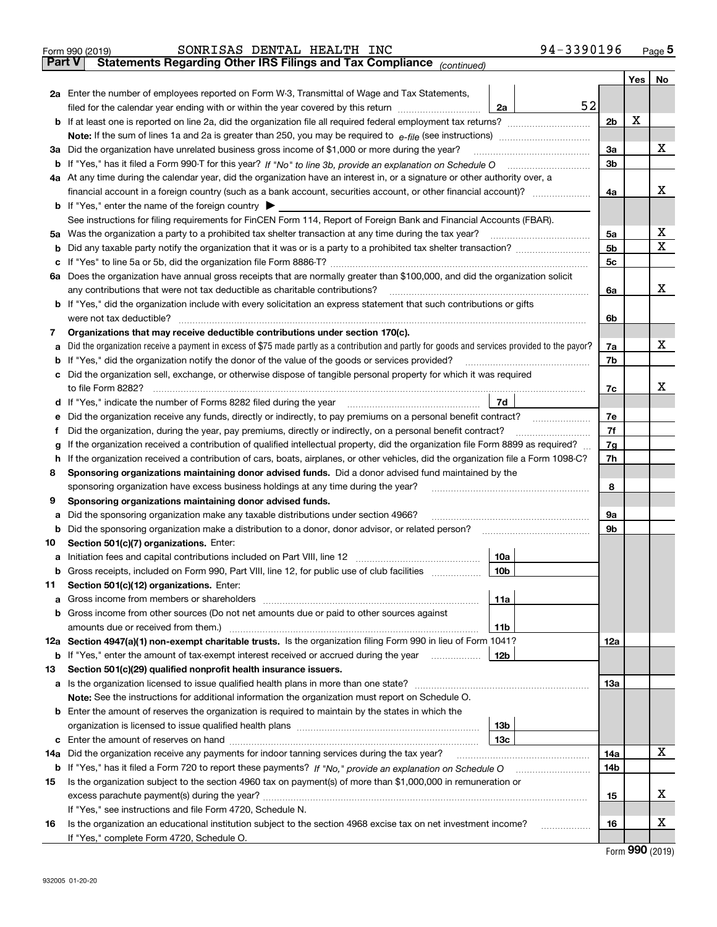|        | SONRISAS DENTAL HEALTH INC<br>Form 990 (2019)                                                                                                                                       | 94-3390196 |                |         | $Page$ <sup>5</sup> |
|--------|-------------------------------------------------------------------------------------------------------------------------------------------------------------------------------------|------------|----------------|---------|---------------------|
| Part V | Statements Regarding Other IRS Filings and Tax Compliance (continued)                                                                                                               |            |                |         |                     |
|        |                                                                                                                                                                                     |            |                | Yes $ $ | No                  |
|        | 2a Enter the number of employees reported on Form W-3, Transmittal of Wage and Tax Statements,                                                                                      |            |                |         |                     |
|        | filed for the calendar year ending with or within the year covered by this return [11] [11] filed for the calendar year ending with or within the year covered by this return<br>2a | 52         |                |         |                     |
|        |                                                                                                                                                                                     |            | 2 <sub>b</sub> | х       |                     |
|        |                                                                                                                                                                                     |            |                |         |                     |
|        | 3a Did the organization have unrelated business gross income of \$1,000 or more during the year?                                                                                    |            | За             |         | х                   |
|        |                                                                                                                                                                                     |            | 3 <sub>b</sub> |         |                     |
|        | 4a At any time during the calendar year, did the organization have an interest in, or a signature or other authority over, a                                                        |            |                |         |                     |
|        | financial account in a foreign country (such as a bank account, securities account, or other financial account)?                                                                    |            | 4a             |         | х                   |
|        | <b>b</b> If "Yes," enter the name of the foreign country $\triangleright$                                                                                                           |            |                |         |                     |
|        | See instructions for filing requirements for FinCEN Form 114, Report of Foreign Bank and Financial Accounts (FBAR).                                                                 |            |                |         |                     |
|        | 5a Was the organization a party to a prohibited tax shelter transaction at any time during the tax year?                                                                            |            | 5a             |         | х                   |
|        |                                                                                                                                                                                     |            | 5 <sub>b</sub> |         | Χ                   |
|        |                                                                                                                                                                                     |            | 5c             |         |                     |
|        | 6a Does the organization have annual gross receipts that are normally greater than \$100,000, and did the organization solicit                                                      |            |                |         |                     |
|        | any contributions that were not tax deductible as charitable contributions?                                                                                                         |            | 6a             |         | х                   |
|        | b If "Yes," did the organization include with every solicitation an express statement that such contributions or gifts                                                              |            |                |         |                     |
|        | were not tax deductible?                                                                                                                                                            |            | 6b             |         |                     |
| 7      | Organizations that may receive deductible contributions under section 170(c).                                                                                                       |            |                |         |                     |
| a      | Did the organization receive a payment in excess of \$75 made partly as a contribution and partly for goods and services provided to the payor?                                     |            | 7a             |         | х                   |
|        | <b>b</b> If "Yes," did the organization notify the donor of the value of the goods or services provided?                                                                            |            | 7b             |         |                     |
|        | c Did the organization sell, exchange, or otherwise dispose of tangible personal property for which it was required                                                                 |            |                |         | x                   |
|        | to file Form 8282?<br>7d<br><b>d</b> If "Yes," indicate the number of Forms 8282 filed during the year                                                                              |            | 7c             |         |                     |
|        | Did the organization receive any funds, directly or indirectly, to pay premiums on a personal benefit contract?                                                                     |            | 7e             |         |                     |
| f      | Did the organization, during the year, pay premiums, directly or indirectly, on a personal benefit contract?                                                                        |            | 7f             |         |                     |
| a      | If the organization received a contribution of qualified intellectual property, did the organization file Form 8899 as required?                                                    |            | 7g             |         |                     |
|        | h If the organization received a contribution of cars, boats, airplanes, or other vehicles, did the organization file a Form 1098-C?                                                |            | 7h             |         |                     |
| 8      | Sponsoring organizations maintaining donor advised funds. Did a donor advised fund maintained by the                                                                                |            |                |         |                     |
|        | sponsoring organization have excess business holdings at any time during the year?                                                                                                  |            | 8              |         |                     |
| 9      | Sponsoring organizations maintaining donor advised funds.                                                                                                                           |            |                |         |                     |
| а      | Did the sponsoring organization make any taxable distributions under section 4966?                                                                                                  |            | 9а             |         |                     |
| b      | Did the sponsoring organization make a distribution to a donor, donor advisor, or related person?                                                                                   |            | 9b             |         |                     |
| 10     | Section 501(c)(7) organizations. Enter:                                                                                                                                             |            |                |         |                     |
|        | 10a                                                                                                                                                                                 |            |                |         |                     |
|        | <b>b</b> Gross receipts, included on Form 990, Part VIII, line 12, for public use of club facilities <i>manument</i><br>10b                                                         |            |                |         |                     |
| 11.    | Section 501(c)(12) organizations. Enter:                                                                                                                                            |            |                |         |                     |
|        | 11a                                                                                                                                                                                 |            |                |         |                     |
|        | b Gross income from other sources (Do not net amounts due or paid to other sources against                                                                                          |            |                |         |                     |
|        | amounts due or received from them.)<br>11b                                                                                                                                          |            |                |         |                     |
|        | 12a Section 4947(a)(1) non-exempt charitable trusts. Is the organization filing Form 990 in lieu of Form 1041?                                                                      |            | 12a            |         |                     |
|        | <b>b</b> If "Yes," enter the amount of tax-exempt interest received or accrued during the year<br>12b                                                                               |            |                |         |                     |
| 13     | Section 501(c)(29) qualified nonprofit health insurance issuers.                                                                                                                    |            |                |         |                     |
|        | a Is the organization licensed to issue qualified health plans in more than one state?                                                                                              |            | 13а            |         |                     |
|        | Note: See the instructions for additional information the organization must report on Schedule O.                                                                                   |            |                |         |                     |
|        | <b>b</b> Enter the amount of reserves the organization is required to maintain by the states in which the                                                                           |            |                |         |                     |
|        | 13 <sub>b</sub>                                                                                                                                                                     |            |                |         |                     |
|        | 13c                                                                                                                                                                                 |            |                |         |                     |
|        | 14a Did the organization receive any payments for indoor tanning services during the tax year?                                                                                      |            | 14a            |         | х                   |
|        |                                                                                                                                                                                     |            | 14b            |         |                     |
| 15     | Is the organization subject to the section 4960 tax on payment(s) of more than \$1,000,000 in remuneration or                                                                       |            |                |         |                     |
|        |                                                                                                                                                                                     |            | 15             |         | х                   |
|        | If "Yes," see instructions and file Form 4720, Schedule N.                                                                                                                          |            |                |         | х                   |
| 16     | Is the organization an educational institution subject to the section 4968 excise tax on net investment income?                                                                     | .          | 16             |         |                     |
|        | If "Yes," complete Form 4720, Schedule O.                                                                                                                                           |            |                |         |                     |

| Form 990 (2019) |  |
|-----------------|--|
|-----------------|--|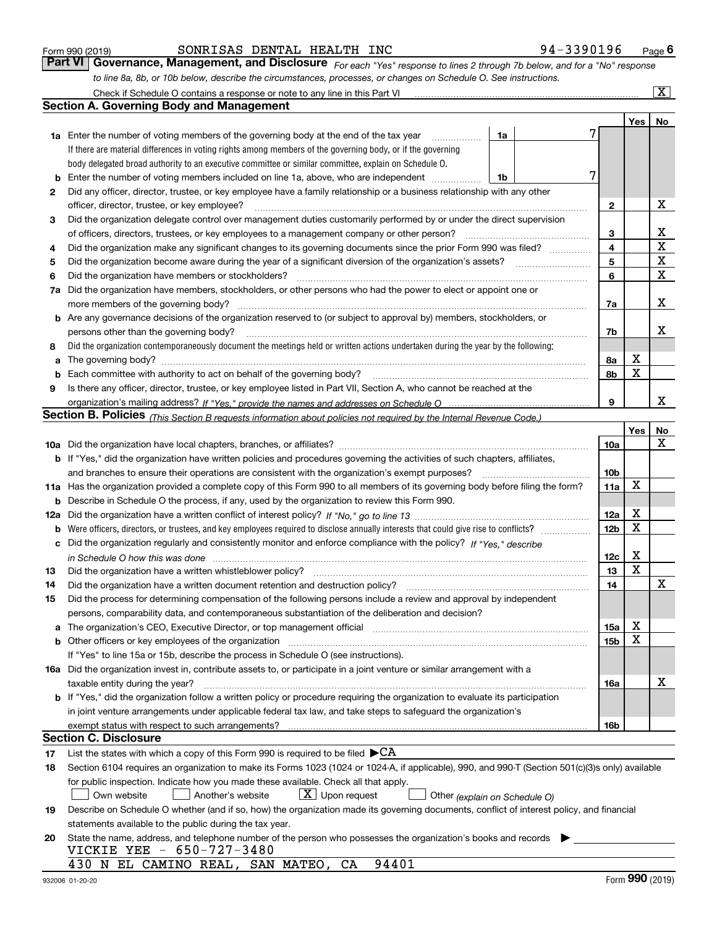|  | Form 990 (2019) |
|--|-----------------|
|  |                 |

#### SONRISAS DENTAL HEALTH INC 94-3390196

*For each "Yes" response to lines 2 through 7b below, and for a "No" response to line 8a, 8b, or 10b below, describe the circumstances, processes, or changes on Schedule O. See instructions.* Form 990 (2019) **CONRISAS DENTAL HEALTH INC**<br>**Part VI Governance, Management, and Disclosure** For each "Yes" response to lines 2 through 7b below, and for a "No" response Check if Schedule O contains a response or note to any line in this Part VI

|     | Check if Schedule O contains a response or note to any line in this Part VI                                                                                                                                                    |    |   |                 |                 | x           |
|-----|--------------------------------------------------------------------------------------------------------------------------------------------------------------------------------------------------------------------------------|----|---|-----------------|-----------------|-------------|
|     | <b>Section A. Governing Body and Management</b>                                                                                                                                                                                |    |   |                 |                 |             |
|     |                                                                                                                                                                                                                                |    |   |                 | Yes             | No          |
|     | 1a Enter the number of voting members of the governing body at the end of the tax year                                                                                                                                         | 1a |   |                 |                 |             |
|     | If there are material differences in voting rights among members of the governing body, or if the governing                                                                                                                    |    |   |                 |                 |             |
|     | body delegated broad authority to an executive committee or similar committee, explain on Schedule O.                                                                                                                          |    |   |                 |                 |             |
| b   | Enter the number of voting members included on line 1a, above, who are independent                                                                                                                                             | 1b | 7 |                 |                 |             |
| 2   | Did any officer, director, trustee, or key employee have a family relationship or a business relationship with any other                                                                                                       |    |   |                 |                 |             |
|     | officer, director, trustee, or key employee?                                                                                                                                                                                   |    |   | $\mathbf{2}$    |                 | х           |
| 3   | Did the organization delegate control over management duties customarily performed by or under the direct supervision                                                                                                          |    |   |                 |                 |             |
|     | of officers, directors, trustees, or key employees to a management company or other person?                                                                                                                                    |    |   | 3               |                 | x           |
| 4   | Did the organization make any significant changes to its governing documents since the prior Form 990 was filed?                                                                                                               |    |   | $\overline{4}$  |                 | $\mathbf X$ |
| 5   |                                                                                                                                                                                                                                |    |   | 5               |                 | $\mathbf X$ |
| 6   | Did the organization have members or stockholders?                                                                                                                                                                             |    |   | 6               |                 | $\mathbf X$ |
| 7a  | Did the organization have members, stockholders, or other persons who had the power to elect or appoint one or                                                                                                                 |    |   |                 |                 |             |
|     | more members of the governing body?                                                                                                                                                                                            |    |   | 7a              |                 | х           |
|     | <b>b</b> Are any governance decisions of the organization reserved to (or subject to approval by) members, stockholders, or                                                                                                    |    |   |                 |                 |             |
|     | persons other than the governing body?                                                                                                                                                                                         |    |   | 7b              |                 | x           |
| 8   | Did the organization contemporaneously document the meetings held or written actions undertaken during the year by the following:                                                                                              |    |   |                 |                 |             |
| a   | The governing body?                                                                                                                                                                                                            |    |   | 8a              | х               |             |
| b   |                                                                                                                                                                                                                                |    |   | 8b              | X               |             |
| 9   | Is there any officer, director, trustee, or key employee listed in Part VII, Section A, who cannot be reached at the                                                                                                           |    |   |                 |                 |             |
|     |                                                                                                                                                                                                                                |    |   | 9               |                 | x           |
|     | <b>Section B. Policies</b> (This Section B requests information about policies not required by the Internal Revenue Code.)                                                                                                     |    |   |                 |                 |             |
|     |                                                                                                                                                                                                                                |    |   |                 | Yes             | No          |
|     |                                                                                                                                                                                                                                |    |   | 10a             |                 | х           |
|     | <b>b</b> If "Yes," did the organization have written policies and procedures governing the activities of such chapters, affiliates,                                                                                            |    |   |                 |                 |             |
|     | and branches to ensure their operations are consistent with the organization's exempt purposes?                                                                                                                                |    |   | 10 <sub>b</sub> |                 |             |
|     | 11a Has the organization provided a complete copy of this Form 990 to all members of its governing body before filing the form?                                                                                                |    |   | 11a             | X               |             |
| b   | Describe in Schedule O the process, if any, used by the organization to review this Form 990.                                                                                                                                  |    |   |                 |                 |             |
| 12a |                                                                                                                                                                                                                                |    |   | 12a             | X               |             |
| b   |                                                                                                                                                                                                                                |    |   | 12 <sub>b</sub> | X               |             |
| с   | Did the organization regularly and consistently monitor and enforce compliance with the policy? If "Yes." describe                                                                                                             |    |   |                 |                 |             |
|     | in Schedule O how this was done measured and the control of the control of the state of the control of the control of the control of the control of the control of the control of the control of the control of the control of |    |   | 12c             | х               |             |
| 13  | Did the organization have a written whistleblower policy?                                                                                                                                                                      |    |   | 13              | $\mathbf X$     |             |
| 14  | Did the organization have a written document retention and destruction policy?                                                                                                                                                 |    |   | 14              |                 | X           |
| 15  | Did the process for determining compensation of the following persons include a review and approval by independent                                                                                                             |    |   |                 |                 |             |
|     | persons, comparability data, and contemporaneous substantiation of the deliberation and decision?                                                                                                                              |    |   |                 |                 |             |
| a   | The organization's CEO, Executive Director, or top management official manufactured content of the organization's CEO, Executive Director, or top management official                                                          |    |   | 15a             | х               |             |
|     | b Other officers or key employees of the organization manufactured content to the organization manufactured by Other officers or key employees of the organization manufactured by the state of the organization manufactured  |    |   | 15b             | X               |             |
|     | If "Yes" to line 15a or 15b, describe the process in Schedule O (see instructions).                                                                                                                                            |    |   |                 |                 |             |
|     | 16a Did the organization invest in, contribute assets to, or participate in a joint venture or similar arrangement with a                                                                                                      |    |   |                 |                 |             |
|     | taxable entity during the year?                                                                                                                                                                                                |    |   | 16a             |                 | х           |
|     | b If "Yes," did the organization follow a written policy or procedure requiring the organization to evaluate its participation                                                                                                 |    |   |                 |                 |             |
|     | in joint venture arrangements under applicable federal tax law, and take steps to safeguard the organization's                                                                                                                 |    |   |                 |                 |             |
|     | exempt status with respect to such arrangements?                                                                                                                                                                               |    |   | 16b             |                 |             |
|     | <b>Section C. Disclosure</b>                                                                                                                                                                                                   |    |   |                 |                 |             |
| 17  | List the states with which a copy of this Form 990 is required to be filed $\blacktriangleright$ CA                                                                                                                            |    |   |                 |                 |             |
| 18  | Section 6104 requires an organization to make its Forms 1023 (1024 or 1024-A, if applicable), 990, and 990-T (Section 501(c)(3)s only) available                                                                               |    |   |                 |                 |             |
|     | for public inspection. Indicate how you made these available. Check all that apply.                                                                                                                                            |    |   |                 |                 |             |
|     | $X$ Upon request<br>Another's website<br>Own website<br>Other (explain on Schedule O)                                                                                                                                          |    |   |                 |                 |             |
| 19  | Describe on Schedule O whether (and if so, how) the organization made its governing documents, conflict of interest policy, and financial                                                                                      |    |   |                 |                 |             |
|     | statements available to the public during the tax year.                                                                                                                                                                        |    |   |                 |                 |             |
| 20  | State the name, address, and telephone number of the person who possesses the organization's books and records                                                                                                                 |    |   |                 |                 |             |
|     | VICKIE YEE - 650-727-3480                                                                                                                                                                                                      |    |   |                 |                 |             |
|     | 94401<br>430 N EL CAMINO REAL, SAN MATEO, CA                                                                                                                                                                                   |    |   |                 |                 |             |
|     |                                                                                                                                                                                                                                |    |   |                 | $000 \approx 1$ |             |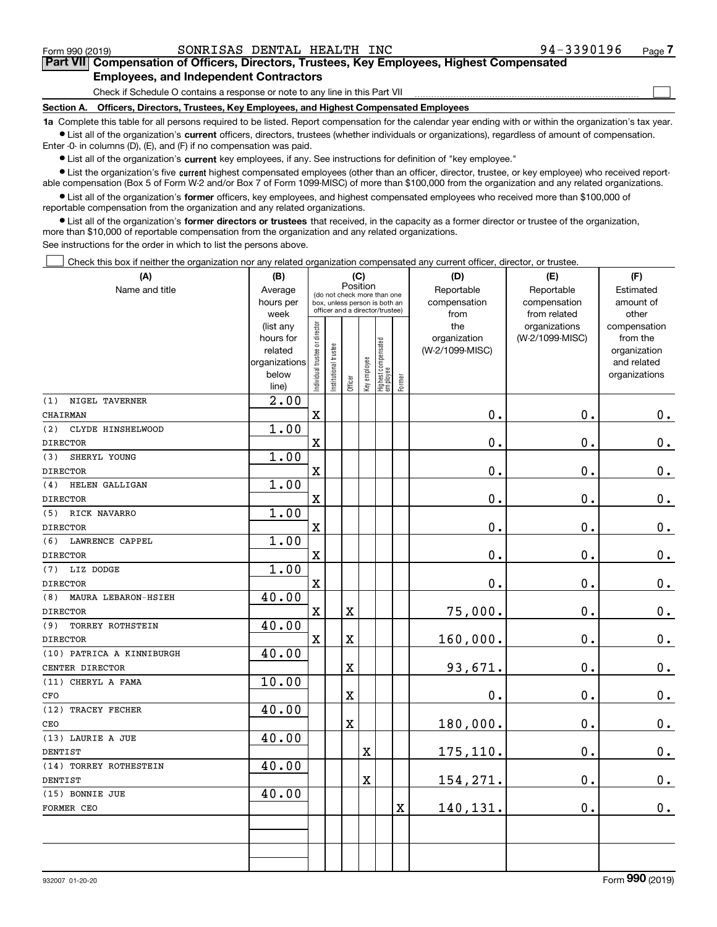$\mathcal{L}^{\text{max}}$ 

### **7Part VII Compensation of Officers, Directors, Trustees, Key Employees, Highest Compensated Employees, and Independent Contractors**

Check if Schedule O contains a response or note to any line in this Part VII

**Section A. Officers, Directors, Trustees, Key Employees, and Highest Compensated Employees**

**1a**  Complete this table for all persons required to be listed. Report compensation for the calendar year ending with or within the organization's tax year. **•** List all of the organization's current officers, directors, trustees (whether individuals or organizations), regardless of amount of compensation.

Enter -0- in columns (D), (E), and (F) if no compensation was paid.

 $\bullet$  List all of the organization's  $\,$ current key employees, if any. See instructions for definition of "key employee."

**•** List the organization's five current highest compensated employees (other than an officer, director, trustee, or key employee) who received reportable compensation (Box 5 of Form W-2 and/or Box 7 of Form 1099-MISC) of more than \$100,000 from the organization and any related organizations.

**•** List all of the organization's former officers, key employees, and highest compensated employees who received more than \$100,000 of reportable compensation from the organization and any related organizations.

**former directors or trustees**  ¥ List all of the organization's that received, in the capacity as a former director or trustee of the organization, more than \$10,000 of reportable compensation from the organization and any related organizations.

See instructions for the order in which to list the persons above.

Check this box if neither the organization nor any related organization compensated any current officer, director, or trustee.  $\mathcal{L}^{\text{max}}$ 

| (A)                            | (B)                    | (C)                                                              |                       |                       |              |                                   |             | (D)                 | (E)                              | (F)                      |  |
|--------------------------------|------------------------|------------------------------------------------------------------|-----------------------|-----------------------|--------------|-----------------------------------|-------------|---------------------|----------------------------------|--------------------------|--|
| Name and title                 | Average                | Position<br>(do not check more than one                          |                       |                       |              |                                   |             | Reportable          | Reportable                       | Estimated                |  |
|                                | hours per              | box, unless person is both an<br>officer and a director/trustee) |                       |                       |              |                                   |             | compensation        | compensation                     | amount of                |  |
|                                | week                   |                                                                  |                       |                       |              |                                   |             | from                | from related                     | other                    |  |
|                                | (list any<br>hours for |                                                                  |                       |                       |              |                                   |             | the<br>organization | organizations<br>(W-2/1099-MISC) | compensation<br>from the |  |
|                                | related                |                                                                  |                       |                       |              |                                   |             | (W-2/1099-MISC)     |                                  | organization             |  |
|                                | organizations          |                                                                  |                       |                       |              |                                   |             |                     |                                  | and related              |  |
|                                | below                  |                                                                  |                       |                       |              |                                   |             |                     |                                  | organizations            |  |
|                                | line)                  | Individual trustee or director                                   | Institutional trustee | Officer               | Key employee | Highest compensated<br>  employee | Former      |                     |                                  |                          |  |
| NIGEL TAVERNER<br>(1)          | $\overline{2.00}$      |                                                                  |                       |                       |              |                                   |             |                     |                                  |                          |  |
| CHAIRMAN                       |                        | $\mathbf x$                                                      |                       |                       |              |                                   |             | $\mathbf 0$ .       | 0.                               | $0_{\cdot}$              |  |
| (2)<br>CLYDE HINSHELWOOD       | 1.00                   |                                                                  |                       |                       |              |                                   |             |                     |                                  |                          |  |
| <b>DIRECTOR</b>                |                        | $\mathbf X$                                                      |                       |                       |              |                                   |             | $\mathbf 0$ .       | 0.                               | $\mathbf 0$ .            |  |
| SHERYL YOUNG<br>(3)            | 1.00                   |                                                                  |                       |                       |              |                                   |             |                     |                                  |                          |  |
| <b>DIRECTOR</b>                |                        | $\mathbf X$                                                      |                       |                       |              |                                   |             | $\mathbf 0$ .       | $\mathbf 0$ .                    | $\mathbf 0$ .            |  |
| HELEN GALLIGAN<br>(4)          | 1.00                   |                                                                  |                       |                       |              |                                   |             |                     |                                  |                          |  |
| <b>DIRECTOR</b>                |                        | $\overline{\textbf{X}}$                                          |                       |                       |              |                                   |             | $\mathbf 0$ .       | $\mathbf 0$ .                    | $\mathbf 0$ .            |  |
| RICK NAVARRO<br>(5)            | 1.00                   |                                                                  |                       |                       |              |                                   |             |                     |                                  |                          |  |
| <b>DIRECTOR</b>                |                        | $\mathbf x$                                                      |                       |                       |              |                                   |             | $\mathbf 0$ .       | $\mathbf 0$ .                    | $\pmb{0}$ .              |  |
| (6) LAWRENCE CAPPEL            | 1.00                   |                                                                  |                       |                       |              |                                   |             |                     |                                  |                          |  |
| <b>DIRECTOR</b>                |                        | $\mathbf X$                                                      |                       |                       |              |                                   |             | $\mathbf 0$ .       | 0.                               | $\mathbf 0$ .            |  |
| (7) LIZ DODGE                  | 1.00                   |                                                                  |                       |                       |              |                                   |             |                     |                                  |                          |  |
| <b>DIRECTOR</b>                |                        | $\mathbf x$                                                      |                       |                       |              |                                   |             | $\mathbf 0$ .       | $\mathbf 0$ .                    | $0_{\cdot}$              |  |
| (8)<br>MAURA LEBARON-HSIEH     | 40.00                  |                                                                  |                       |                       |              |                                   |             |                     |                                  |                          |  |
| <b>DIRECTOR</b>                |                        | $\mathbf X$                                                      |                       | X                     |              |                                   |             | 75,000.             | 0.                               | $\mathbf 0$ .            |  |
| (9)<br><b>TORREY ROTHSTEIN</b> | 40.00                  |                                                                  |                       |                       |              |                                   |             |                     |                                  |                          |  |
| <b>DIRECTOR</b>                |                        | $\mathbf X$                                                      |                       | X                     |              |                                   |             | 160,000.            | $\mathbf 0$ .                    | $0_{\cdot}$              |  |
| (10) PATRICA A KINNIBURGH      | 40.00                  |                                                                  |                       |                       |              |                                   |             |                     |                                  |                          |  |
| CENTER DIRECTOR                |                        |                                                                  |                       | X                     |              |                                   |             | 93,671.             | 0.                               | $\mathbf 0$ .            |  |
| (11) CHERYL A FAMA             | 10.00                  |                                                                  |                       |                       |              |                                   |             |                     |                                  |                          |  |
| CFO                            |                        |                                                                  |                       | X                     |              |                                   |             | $\mathbf 0$ .       | $\mathbf 0$ .                    | $0_{.}$                  |  |
| (12) TRACEY FECHER             | 40.00                  |                                                                  |                       |                       |              |                                   |             |                     |                                  |                          |  |
| CEO                            |                        |                                                                  |                       | $\overline{\text{X}}$ |              |                                   |             | 180,000.            | 0.                               | $\mathbf 0$ .            |  |
| (13) LAURIE A JUE              | 40.00                  |                                                                  |                       |                       |              |                                   |             |                     |                                  |                          |  |
| DENTIST                        |                        |                                                                  |                       |                       | $\rm X$      |                                   |             | 175,110.            | 0.                               | $\mathbf 0$ .            |  |
| (14) TORREY ROTHESTEIN         | 40.00                  |                                                                  |                       |                       |              |                                   |             |                     |                                  |                          |  |
| DENTIST                        |                        |                                                                  |                       |                       | $\mathbf X$  |                                   |             | 154,271.            | 0.                               | $\mathbf 0$ .            |  |
| (15) BONNIE JUE                | 40.00                  |                                                                  |                       |                       |              |                                   |             |                     |                                  |                          |  |
| FORMER CEO                     |                        |                                                                  |                       |                       |              |                                   | $\mathbf X$ | 140,131.            | 0.                               | 0.                       |  |
|                                |                        |                                                                  |                       |                       |              |                                   |             |                     |                                  |                          |  |
|                                |                        |                                                                  |                       |                       |              |                                   |             |                     |                                  |                          |  |
|                                |                        |                                                                  |                       |                       |              |                                   |             |                     |                                  |                          |  |
|                                |                        |                                                                  |                       |                       |              |                                   |             |                     |                                  |                          |  |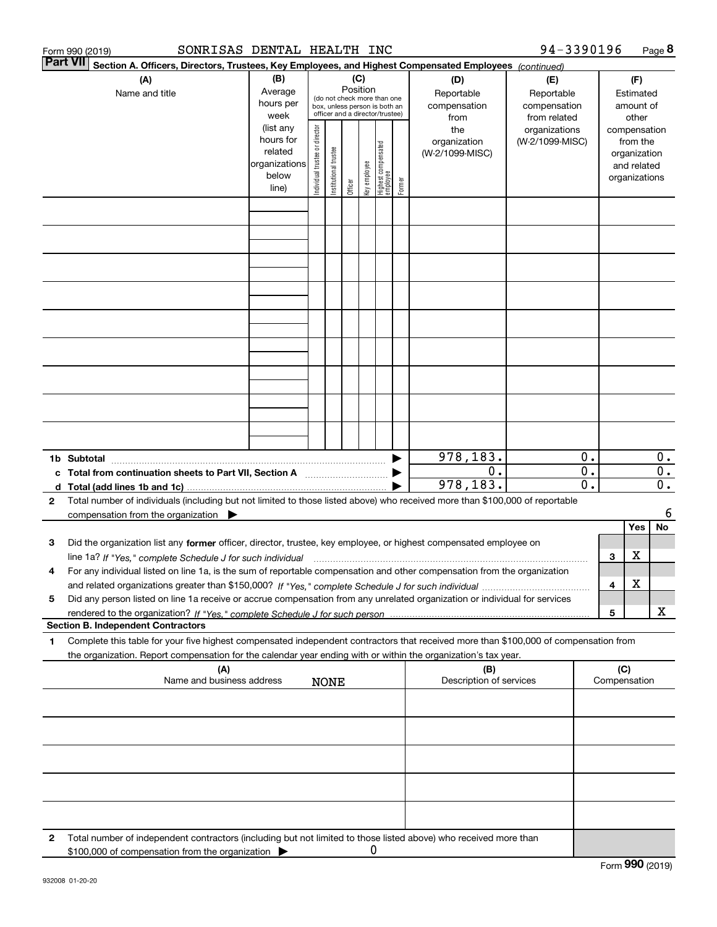|   | SONRISAS DENTAL HEALTH INC<br>Form 990 (2019)                                                                                                                                                                                              |                                                                      |                                |                       |                 |              |                                                                                                 |        |                                           | 94-3390196                                        |                                      |     |                                                                          | Page 8                               |
|---|--------------------------------------------------------------------------------------------------------------------------------------------------------------------------------------------------------------------------------------------|----------------------------------------------------------------------|--------------------------------|-----------------------|-----------------|--------------|-------------------------------------------------------------------------------------------------|--------|-------------------------------------------|---------------------------------------------------|--------------------------------------|-----|--------------------------------------------------------------------------|--------------------------------------|
|   | <b>Part VII</b><br>Section A. Officers, Directors, Trustees, Key Employees, and Highest Compensated Employees (continued)                                                                                                                  |                                                                      |                                |                       |                 |              |                                                                                                 |        |                                           |                                                   |                                      |     |                                                                          |                                      |
|   | (A)<br>Name and title                                                                                                                                                                                                                      | (B)<br>Average<br>hours per<br>week                                  |                                |                       | (C)<br>Position |              | (do not check more than one<br>box, unless person is both an<br>officer and a director/trustee) |        | (D)<br>Reportable<br>compensation<br>from | (E)<br>Reportable<br>compensation<br>from related |                                      |     | (F)<br>Estimated<br>amount of<br>other                                   |                                      |
|   |                                                                                                                                                                                                                                            | (list any<br>hours for<br>related<br>organizations<br>below<br>line) | Individual trustee or director | Institutional trustee | Officer         | key employee | Highest compensated<br>employee                                                                 | Former | the<br>organization<br>(W-2/1099-MISC)    | organizations<br>(W-2/1099-MISC)                  |                                      |     | compensation<br>from the<br>organization<br>and related<br>organizations |                                      |
|   |                                                                                                                                                                                                                                            |                                                                      |                                |                       |                 |              |                                                                                                 |        |                                           |                                                   |                                      |     |                                                                          |                                      |
|   |                                                                                                                                                                                                                                            |                                                                      |                                |                       |                 |              |                                                                                                 |        |                                           |                                                   |                                      |     |                                                                          |                                      |
|   |                                                                                                                                                                                                                                            |                                                                      |                                |                       |                 |              |                                                                                                 |        |                                           |                                                   |                                      |     |                                                                          |                                      |
|   |                                                                                                                                                                                                                                            |                                                                      |                                |                       |                 |              |                                                                                                 |        |                                           |                                                   |                                      |     |                                                                          |                                      |
|   |                                                                                                                                                                                                                                            |                                                                      |                                |                       |                 |              |                                                                                                 |        |                                           |                                                   |                                      |     |                                                                          |                                      |
|   |                                                                                                                                                                                                                                            |                                                                      |                                |                       |                 |              |                                                                                                 |        |                                           |                                                   |                                      |     |                                                                          |                                      |
|   |                                                                                                                                                                                                                                            |                                                                      |                                |                       |                 |              |                                                                                                 |        |                                           |                                                   |                                      |     |                                                                          |                                      |
|   |                                                                                                                                                                                                                                            |                                                                      |                                |                       |                 |              |                                                                                                 |        |                                           |                                                   |                                      |     |                                                                          |                                      |
|   |                                                                                                                                                                                                                                            |                                                                      |                                |                       |                 |              |                                                                                                 |        |                                           |                                                   |                                      |     |                                                                          |                                      |
|   |                                                                                                                                                                                                                                            |                                                                      |                                |                       |                 |              |                                                                                                 |        | 978,183.                                  |                                                   | 0.                                   |     |                                                                          | $0$ .                                |
|   | c Total from continuation sheets to Part VII, Section A manufactor continuum                                                                                                                                                               |                                                                      |                                |                       |                 |              |                                                                                                 |        | $0$ .<br>978,183.                         |                                                   | $\overline{0}$ .<br>$\overline{0}$ . |     |                                                                          | $\overline{0}$ .<br>$\overline{0}$ . |
| 2 | Total number of individuals (including but not limited to those listed above) who received more than \$100,000 of reportable                                                                                                               |                                                                      |                                |                       |                 |              |                                                                                                 |        |                                           |                                                   |                                      |     |                                                                          |                                      |
|   | compensation from the organization $\blacktriangleright$                                                                                                                                                                                   |                                                                      |                                |                       |                 |              |                                                                                                 |        |                                           |                                                   |                                      |     |                                                                          | 6                                    |
|   |                                                                                                                                                                                                                                            |                                                                      |                                |                       |                 |              |                                                                                                 |        |                                           |                                                   |                                      |     | <b>Yes</b>                                                               | No                                   |
| з | Did the organization list any former officer, director, trustee, key employee, or highest compensated employee on                                                                                                                          |                                                                      |                                |                       |                 |              |                                                                                                 |        |                                           |                                                   |                                      |     |                                                                          |                                      |
| 4 | line 1a? If "Yes," complete Schedule J for such individual material content content to the complete Schedule J<br>For any individual listed on line 1a, is the sum of reportable compensation and other compensation from the organization |                                                                      |                                |                       |                 |              |                                                                                                 |        |                                           |                                                   |                                      | 3   | X                                                                        |                                      |
| 5 | Did any person listed on line 1a receive or accrue compensation from any unrelated organization or individual for services                                                                                                                 |                                                                      |                                |                       |                 |              |                                                                                                 |        |                                           |                                                   |                                      | 4   | X                                                                        |                                      |
|   | <b>Section B. Independent Contractors</b>                                                                                                                                                                                                  |                                                                      |                                |                       |                 |              |                                                                                                 |        |                                           |                                                   |                                      | 5   |                                                                          | х                                    |
| 1 | Complete this table for your five highest compensated independent contractors that received more than \$100,000 of compensation from                                                                                                       |                                                                      |                                |                       |                 |              |                                                                                                 |        |                                           |                                                   |                                      |     |                                                                          |                                      |
|   | the organization. Report compensation for the calendar year ending with or within the organization's tax year.<br>(A)<br>Name and business address                                                                                         |                                                                      |                                | <b>NONE</b>           |                 |              |                                                                                                 |        | (B)<br>Description of services            |                                                   |                                      | (C) | Compensation                                                             |                                      |
|   |                                                                                                                                                                                                                                            |                                                                      |                                |                       |                 |              |                                                                                                 |        |                                           |                                                   |                                      |     |                                                                          |                                      |
|   |                                                                                                                                                                                                                                            |                                                                      |                                |                       |                 |              |                                                                                                 |        |                                           |                                                   |                                      |     |                                                                          |                                      |
|   |                                                                                                                                                                                                                                            |                                                                      |                                |                       |                 |              |                                                                                                 |        |                                           |                                                   |                                      |     |                                                                          |                                      |
|   |                                                                                                                                                                                                                                            |                                                                      |                                |                       |                 |              |                                                                                                 |        |                                           |                                                   |                                      |     |                                                                          |                                      |
|   |                                                                                                                                                                                                                                            |                                                                      |                                |                       |                 |              |                                                                                                 |        |                                           |                                                   |                                      |     |                                                                          |                                      |
| 2 | Total number of independent contractors (including but not limited to those listed above) who received more than<br>\$100,000 of compensation from the organization                                                                        |                                                                      |                                |                       |                 | 0            |                                                                                                 |        |                                           |                                                   |                                      |     |                                                                          |                                      |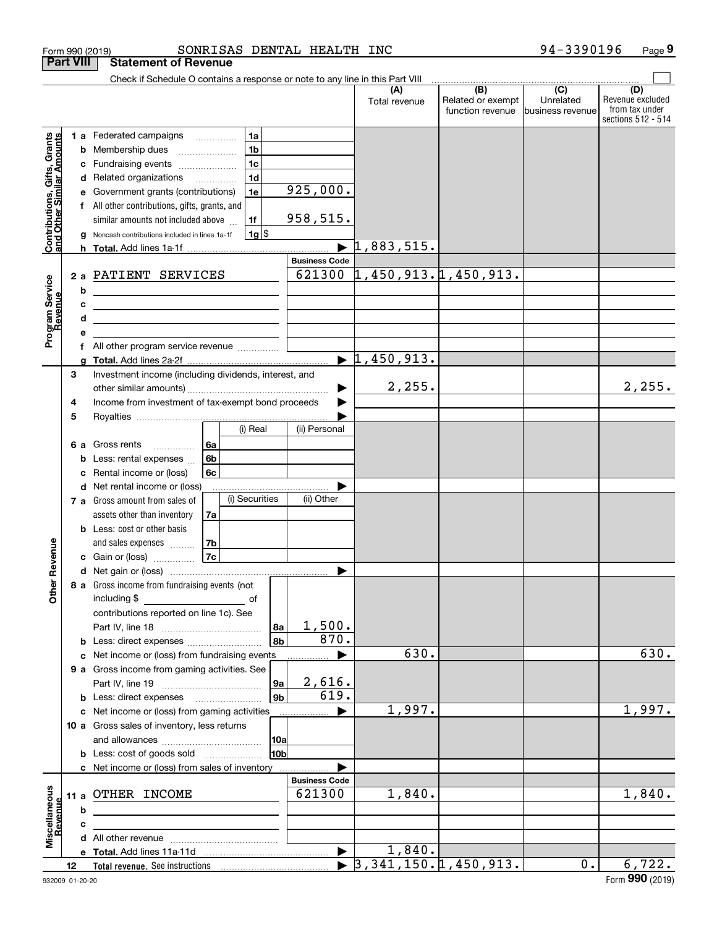|                                                                     | <b>Part VIII</b> |        | <b>Statement of Revenue</b>                                                                                           |                                            |                |                      |                                            |                                                           |                                                 |                                                                 |
|---------------------------------------------------------------------|------------------|--------|-----------------------------------------------------------------------------------------------------------------------|--------------------------------------------|----------------|----------------------|--------------------------------------------|-----------------------------------------------------------|-------------------------------------------------|-----------------------------------------------------------------|
|                                                                     |                  |        | Check if Schedule O contains a response or note to any line in this Part VIII                                         |                                            |                |                      |                                            |                                                           |                                                 |                                                                 |
|                                                                     |                  |        |                                                                                                                       |                                            |                |                      | (A)<br>Total revenue                       | $\overline{(B)}$<br>Related or exempt<br>function revenue | $\overline{C}$<br>Unrelated<br>business revenue | (D)<br>Revenue excluded<br>from tax under<br>sections 512 - 514 |
|                                                                     |                  |        | 1 a Federated campaigns                                                                                               | 1a                                         |                |                      |                                            |                                                           |                                                 |                                                                 |
| Grants<br>Contributions, Gifts, Grants<br>and Other Similar Amounts |                  | b      | Membership dues                                                                                                       | 1 <sub>b</sub>                             |                |                      |                                            |                                                           |                                                 |                                                                 |
|                                                                     |                  | с      | Fundraising events                                                                                                    | 1 <sub>c</sub>                             |                |                      |                                            |                                                           |                                                 |                                                                 |
|                                                                     |                  | d      | Related organizations                                                                                                 | 1 <sub>d</sub><br>$\overline{\phantom{a}}$ |                |                      |                                            |                                                           |                                                 |                                                                 |
|                                                                     |                  |        | Government grants (contributions)                                                                                     | 1e                                         |                | 925,000.             |                                            |                                                           |                                                 |                                                                 |
|                                                                     |                  |        | All other contributions, gifts, grants, and                                                                           |                                            |                |                      |                                            |                                                           |                                                 |                                                                 |
|                                                                     |                  |        | similar amounts not included above                                                                                    | 1f                                         |                | 958,515.             |                                            |                                                           |                                                 |                                                                 |
|                                                                     |                  | a      | Noncash contributions included in lines 1a-1f                                                                         | $1g$ \$                                    |                |                      |                                            |                                                           |                                                 |                                                                 |
|                                                                     |                  |        |                                                                                                                       |                                            |                | <b>Business Code</b> | $\blacktriangleright$ 1,883,515.           |                                                           |                                                 |                                                                 |
|                                                                     |                  |        | PATIENT SERVICES                                                                                                      |                                            |                |                      | $621300$ $1,450,913.1,450,913.$            |                                                           |                                                 |                                                                 |
| Program Service<br>Revenue                                          | 2a               |        |                                                                                                                       |                                            |                |                      |                                            |                                                           |                                                 |                                                                 |
|                                                                     |                  | b      | <u> 1989 - Johann Barn, mars ann an t-Amhain Aonaich an t-Aonaich an t-Aonaich ann an t-Aonaich ann an t-Aonaich</u>  |                                            |                |                      |                                            |                                                           |                                                 |                                                                 |
|                                                                     |                  | c<br>d | <u> 1989 - Johann Barn, mars eta bainar eta bat erroman erroman erroman erroman erroman erroman erroman erroman e</u> |                                            |                |                      |                                            |                                                           |                                                 |                                                                 |
|                                                                     |                  |        | the control of the control of the control of the control of the control of                                            |                                            |                |                      |                                            |                                                           |                                                 |                                                                 |
|                                                                     |                  | f      |                                                                                                                       |                                            |                |                      |                                            |                                                           |                                                 |                                                                 |
|                                                                     |                  |        |                                                                                                                       |                                            |                |                      | $\blacktriangleright$ 1,450,913.           |                                                           |                                                 |                                                                 |
|                                                                     | 3                |        | Investment income (including dividends, interest, and                                                                 |                                            |                |                      |                                            |                                                           |                                                 |                                                                 |
|                                                                     |                  |        |                                                                                                                       |                                            |                |                      | 2,255.                                     |                                                           |                                                 | 2,255.                                                          |
|                                                                     | 4                |        | Income from investment of tax-exempt bond proceeds                                                                    |                                            |                |                      |                                            |                                                           |                                                 |                                                                 |
|                                                                     | 5                |        |                                                                                                                       |                                            |                |                      |                                            |                                                           |                                                 |                                                                 |
|                                                                     |                  |        |                                                                                                                       | (i) Real                                   |                | (ii) Personal        |                                            |                                                           |                                                 |                                                                 |
|                                                                     | 6а               |        | Gross rents<br>.                                                                                                      | 6а                                         |                |                      |                                            |                                                           |                                                 |                                                                 |
|                                                                     |                  |        | Less: rental expenses                                                                                                 | 6b                                         |                |                      |                                            |                                                           |                                                 |                                                                 |
|                                                                     |                  | с      | Rental income or (loss)                                                                                               | 6c                                         |                |                      |                                            |                                                           |                                                 |                                                                 |
|                                                                     |                  | d      | Net rental income or (loss)                                                                                           | (i) Securities                             |                | (ii) Other           |                                            |                                                           |                                                 |                                                                 |
|                                                                     | 7 а              |        | Gross amount from sales of<br>assets other than inventory                                                             | 7a                                         |                |                      |                                            |                                                           |                                                 |                                                                 |
|                                                                     |                  |        | Less: cost or other basis                                                                                             |                                            |                |                      |                                            |                                                           |                                                 |                                                                 |
|                                                                     |                  |        | and sales expenses                                                                                                    | 7b                                         |                |                      |                                            |                                                           |                                                 |                                                                 |
| Revenue                                                             |                  |        | c Gain or (loss)                                                                                                      | 7c                                         |                |                      |                                            |                                                           |                                                 |                                                                 |
|                                                                     |                  |        |                                                                                                                       |                                            |                |                      |                                            |                                                           |                                                 |                                                                 |
| <b>Other</b>                                                        |                  |        | 8 a Gross income from fundraising events (not  <br>including \$                                                       | of                                         |                |                      |                                            |                                                           |                                                 |                                                                 |
|                                                                     |                  |        | contributions reported on line 1c). See                                                                               |                                            |                |                      |                                            |                                                           |                                                 |                                                                 |
|                                                                     |                  |        |                                                                                                                       |                                            | 8a             | 1,500.               |                                            |                                                           |                                                 |                                                                 |
|                                                                     |                  |        |                                                                                                                       |                                            | 8b             | 870.                 |                                            |                                                           |                                                 |                                                                 |
|                                                                     |                  |        | c Net income or (loss) from fundraising events                                                                        |                                            |                |                      | 630.                                       |                                                           |                                                 | 630.                                                            |
|                                                                     |                  |        | 9 a Gross income from gaming activities. See                                                                          |                                            |                |                      |                                            |                                                           |                                                 |                                                                 |
|                                                                     |                  |        |                                                                                                                       |                                            | 9a             | 2,616.               |                                            |                                                           |                                                 |                                                                 |
|                                                                     |                  |        | <b>b</b> Less: direct expenses <b>manually</b>                                                                        |                                            | 9 <sub>b</sub> | 619.                 |                                            |                                                           |                                                 | 1,997.                                                          |
|                                                                     |                  |        | c Net income or (loss) from gaming activities                                                                         |                                            |                |                      | 1,997.                                     |                                                           |                                                 |                                                                 |
|                                                                     |                  |        | 10 a Gross sales of inventory, less returns                                                                           |                                            |                |                      |                                            |                                                           |                                                 |                                                                 |
|                                                                     |                  |        | <b>b</b> Less: cost of goods sold                                                                                     |                                            | 10a<br>10b     |                      |                                            |                                                           |                                                 |                                                                 |
|                                                                     |                  |        | c Net income or (loss) from sales of inventory                                                                        |                                            |                |                      |                                            |                                                           |                                                 |                                                                 |
|                                                                     |                  |        |                                                                                                                       |                                            |                | <b>Business Code</b> |                                            |                                                           |                                                 |                                                                 |
|                                                                     | 11 a             |        | OTHER INCOME                                                                                                          |                                            |                | 621300               | 1,840.                                     |                                                           |                                                 | 1,840.                                                          |
|                                                                     |                  | b      |                                                                                                                       |                                            |                |                      |                                            |                                                           |                                                 |                                                                 |
|                                                                     |                  | c      |                                                                                                                       |                                            |                |                      |                                            |                                                           |                                                 |                                                                 |
| Miscellaneous<br>Revenue                                            |                  |        |                                                                                                                       |                                            |                |                      |                                            |                                                           |                                                 |                                                                 |
|                                                                     |                  |        |                                                                                                                       |                                            |                |                      | 1,840.                                     |                                                           |                                                 |                                                                 |
|                                                                     | 12 <sup>12</sup> |        |                                                                                                                       |                                            |                |                      | $\blacktriangleright$ 3,341,150.1,450,913. |                                                           | $0$ .                                           | 6,722.                                                          |

Form 990 (2019) SONRISAS DENTAL HEALTH INC 94-3390196 Page

**9**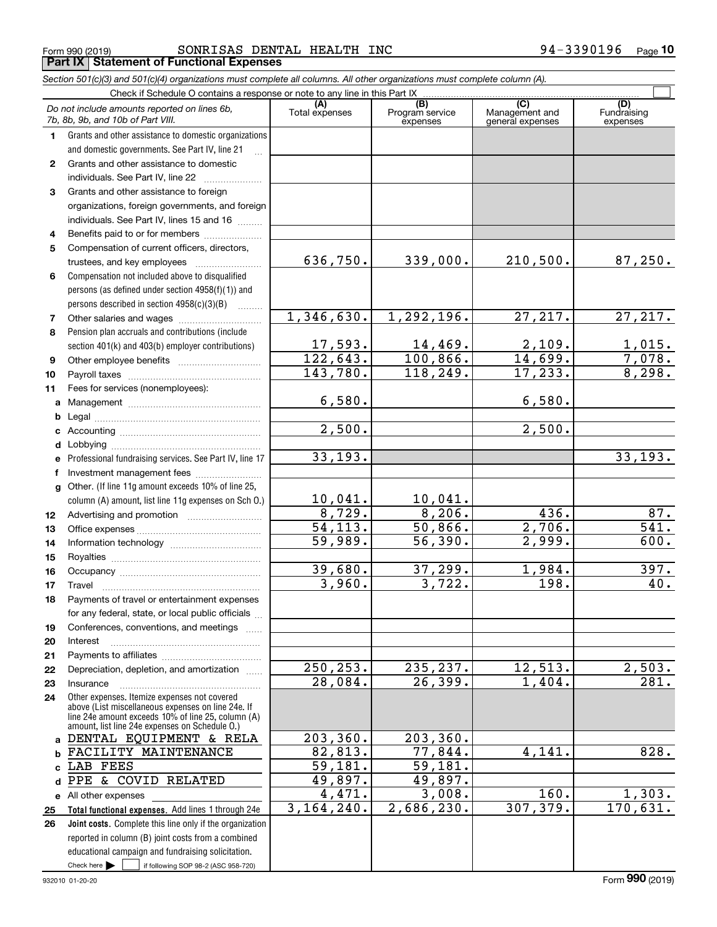**(A) (B) (C) (D)** Check if Schedule O contains a response or note to any line in this Part IX Total expenses | Program service Management and *Do not include amounts reported on lines 6b, 7b, 8b, 9b, and 10b of Part VIII.*

*Section 501(c)(3) and 501(c)(4) organizations must complete all columns. All other organizations must complete column (A).*

|              | Do not include amounts reported on lines 6b,<br>7b, 8b, 9b, and 10b of Part VIII.                                                                                                                          | (A)<br>Total expenses | (B)<br>Program service<br>expenses | (C)<br>Management and<br>general expenses | (U)<br>Fundraising<br>expenses    |
|--------------|------------------------------------------------------------------------------------------------------------------------------------------------------------------------------------------------------------|-----------------------|------------------------------------|-------------------------------------------|-----------------------------------|
| 1.           | Grants and other assistance to domestic organizations                                                                                                                                                      |                       |                                    |                                           |                                   |
|              | and domestic governments. See Part IV, line 21                                                                                                                                                             |                       |                                    |                                           |                                   |
| $\mathbf{2}$ | Grants and other assistance to domestic                                                                                                                                                                    |                       |                                    |                                           |                                   |
|              | individuals. See Part IV, line 22                                                                                                                                                                          |                       |                                    |                                           |                                   |
| 3            | Grants and other assistance to foreign                                                                                                                                                                     |                       |                                    |                                           |                                   |
|              | organizations, foreign governments, and foreign                                                                                                                                                            |                       |                                    |                                           |                                   |
|              | individuals. See Part IV, lines 15 and 16                                                                                                                                                                  |                       |                                    |                                           |                                   |
| 4            | Benefits paid to or for members                                                                                                                                                                            |                       |                                    |                                           |                                   |
| 5            | Compensation of current officers, directors,                                                                                                                                                               |                       |                                    |                                           |                                   |
|              |                                                                                                                                                                                                            | 636,750.              | 339,000.                           | 210,500.                                  | 87,250.                           |
| 6            | Compensation not included above to disqualified                                                                                                                                                            |                       |                                    |                                           |                                   |
|              | persons (as defined under section 4958(f)(1)) and                                                                                                                                                          |                       |                                    |                                           |                                   |
|              |                                                                                                                                                                                                            |                       |                                    |                                           |                                   |
|              | persons described in section 4958(c)(3)(B)<br>1.1.1.1.1.1.1                                                                                                                                                | 1,346,630.            | 1,292,196.                         | 27, 217.                                  | 27,217.                           |
| 7            | Other salaries and wages                                                                                                                                                                                   |                       |                                    |                                           |                                   |
| 8            | Pension plan accruals and contributions (include                                                                                                                                                           |                       |                                    |                                           |                                   |
|              | section 401(k) and 403(b) employer contributions)                                                                                                                                                          | 17,593.<br>122, 643.  | $\frac{14,469}{100,866}$           | $\frac{2,109}{14,699}$                    | $\frac{1,015.}{7,078.}$<br>8,298. |
| 9            |                                                                                                                                                                                                            | 143,780.              | 118,249.                           | 17, 233.                                  |                                   |
| 10           |                                                                                                                                                                                                            |                       |                                    |                                           |                                   |
| 11           | Fees for services (nonemployees):                                                                                                                                                                          |                       |                                    |                                           |                                   |
| a            |                                                                                                                                                                                                            | 6,580.                |                                    | 6,580.                                    |                                   |
| b            |                                                                                                                                                                                                            | 2,500.                |                                    | 2,500.                                    |                                   |
| c            |                                                                                                                                                                                                            |                       |                                    |                                           |                                   |
| d            |                                                                                                                                                                                                            |                       |                                    |                                           |                                   |
| e            | Professional fundraising services. See Part IV, line 17                                                                                                                                                    | 33, 193.              |                                    |                                           | 33,193.                           |
| f            | Investment management fees                                                                                                                                                                                 |                       |                                    |                                           |                                   |
| g            | Other. (If line 11g amount exceeds 10% of line 25,                                                                                                                                                         |                       |                                    |                                           |                                   |
|              | column (A) amount, list line 11g expenses on Sch O.)                                                                                                                                                       | 10,041.<br>8,729.     | 10,041.<br>8,206.                  |                                           |                                   |
| 12           |                                                                                                                                                                                                            |                       |                                    | 436.                                      | 87.<br>$\overline{541}$ .         |
| 13           |                                                                                                                                                                                                            | 54, 113.              | 50,866.                            | 2,706.                                    |                                   |
| 14           |                                                                                                                                                                                                            | 59,989.               | 56,390.                            | $\overline{2,999}$ .                      | 600.                              |
| 15           |                                                                                                                                                                                                            |                       |                                    |                                           |                                   |
| 16           |                                                                                                                                                                                                            | 39,680.               | 37,299.                            | 1,984.                                    | 397.                              |
| 17           | Travel                                                                                                                                                                                                     | 3,960.                | 3,722.                             | $\overline{198}$ .                        | 40.                               |
| 18           | Payments of travel or entertainment expenses                                                                                                                                                               |                       |                                    |                                           |                                   |
|              | for any federal, state, or local public officials                                                                                                                                                          |                       |                                    |                                           |                                   |
| 19           | Conferences, conventions, and meetings                                                                                                                                                                     |                       |                                    |                                           |                                   |
| 20           | Interest                                                                                                                                                                                                   |                       |                                    |                                           |                                   |
| 21           |                                                                                                                                                                                                            |                       |                                    |                                           |                                   |
| 22           | Depreciation, depletion, and amortization                                                                                                                                                                  | 250,253.<br>28,084.   | 235, 237.<br>26,399.               | 12,513.<br>1,404.                         | $\frac{2,503.}{281.}$             |
| 23           | Insurance                                                                                                                                                                                                  |                       |                                    |                                           |                                   |
| 24           | Other expenses. Itemize expenses not covered<br>above (List miscellaneous expenses on line 24e. If<br>line 24e amount exceeds 10% of line 25, column (A)<br>amount, list line 24e expenses on Schedule O.) |                       |                                    |                                           |                                   |
| a            | DENTAL EQUIPMENT & RELA                                                                                                                                                                                    | 203, 360.             | 203, 360.                          |                                           |                                   |
| b            | FACILITY MAINTENANCE                                                                                                                                                                                       | 82,813.               | 77,844.                            | 4,141.                                    | 828.                              |
| c            | LAB FEES                                                                                                                                                                                                   | 59,181.               | 59,181.                            |                                           |                                   |
| d            | PPE<br>& COVID<br><b>RELATED</b>                                                                                                                                                                           | 49,897.               | 49,897.                            |                                           |                                   |
|              | e All other expenses                                                                                                                                                                                       | 4,471.                | 3,008.                             | 160.                                      | <u>1,303.</u>                     |
| 25           | Total functional expenses. Add lines 1 through 24e                                                                                                                                                         | 3, 164, 240.          | 2,686,230.                         | 307,379.                                  | 170,631.                          |
| 26           | Joint costs. Complete this line only if the organization                                                                                                                                                   |                       |                                    |                                           |                                   |
|              | reported in column (B) joint costs from a combined                                                                                                                                                         |                       |                                    |                                           |                                   |
|              | educational campaign and fundraising solicitation.                                                                                                                                                         |                       |                                    |                                           |                                   |
|              | Check here $\blacktriangleright$<br>if following SOP 98-2 (ASC 958-720)                                                                                                                                    |                       |                                    |                                           |                                   |

 $\mathcal{L}^{\text{max}}$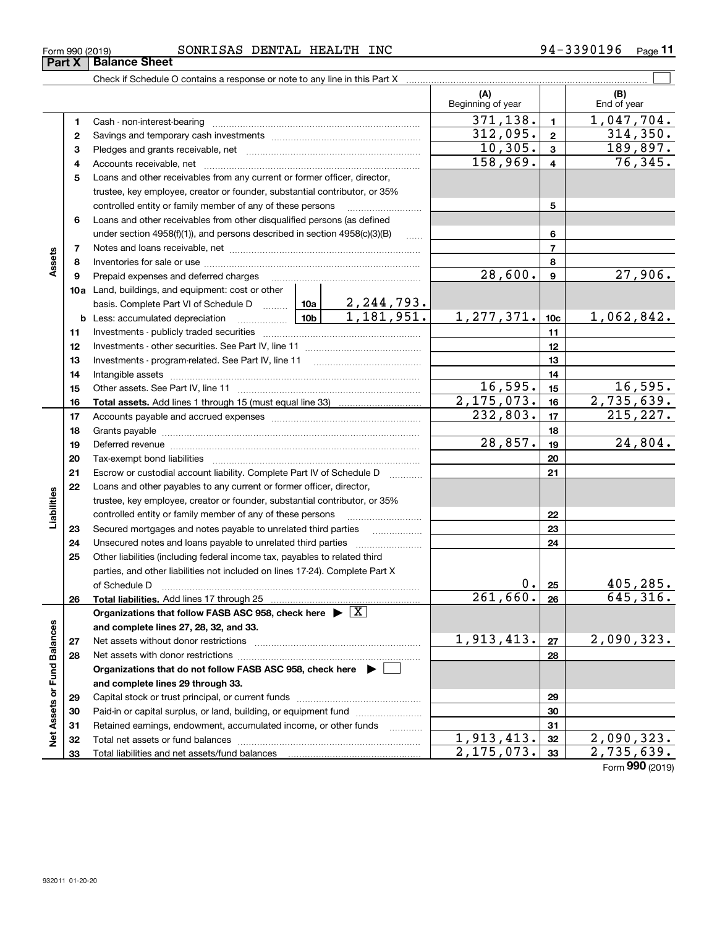| Form 990 (2019) | SONRISAS DENTAL | HEALTH | <b>INC</b> | 3390196<br>$94 -$ | $P$ age |  |
|-----------------|-----------------|--------|------------|-------------------|---------|--|
|                 |                 |        |            |                   |         |  |

|                             |    |                                                                                                                                                                                                                                |                              | (A)<br>Beginning of year |                 | (B)<br>End of year |
|-----------------------------|----|--------------------------------------------------------------------------------------------------------------------------------------------------------------------------------------------------------------------------------|------------------------------|--------------------------|-----------------|--------------------|
|                             | 1  | Cash - non-interest-bearing                                                                                                                                                                                                    |                              | 371, 138.                | $\mathbf{1}$    | 1,047,704.         |
|                             | 2  |                                                                                                                                                                                                                                |                              | 312,095.                 | $\overline{2}$  | 314,350.           |
|                             | 3  |                                                                                                                                                                                                                                |                              | 10,305.                  | $\mathbf{3}$    | 189,897.           |
|                             | 4  |                                                                                                                                                                                                                                |                              | 158,969.                 | $\overline{4}$  | 76, 345.           |
|                             | 5  | Loans and other receivables from any current or former officer, director,                                                                                                                                                      |                              |                          |                 |                    |
|                             |    | trustee, key employee, creator or founder, substantial contributor, or 35%                                                                                                                                                     |                              |                          |                 |                    |
|                             |    | controlled entity or family member of any of these persons                                                                                                                                                                     |                              |                          | 5               |                    |
|                             | 6  | Loans and other receivables from other disqualified persons (as defined                                                                                                                                                        |                              |                          |                 |                    |
|                             |    | under section $4958(f)(1)$ , and persons described in section $4958(c)(3)(B)$                                                                                                                                                  | $\sim$                       |                          | 6               |                    |
|                             | 7  |                                                                                                                                                                                                                                |                              |                          | $\overline{7}$  |                    |
| Assets                      | 8  |                                                                                                                                                                                                                                |                              |                          | 8               |                    |
|                             | 9  |                                                                                                                                                                                                                                |                              | 28,600.                  | $\mathbf{9}$    | 27,906.            |
|                             |    | <b>10a</b> Land, buildings, and equipment: cost or other                                                                                                                                                                       |                              |                          |                 |                    |
|                             |    | basis. Complete Part VI of Schedule D  10a                                                                                                                                                                                     |                              |                          |                 |                    |
|                             |    | 10b<br><b>b</b> Less: accumulated depreciation                                                                                                                                                                                 | 2, 244, 793.<br>1, 181, 951. | 1,277,371.               | 10 <sub>c</sub> | 1,062,842.         |
|                             | 11 |                                                                                                                                                                                                                                |                              |                          | 11              |                    |
|                             | 12 |                                                                                                                                                                                                                                |                              |                          | 12              |                    |
|                             | 13 |                                                                                                                                                                                                                                |                              |                          | 13              |                    |
|                             | 14 |                                                                                                                                                                                                                                |                              |                          | 14              |                    |
|                             | 15 |                                                                                                                                                                                                                                |                              | 16, 595.                 | 15              | 16,595.            |
|                             | 16 |                                                                                                                                                                                                                                |                              | $\overline{2,175,073}$ . | 16              | 2,735,639.         |
|                             | 17 |                                                                                                                                                                                                                                |                              | 232,803.                 | 17              | 215, 227.          |
|                             | 18 |                                                                                                                                                                                                                                |                              |                          | 18              |                    |
|                             | 19 | Deferred revenue manual contracts and contracts are all the contracts and contracts are contracted and contracts are contracted and contract are contracted and contract are contracted and contract are contracted and contra |                              | 28,857.                  | 19              | 24,804.            |
|                             | 20 | Tax-exempt bond liabilities                                                                                                                                                                                                    |                              |                          | 20              |                    |
|                             | 21 | Escrow or custodial account liability. Complete Part IV of Schedule D                                                                                                                                                          |                              |                          | 21              |                    |
|                             | 22 | Loans and other payables to any current or former officer, director,                                                                                                                                                           |                              |                          |                 |                    |
| Liabilities                 |    | trustee, key employee, creator or founder, substantial contributor, or 35%                                                                                                                                                     |                              |                          |                 |                    |
|                             |    | controlled entity or family member of any of these persons                                                                                                                                                                     |                              |                          | 22              |                    |
|                             | 23 | Secured mortgages and notes payable to unrelated third parties                                                                                                                                                                 |                              |                          | 23              |                    |
|                             | 24 | Unsecured notes and loans payable to unrelated third parties                                                                                                                                                                   |                              |                          | 24              |                    |
|                             | 25 | Other liabilities (including federal income tax, payables to related third                                                                                                                                                     |                              |                          |                 |                    |
|                             |    | parties, and other liabilities not included on lines 17-24). Complete Part X                                                                                                                                                   |                              |                          |                 |                    |
|                             |    | of Schedule D                                                                                                                                                                                                                  |                              | 0.                       | 25              | 405,285.           |
|                             | 26 | Total liabilities. Add lines 17 through 25                                                                                                                                                                                     |                              | 261,660.                 | 26              | 645, 316.          |
|                             |    | Organizations that follow FASB ASC 958, check here $\blacktriangleright \boxed{X}$                                                                                                                                             |                              |                          |                 |                    |
|                             |    | and complete lines 27, 28, 32, and 33.                                                                                                                                                                                         |                              |                          |                 |                    |
|                             | 27 | Net assets without donor restrictions                                                                                                                                                                                          |                              | 1,913,413.               | 27              | 2,090,323.         |
|                             | 28 |                                                                                                                                                                                                                                |                              |                          | 28              |                    |
|                             |    | Organizations that do not follow FASB ASC 958, check here $\blacktriangleright \Box$                                                                                                                                           |                              |                          |                 |                    |
|                             |    | and complete lines 29 through 33.                                                                                                                                                                                              |                              |                          |                 |                    |
|                             | 29 |                                                                                                                                                                                                                                |                              |                          | 29              |                    |
|                             | 30 | Paid-in or capital surplus, or land, building, or equipment fund                                                                                                                                                               |                              |                          | 30              |                    |
|                             | 31 | Retained earnings, endowment, accumulated income, or other funds                                                                                                                                                               |                              |                          | 31              |                    |
| Net Assets or Fund Balances | 32 |                                                                                                                                                                                                                                |                              | 1,913,413.               | 32              | 2,090,323.         |
|                             | 33 |                                                                                                                                                                                                                                |                              | 2, 175, 073.             | 33              | 2,735,639.         |

Form (2019) **990**

### **Part X Balance Sheet**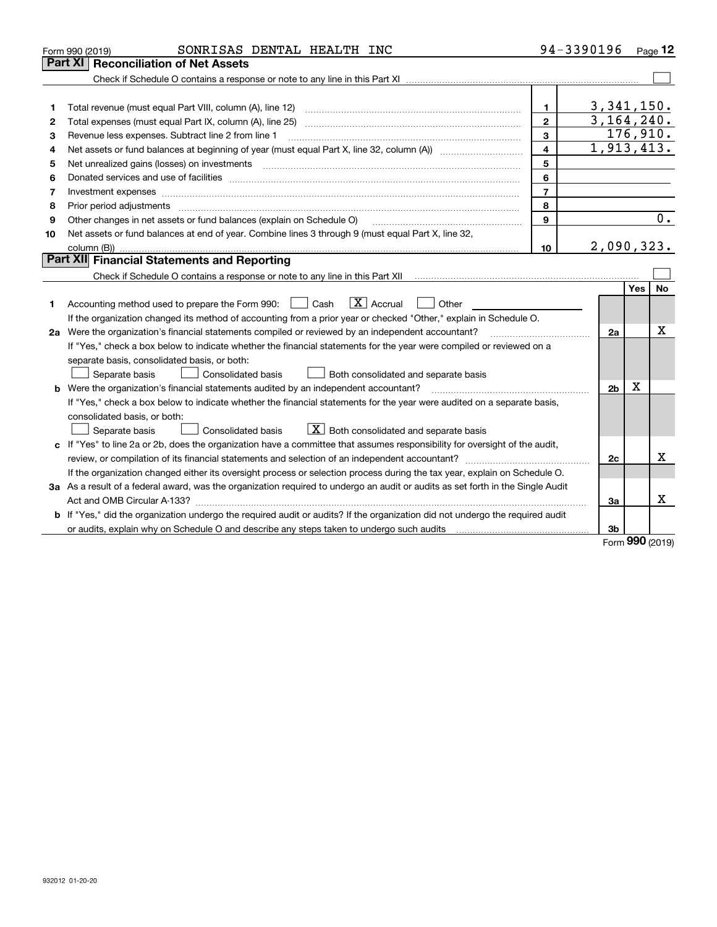|    | 94-3390196<br>SONRISAS DENTAL HEALTH INC<br>Form 990 (2019)                                                                                                                                                                                      |                          |            | Page $12$ |
|----|--------------------------------------------------------------------------------------------------------------------------------------------------------------------------------------------------------------------------------------------------|--------------------------|------------|-----------|
|    | <b>Reconciliation of Net Assets</b><br>  Part XI                                                                                                                                                                                                 |                          |            |           |
|    |                                                                                                                                                                                                                                                  |                          |            |           |
|    |                                                                                                                                                                                                                                                  |                          |            |           |
| 1  | Total revenue (must equal Part VIII, column (A), line 12)<br>1.                                                                                                                                                                                  | 3,341,150.               |            |           |
| 2  | $\overline{2}$<br>Total expenses (must equal Part IX, column (A), line 25)                                                                                                                                                                       | $\overline{3,164,240}$ . |            |           |
| 3  | 3<br>Revenue less expenses. Subtract line 2 from line 1                                                                                                                                                                                          | 176,910.                 |            |           |
| 4  | 4                                                                                                                                                                                                                                                | 1,913,413.               |            |           |
| 5  | 5<br>Net unrealized gains (losses) on investments [11] [11] non-manufactured manufactured manufactured manufactured manufactured manufactured manufactured manufactured manufactured manufactured manufactured manufactured manufac              |                          |            |           |
| 6  | 6                                                                                                                                                                                                                                                |                          |            |           |
| 7  | $\overline{7}$<br>Investment expenses with an annual contract expenses and contract and contract expenses and contract expenses and contract expenses and contract expenses and contract expenses and contract expenses and contract expenses an |                          |            |           |
| 8  | 8<br>Prior period adjustments                                                                                                                                                                                                                    |                          |            |           |
| 9  | 9<br>Other changes in net assets or fund balances (explain on Schedule O)                                                                                                                                                                        |                          |            | 0.        |
| 10 | Net assets or fund balances at end of year. Combine lines 3 through 9 (must equal Part X, line 32,                                                                                                                                               |                          |            |           |
|    | column (B))<br>10 <sup>10</sup>                                                                                                                                                                                                                  | 2,090,323.               |            |           |
|    | <b>Part XII</b> Financial Statements and Reporting                                                                                                                                                                                               |                          |            |           |
|    | Check if Schedule O contains a response or note to any line in this Part XII [11] [12] Check if Schedule O contains a response or note to any line in this Part XII                                                                              |                          |            |           |
|    |                                                                                                                                                                                                                                                  |                          | <b>Yes</b> | <b>No</b> |
| 1  | $\boxed{\text{X}}$ Accrual<br>Accounting method used to prepare the Form 990: <u>I</u> Cash<br>Other                                                                                                                                             |                          |            |           |
|    | If the organization changed its method of accounting from a prior year or checked "Other," explain in Schedule O.                                                                                                                                |                          |            |           |
|    | 2a Were the organization's financial statements compiled or reviewed by an independent accountant?                                                                                                                                               | 2a                       |            | х         |
|    | If "Yes," check a box below to indicate whether the financial statements for the year were compiled or reviewed on a                                                                                                                             |                          |            |           |
|    | separate basis, consolidated basis, or both:                                                                                                                                                                                                     |                          |            |           |
|    | Separate basis<br><b>Consolidated basis</b><br>Both consolidated and separate basis                                                                                                                                                              |                          |            |           |
|    | <b>b</b> Were the organization's financial statements audited by an independent accountant?                                                                                                                                                      | 2 <sub>b</sub>           | х          |           |
|    | If "Yes," check a box below to indicate whether the financial statements for the year were audited on a separate basis,                                                                                                                          |                          |            |           |
|    | consolidated basis, or both:                                                                                                                                                                                                                     |                          |            |           |
|    | $X$ Both consolidated and separate basis<br>Separate basis<br><b>Consolidated basis</b>                                                                                                                                                          |                          |            |           |
| c  | If "Yes" to line 2a or 2b, does the organization have a committee that assumes responsibility for oversight of the audit,                                                                                                                        |                          |            |           |
|    |                                                                                                                                                                                                                                                  | 2c                       |            | x         |
|    | If the organization changed either its oversight process or selection process during the tax year, explain on Schedule O.                                                                                                                        |                          |            |           |
|    | 3a As a result of a federal award, was the organization required to undergo an audit or audits as set forth in the Single Audit                                                                                                                  |                          |            |           |
|    |                                                                                                                                                                                                                                                  | За                       |            | x         |
|    | b If "Yes," did the organization undergo the required audit or audits? If the organization did not undergo the required audit                                                                                                                    |                          |            |           |
|    |                                                                                                                                                                                                                                                  | 3b                       |            |           |

Form (2019) **990**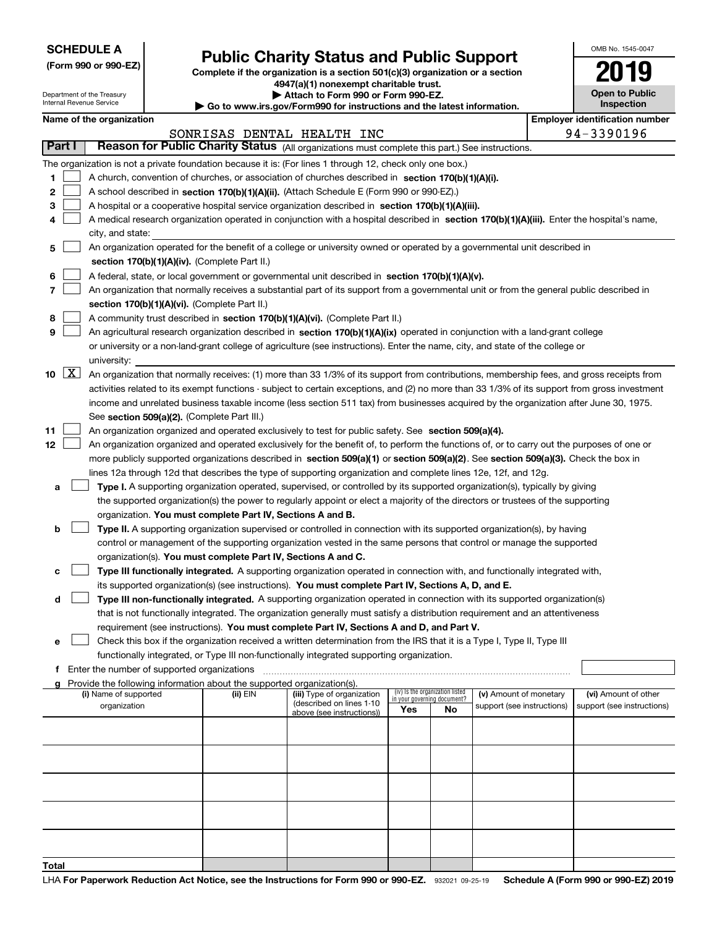| <b>SCHEDULE A</b> |
|-------------------|
|-------------------|

Department of the Treasury Internal Revenue Service

**(Form 990 or 990-EZ)**

### **Public Charity Status and Public Support**

**Complete if the organization is a section 501(c)(3) organization or a section 4947(a)(1) nonexempt charitable trust.**

**| Attach to Form 990 or Form 990-EZ.** 

**| Go to www.irs.gov/Form990 for instructions and the latest information.**

| OMB No 1545-0047                    |
|-------------------------------------|
| 2019                                |
| <b>Open to Public</b><br>Inspection |

| Name of the organization |  |
|--------------------------|--|
|--------------------------|--|

|       | Name of the organization<br><b>Employer identification number</b> |                                                                                                                                               |          |                            |                             |                                 |                            |                            |
|-------|-------------------------------------------------------------------|-----------------------------------------------------------------------------------------------------------------------------------------------|----------|----------------------------|-----------------------------|---------------------------------|----------------------------|----------------------------|
|       |                                                                   |                                                                                                                                               |          | SONRISAS DENTAL HEALTH INC |                             |                                 |                            | 94-3390196                 |
|       | Part I                                                            | Reason for Public Charity Status (All organizations must complete this part.) See instructions.                                               |          |                            |                             |                                 |                            |                            |
|       |                                                                   | The organization is not a private foundation because it is: (For lines 1 through 12, check only one box.)                                     |          |                            |                             |                                 |                            |                            |
| 1.    |                                                                   | A church, convention of churches, or association of churches described in section 170(b)(1)(A)(i).                                            |          |                            |                             |                                 |                            |                            |
| 2     |                                                                   | A school described in section 170(b)(1)(A)(ii). (Attach Schedule E (Form 990 or 990-EZ).)                                                     |          |                            |                             |                                 |                            |                            |
| з     |                                                                   | A hospital or a cooperative hospital service organization described in section 170(b)(1)(A)(iii).                                             |          |                            |                             |                                 |                            |                            |
| 4     |                                                                   | A medical research organization operated in conjunction with a hospital described in section 170(b)(1)(A)(iii). Enter the hospital's name,    |          |                            |                             |                                 |                            |                            |
|       |                                                                   | city, and state:                                                                                                                              |          |                            |                             |                                 |                            |                            |
| 5     |                                                                   | An organization operated for the benefit of a college or university owned or operated by a governmental unit described in                     |          |                            |                             |                                 |                            |                            |
|       |                                                                   | section 170(b)(1)(A)(iv). (Complete Part II.)                                                                                                 |          |                            |                             |                                 |                            |                            |
| 6     |                                                                   | A federal, state, or local government or governmental unit described in section 170(b)(1)(A)(v).                                              |          |                            |                             |                                 |                            |                            |
| 7     |                                                                   | An organization that normally receives a substantial part of its support from a governmental unit or from the general public described in     |          |                            |                             |                                 |                            |                            |
|       |                                                                   | section 170(b)(1)(A)(vi). (Complete Part II.)                                                                                                 |          |                            |                             |                                 |                            |                            |
| 8     |                                                                   | A community trust described in section 170(b)(1)(A)(vi). (Complete Part II.)                                                                  |          |                            |                             |                                 |                            |                            |
| 9     |                                                                   | An agricultural research organization described in section 170(b)(1)(A)(ix) operated in conjunction with a land-grant college                 |          |                            |                             |                                 |                            |                            |
|       |                                                                   | or university or a non-land-grant college of agriculture (see instructions). Enter the name, city, and state of the college or                |          |                            |                             |                                 |                            |                            |
|       |                                                                   | university:                                                                                                                                   |          |                            |                             |                                 |                            |                            |
|       | 10 $X$                                                            | An organization that normally receives: (1) more than 33 1/3% of its support from contributions, membership fees, and gross receipts from     |          |                            |                             |                                 |                            |                            |
|       |                                                                   | activities related to its exempt functions - subject to certain exceptions, and (2) no more than 33 1/3% of its support from gross investment |          |                            |                             |                                 |                            |                            |
|       |                                                                   | income and unrelated business taxable income (less section 511 tax) from businesses acquired by the organization after June 30, 1975.         |          |                            |                             |                                 |                            |                            |
|       |                                                                   | See section 509(a)(2). (Complete Part III.)                                                                                                   |          |                            |                             |                                 |                            |                            |
| 11    |                                                                   | An organization organized and operated exclusively to test for public safety. See section 509(a)(4).                                          |          |                            |                             |                                 |                            |                            |
| 12    |                                                                   | An organization organized and operated exclusively for the benefit of, to perform the functions of, or to carry out the purposes of one or    |          |                            |                             |                                 |                            |                            |
|       |                                                                   | more publicly supported organizations described in section 509(a)(1) or section 509(a)(2). See section 509(a)(3). Check the box in            |          |                            |                             |                                 |                            |                            |
|       |                                                                   | lines 12a through 12d that describes the type of supporting organization and complete lines 12e, 12f, and 12g.                                |          |                            |                             |                                 |                            |                            |
| a     |                                                                   | Type I. A supporting organization operated, supervised, or controlled by its supported organization(s), typically by giving                   |          |                            |                             |                                 |                            |                            |
|       |                                                                   | the supported organization(s) the power to regularly appoint or elect a majority of the directors or trustees of the supporting               |          |                            |                             |                                 |                            |                            |
|       |                                                                   | organization. You must complete Part IV, Sections A and B.                                                                                    |          |                            |                             |                                 |                            |                            |
| b     |                                                                   | Type II. A supporting organization supervised or controlled in connection with its supported organization(s), by having                       |          |                            |                             |                                 |                            |                            |
|       |                                                                   | control or management of the supporting organization vested in the same persons that control or manage the supported                          |          |                            |                             |                                 |                            |                            |
|       |                                                                   | organization(s). You must complete Part IV, Sections A and C.                                                                                 |          |                            |                             |                                 |                            |                            |
| с     |                                                                   | Type III functionally integrated. A supporting organization operated in connection with, and functionally integrated with,                    |          |                            |                             |                                 |                            |                            |
|       |                                                                   | its supported organization(s) (see instructions). You must complete Part IV, Sections A, D, and E.                                            |          |                            |                             |                                 |                            |                            |
| d     |                                                                   | Type III non-functionally integrated. A supporting organization operated in connection with its supported organization(s)                     |          |                            |                             |                                 |                            |                            |
|       |                                                                   | that is not functionally integrated. The organization generally must satisfy a distribution requirement and an attentiveness                  |          |                            |                             |                                 |                            |                            |
|       |                                                                   | requirement (see instructions). You must complete Part IV, Sections A and D, and Part V.                                                      |          |                            |                             |                                 |                            |                            |
| е     |                                                                   | Check this box if the organization received a written determination from the IRS that it is a Type I, Type II, Type III                       |          |                            |                             |                                 |                            |                            |
|       |                                                                   | functionally integrated, or Type III non-functionally integrated supporting organization.                                                     |          |                            |                             |                                 |                            |                            |
| f     |                                                                   | Enter the number of supported organizations                                                                                                   |          |                            |                             |                                 |                            |                            |
|       |                                                                   | Provide the following information about the supported organization(s).<br>(i) Name of supported                                               | (ii) EIN | (iii) Type of organization |                             | (iv) Is the organization listed | (v) Amount of monetary     | (vi) Amount of other       |
|       |                                                                   | organization                                                                                                                                  |          | (described on lines 1-10   | in your governing document? |                                 | support (see instructions) | support (see instructions) |
|       |                                                                   |                                                                                                                                               |          | above (see instructions))  | Yes                         | No.                             |                            |                            |
|       |                                                                   |                                                                                                                                               |          |                            |                             |                                 |                            |                            |
|       |                                                                   |                                                                                                                                               |          |                            |                             |                                 |                            |                            |
|       |                                                                   |                                                                                                                                               |          |                            |                             |                                 |                            |                            |
|       |                                                                   |                                                                                                                                               |          |                            |                             |                                 |                            |                            |
|       |                                                                   |                                                                                                                                               |          |                            |                             |                                 |                            |                            |
|       |                                                                   |                                                                                                                                               |          |                            |                             |                                 |                            |                            |
|       |                                                                   |                                                                                                                                               |          |                            |                             |                                 |                            |                            |
|       |                                                                   |                                                                                                                                               |          |                            |                             |                                 |                            |                            |
|       |                                                                   |                                                                                                                                               |          |                            |                             |                                 |                            |                            |
| Total |                                                                   |                                                                                                                                               |          |                            |                             |                                 |                            |                            |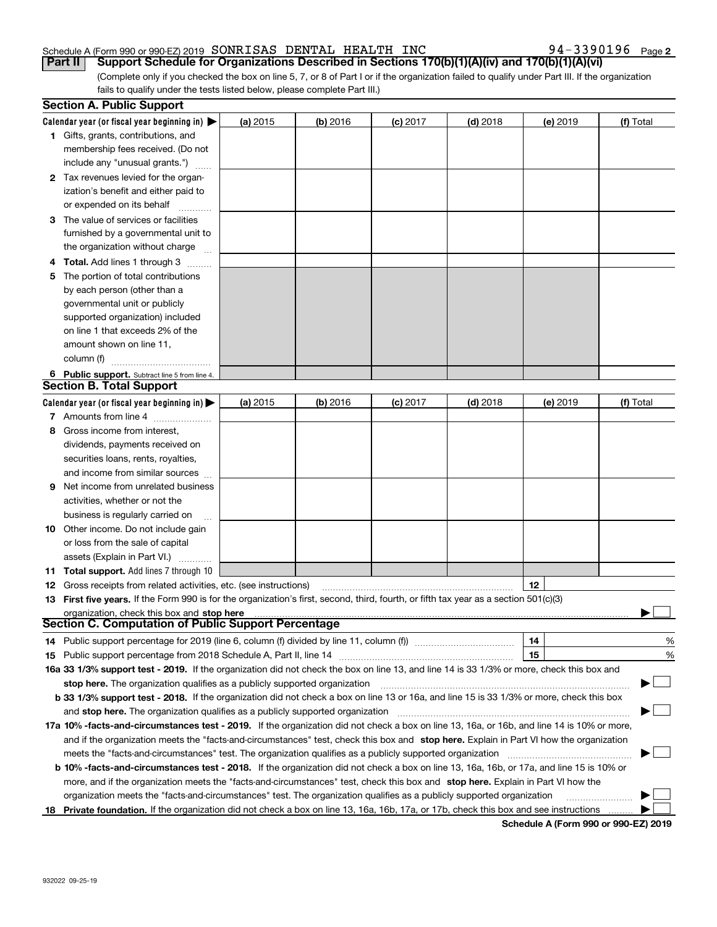**2**

(Complete only if you checked the box on line 5, 7, or 8 of Part I or if the organization failed to qualify under Part III. If the organization fails to qualify under the tests listed below, please complete Part III.) **Part II Support Schedule for Organizations Described in Sections 170(b)(1)(A)(iv) and 170(b)(1)(A)(vi)** 

|    | <b>Section A. Public Support</b>                                                                                                               |            |            |            |            |          |           |
|----|------------------------------------------------------------------------------------------------------------------------------------------------|------------|------------|------------|------------|----------|-----------|
|    | Calendar year (or fiscal year beginning in) $\blacktriangleright$                                                                              | (a) 2015   | $(b)$ 2016 | $(c)$ 2017 | $(d)$ 2018 | (e) 2019 | (f) Total |
|    | 1 Gifts, grants, contributions, and                                                                                                            |            |            |            |            |          |           |
|    | membership fees received. (Do not                                                                                                              |            |            |            |            |          |           |
|    | include any "unusual grants.")                                                                                                                 |            |            |            |            |          |           |
|    | 2 Tax revenues levied for the organ-                                                                                                           |            |            |            |            |          |           |
|    | ization's benefit and either paid to                                                                                                           |            |            |            |            |          |           |
|    | or expended on its behalf                                                                                                                      |            |            |            |            |          |           |
|    | 3 The value of services or facilities                                                                                                          |            |            |            |            |          |           |
|    | furnished by a governmental unit to                                                                                                            |            |            |            |            |          |           |
|    | the organization without charge                                                                                                                |            |            |            |            |          |           |
|    | 4 Total. Add lines 1 through 3                                                                                                                 |            |            |            |            |          |           |
| 5. | The portion of total contributions                                                                                                             |            |            |            |            |          |           |
|    | by each person (other than a                                                                                                                   |            |            |            |            |          |           |
|    | governmental unit or publicly                                                                                                                  |            |            |            |            |          |           |
|    | supported organization) included                                                                                                               |            |            |            |            |          |           |
|    | on line 1 that exceeds 2% of the                                                                                                               |            |            |            |            |          |           |
|    | amount shown on line 11,                                                                                                                       |            |            |            |            |          |           |
|    | column (f)                                                                                                                                     |            |            |            |            |          |           |
|    | 6 Public support. Subtract line 5 from line 4.                                                                                                 |            |            |            |            |          |           |
|    | <b>Section B. Total Support</b>                                                                                                                |            |            |            |            |          |           |
|    | Calendar year (or fiscal year beginning in)                                                                                                    | (a) $2015$ | $(b)$ 2016 | $(c)$ 2017 | $(d)$ 2018 | (e) 2019 | (f) Total |
|    | 7 Amounts from line 4                                                                                                                          |            |            |            |            |          |           |
|    | 8 Gross income from interest,                                                                                                                  |            |            |            |            |          |           |
|    | dividends, payments received on                                                                                                                |            |            |            |            |          |           |
|    | securities loans, rents, royalties,                                                                                                            |            |            |            |            |          |           |
|    | and income from similar sources                                                                                                                |            |            |            |            |          |           |
| 9. | Net income from unrelated business                                                                                                             |            |            |            |            |          |           |
|    | activities, whether or not the                                                                                                                 |            |            |            |            |          |           |
|    | business is regularly carried on                                                                                                               |            |            |            |            |          |           |
|    | <b>10</b> Other income. Do not include gain                                                                                                    |            |            |            |            |          |           |
|    | or loss from the sale of capital                                                                                                               |            |            |            |            |          |           |
|    | assets (Explain in Part VI.)                                                                                                                   |            |            |            |            |          |           |
|    | 11 Total support. Add lines 7 through 10                                                                                                       |            |            |            |            |          |           |
|    | <b>12</b> Gross receipts from related activities, etc. (see instructions)                                                                      |            |            |            |            | 12       |           |
|    | 13 First five years. If the Form 990 is for the organization's first, second, third, fourth, or fifth tax year as a section 501(c)(3)          |            |            |            |            |          |           |
|    | organization, check this box and stop here                                                                                                     |            |            |            |            |          |           |
|    | Section C. Computation of Public Support Percentage                                                                                            |            |            |            |            |          |           |
|    | 14 Public support percentage for 2019 (line 6, column (f) divided by line 11, column (f) <i>mummeronom</i>                                     |            |            |            |            | 14       | %         |
|    |                                                                                                                                                |            |            |            |            | 15       | %         |
|    | 16a 33 1/3% support test - 2019. If the organization did not check the box on line 13, and line 14 is 33 1/3% or more, check this box and      |            |            |            |            |          |           |
|    | stop here. The organization qualifies as a publicly supported organization                                                                     |            |            |            |            |          | ▔▁∣       |
|    | b 33 1/3% support test - 2018. If the organization did not check a box on line 13 or 16a, and line 15 is 33 1/3% or more, check this box       |            |            |            |            |          |           |
|    | and stop here. The organization qualifies as a publicly supported organization                                                                 |            |            |            |            |          |           |
|    | 17a 10% -facts-and-circumstances test - 2019. If the organization did not check a box on line 13, 16a, or 16b, and line 14 is 10% or more,     |            |            |            |            |          |           |
|    | and if the organization meets the "facts-and-circumstances" test, check this box and stop here. Explain in Part VI how the organization        |            |            |            |            |          |           |
|    | meets the "facts-and-circumstances" test. The organization qualifies as a publicly supported organization                                      |            |            |            |            |          |           |
|    | <b>b 10% -facts-and-circumstances test - 2018.</b> If the organization did not check a box on line 13, 16a, 16b, or 17a, and line 15 is 10% or |            |            |            |            |          |           |
|    | more, and if the organization meets the "facts-and-circumstances" test, check this box and stop here. Explain in Part VI how the               |            |            |            |            |          |           |
|    | organization meets the "facts-and-circumstances" test. The organization qualifies as a publicly supported organization                         |            |            |            |            |          |           |
|    | 18 Private foundation. If the organization did not check a box on line 13, 16a, 16b, 17a, or 17b, check this box and see instructions          |            |            |            |            |          |           |
|    |                                                                                                                                                |            |            |            |            |          |           |

**Schedule A (Form 990 or 990-EZ) 2019**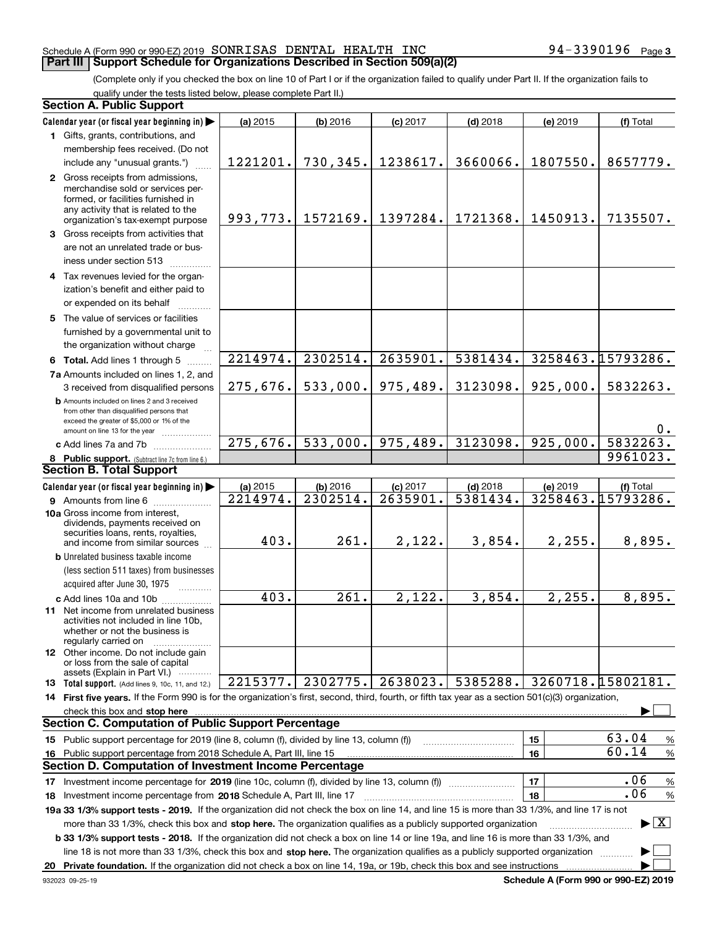(Complete only if you checked the box on line 10 of Part I or if the organization failed to qualify under Part II. If the organization fails to qualify under the tests listed below, please complete Part II.)

| <b>Section A. Public Support</b>                                                                                                                                                                                                      |           |            |            |            |          |                                 |
|---------------------------------------------------------------------------------------------------------------------------------------------------------------------------------------------------------------------------------------|-----------|------------|------------|------------|----------|---------------------------------|
| Calendar year (or fiscal year beginning in)                                                                                                                                                                                           | (a) 2015  | $(b)$ 2016 | $(c)$ 2017 | $(d)$ 2018 | (e) 2019 | (f) Total                       |
| 1 Gifts, grants, contributions, and                                                                                                                                                                                                   |           |            |            |            |          |                                 |
| membership fees received. (Do not                                                                                                                                                                                                     |           |            |            |            |          |                                 |
| include any "unusual grants.")                                                                                                                                                                                                        | 1221201.  | 730,345.   | 1238617.   | 3660066.   | 1807550. | 8657779.                        |
| 2 Gross receipts from admissions,                                                                                                                                                                                                     |           |            |            |            |          |                                 |
| merchandise sold or services per-                                                                                                                                                                                                     |           |            |            |            |          |                                 |
| formed, or facilities furnished in<br>any activity that is related to the                                                                                                                                                             |           |            |            |            |          |                                 |
| organization's tax-exempt purpose                                                                                                                                                                                                     | 993, 773. | 1572169.   | 1397284.   | 1721368.   | 1450913. | 7135507.                        |
| 3 Gross receipts from activities that                                                                                                                                                                                                 |           |            |            |            |          |                                 |
| are not an unrelated trade or bus-                                                                                                                                                                                                    |           |            |            |            |          |                                 |
| iness under section 513                                                                                                                                                                                                               |           |            |            |            |          |                                 |
| 4 Tax revenues levied for the organ-                                                                                                                                                                                                  |           |            |            |            |          |                                 |
| ization's benefit and either paid to                                                                                                                                                                                                  |           |            |            |            |          |                                 |
| or expended on its behalf                                                                                                                                                                                                             |           |            |            |            |          |                                 |
| 5 The value of services or facilities                                                                                                                                                                                                 |           |            |            |            |          |                                 |
| furnished by a governmental unit to                                                                                                                                                                                                   |           |            |            |            |          |                                 |
| the organization without charge                                                                                                                                                                                                       |           |            |            |            |          |                                 |
| 6 Total. Add lines 1 through 5                                                                                                                                                                                                        | 2214974.  | 2302514.   | 2635901.   | 5381434.   |          | 3258463.15793286.               |
| 7a Amounts included on lines 1, 2, and                                                                                                                                                                                                |           |            |            |            |          |                                 |
| 3 received from disqualified persons                                                                                                                                                                                                  | 275,676.  | 533,000.   | 975,489.   | 3123098.   | 925,000. | 5832263.                        |
| <b>b</b> Amounts included on lines 2 and 3 received                                                                                                                                                                                   |           |            |            |            |          |                                 |
| from other than disqualified persons that                                                                                                                                                                                             |           |            |            |            |          |                                 |
| exceed the greater of \$5,000 or 1% of the<br>amount on line 13 for the year                                                                                                                                                          |           |            |            |            |          | 0.                              |
| c Add lines 7a and 7b                                                                                                                                                                                                                 | 275,676.  | 533,000.   | 975,489.   | 3123098.   | 925,000. | 5832263.                        |
| 8 Public support. (Subtract line 7c from line 6.)                                                                                                                                                                                     |           |            |            |            |          | 9961023.                        |
| <b>Section B. Total Support</b>                                                                                                                                                                                                       |           |            |            |            |          |                                 |
| Calendar year (or fiscal year beginning in)                                                                                                                                                                                           | (a) 2015  | (b) 2016   | $(c)$ 2017 | $(d)$ 2018 | (e) 2019 | (f) Total                       |
| <b>9</b> Amounts from line 6                                                                                                                                                                                                          | 2214974.  | 2302514.   | 2635901.   | 5381434.   |          | 3258463.15793286.               |
| 10a Gross income from interest,                                                                                                                                                                                                       |           |            |            |            |          |                                 |
| dividends, payments received on                                                                                                                                                                                                       |           |            |            |            |          |                                 |
| securities loans, rents, royalties,<br>and income from similar sources                                                                                                                                                                | 403.      | 261.       | 2,122.     | 3,854.     | 2, 255.  | 8,895.                          |
| <b>b</b> Unrelated business taxable income                                                                                                                                                                                            |           |            |            |            |          |                                 |
| (less section 511 taxes) from businesses                                                                                                                                                                                              |           |            |            |            |          |                                 |
| acquired after June 30, 1975                                                                                                                                                                                                          |           |            |            |            |          |                                 |
| c Add lines 10a and 10b                                                                                                                                                                                                               | 403.      | 261.       | 2,122.     | 3,854.     | 2, 255.  | 8,895.                          |
| 11 Net income from unrelated business                                                                                                                                                                                                 |           |            |            |            |          |                                 |
| activities not included in line 10b,                                                                                                                                                                                                  |           |            |            |            |          |                                 |
| whether or not the business is<br>regularly carried on                                                                                                                                                                                |           |            |            |            |          |                                 |
| <b>12</b> Other income. Do not include gain                                                                                                                                                                                           |           |            |            |            |          |                                 |
| or loss from the sale of capital                                                                                                                                                                                                      |           |            |            |            |          |                                 |
| assets (Explain in Part VI.)<br>13 Total support. (Add lines 9, 10c, 11, and 12.)                                                                                                                                                     | 2215377.  | 2302775.   | 2638023.   | 5385288.   |          | 3260718.15802181.               |
| 14 First five years. If the Form 990 is for the organization's first, second, third, fourth, or fifth tax year as a section 501(c)(3) organization,                                                                                   |           |            |            |            |          |                                 |
| check this box and <b>stop here</b> measurement contracts and a structure of the state of the state of the state of the state of the state of the state of the state of the state of the state of the state of the state of the sta   |           |            |            |            |          |                                 |
| <b>Section C. Computation of Public Support Percentage</b>                                                                                                                                                                            |           |            |            |            |          |                                 |
| 15 Public support percentage for 2019 (line 8, column (f), divided by line 13, column (f))                                                                                                                                            |           |            |            |            | 15       | 63.04<br>%                      |
| 16 Public support percentage from 2018 Schedule A, Part III, line 15                                                                                                                                                                  |           |            |            |            | 16       | 60.14<br>$\%$                   |
| Section D. Computation of Investment Income Percentage                                                                                                                                                                                |           |            |            |            |          |                                 |
| 17 Investment income percentage for 2019 (line 10c, column (f), divided by line 13, column (f))                                                                                                                                       |           |            |            |            | 17       | .06<br>$\%$                     |
|                                                                                                                                                                                                                                       |           |            |            |            | 18       | .06<br>%                        |
| <b>18</b> Investment income percentage from <b>2018</b> Schedule A, Part III, line 17<br>19a 33 1/3% support tests - 2019. If the organization did not check the box on line 14, and line 15 is more than 33 1/3%, and line 17 is not |           |            |            |            |          |                                 |
|                                                                                                                                                                                                                                       |           |            |            |            |          | $\blacktriangleright$ $\vert$ X |
| more than 33 1/3%, check this box and stop here. The organization qualifies as a publicly supported organization                                                                                                                      |           |            |            |            |          |                                 |
| b 33 1/3% support tests - 2018. If the organization did not check a box on line 14 or line 19a, and line 16 is more than 33 1/3%, and                                                                                                 |           |            |            |            |          |                                 |
| line 18 is not more than 33 1/3%, check this box and stop here. The organization qualifies as a publicly supported organization                                                                                                       |           |            |            |            |          |                                 |
|                                                                                                                                                                                                                                       |           |            |            |            |          |                                 |

**Schedule A (Form 990 or 990-EZ) 2019**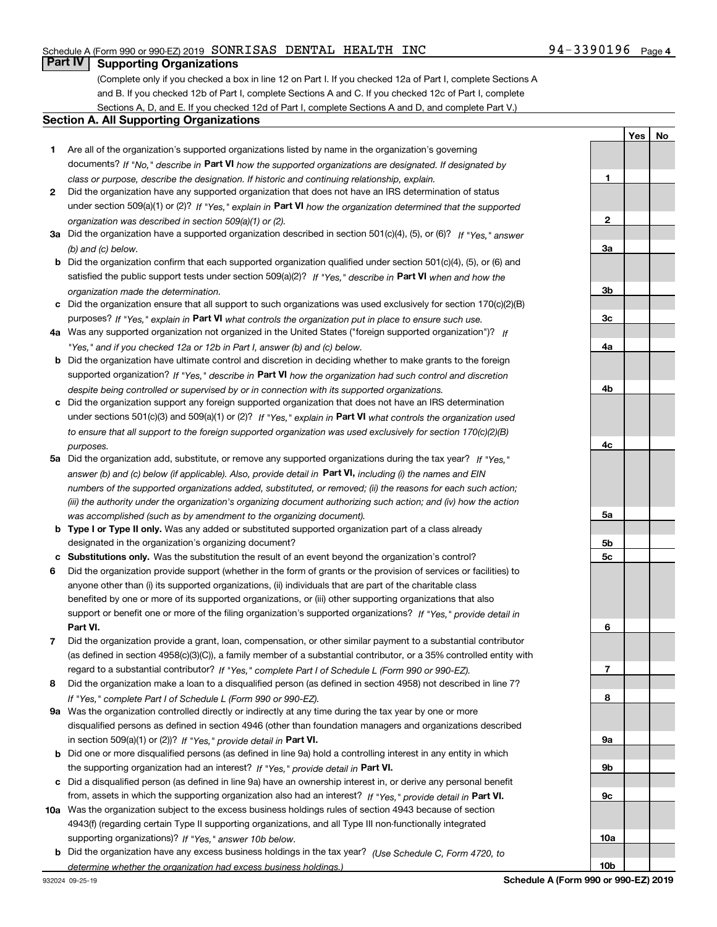#### **Part IV Supporting Organizations**

(Complete only if you checked a box in line 12 on Part I. If you checked 12a of Part I, complete Sections A and B. If you checked 12b of Part I, complete Sections A and C. If you checked 12c of Part I, complete Sections A, D, and E. If you checked 12d of Part I, complete Sections A and D, and complete Part V.)

#### **Section A. All Supporting Organizations**

- **1** Are all of the organization's supported organizations listed by name in the organization's governing documents? If "No," describe in **Part VI** how the supported organizations are designated. If designated by *class or purpose, describe the designation. If historic and continuing relationship, explain.*
- **2** Did the organization have any supported organization that does not have an IRS determination of status under section 509(a)(1) or (2)? If "Yes," explain in Part VI how the organization determined that the supported *organization was described in section 509(a)(1) or (2).*
- **3a** Did the organization have a supported organization described in section 501(c)(4), (5), or (6)? If "Yes," answer *(b) and (c) below.*
- **b** Did the organization confirm that each supported organization qualified under section 501(c)(4), (5), or (6) and satisfied the public support tests under section 509(a)(2)? If "Yes," describe in **Part VI** when and how the *organization made the determination.*
- **c**Did the organization ensure that all support to such organizations was used exclusively for section 170(c)(2)(B) purposes? If "Yes," explain in **Part VI** what controls the organization put in place to ensure such use.
- **4a***If* Was any supported organization not organized in the United States ("foreign supported organization")? *"Yes," and if you checked 12a or 12b in Part I, answer (b) and (c) below.*
- **b** Did the organization have ultimate control and discretion in deciding whether to make grants to the foreign supported organization? If "Yes," describe in **Part VI** how the organization had such control and discretion *despite being controlled or supervised by or in connection with its supported organizations.*
- **c** Did the organization support any foreign supported organization that does not have an IRS determination under sections 501(c)(3) and 509(a)(1) or (2)? If "Yes," explain in **Part VI** what controls the organization used *to ensure that all support to the foreign supported organization was used exclusively for section 170(c)(2)(B) purposes.*
- **5a***If "Yes,"* Did the organization add, substitute, or remove any supported organizations during the tax year? answer (b) and (c) below (if applicable). Also, provide detail in **Part VI,** including (i) the names and EIN *numbers of the supported organizations added, substituted, or removed; (ii) the reasons for each such action; (iii) the authority under the organization's organizing document authorizing such action; and (iv) how the action was accomplished (such as by amendment to the organizing document).*
- **b** Type I or Type II only. Was any added or substituted supported organization part of a class already designated in the organization's organizing document?
- **cSubstitutions only.**  Was the substitution the result of an event beyond the organization's control?
- **6** Did the organization provide support (whether in the form of grants or the provision of services or facilities) to **Part VI.** *If "Yes," provide detail in* support or benefit one or more of the filing organization's supported organizations? anyone other than (i) its supported organizations, (ii) individuals that are part of the charitable class benefited by one or more of its supported organizations, or (iii) other supporting organizations that also
- **7**Did the organization provide a grant, loan, compensation, or other similar payment to a substantial contributor *If "Yes," complete Part I of Schedule L (Form 990 or 990-EZ).* regard to a substantial contributor? (as defined in section 4958(c)(3)(C)), a family member of a substantial contributor, or a 35% controlled entity with
- **8** Did the organization make a loan to a disqualified person (as defined in section 4958) not described in line 7? *If "Yes," complete Part I of Schedule L (Form 990 or 990-EZ).*
- **9a** Was the organization controlled directly or indirectly at any time during the tax year by one or more in section 509(a)(1) or (2))? If "Yes," *provide detail in* <code>Part VI.</code> disqualified persons as defined in section 4946 (other than foundation managers and organizations described
- **b** Did one or more disqualified persons (as defined in line 9a) hold a controlling interest in any entity in which the supporting organization had an interest? If "Yes," provide detail in P**art VI**.
- **c**Did a disqualified person (as defined in line 9a) have an ownership interest in, or derive any personal benefit from, assets in which the supporting organization also had an interest? If "Yes," provide detail in P**art VI.**
- **10a** Was the organization subject to the excess business holdings rules of section 4943 because of section supporting organizations)? If "Yes," answer 10b below. 4943(f) (regarding certain Type II supporting organizations, and all Type III non-functionally integrated
- **b** Did the organization have any excess business holdings in the tax year? (Use Schedule C, Form 4720, to *determine whether the organization had excess business holdings.)*

**3a3b3c4a4b4c5a5b5c6789a 9b9c10a10b**

**1**

**2**

**YesNo**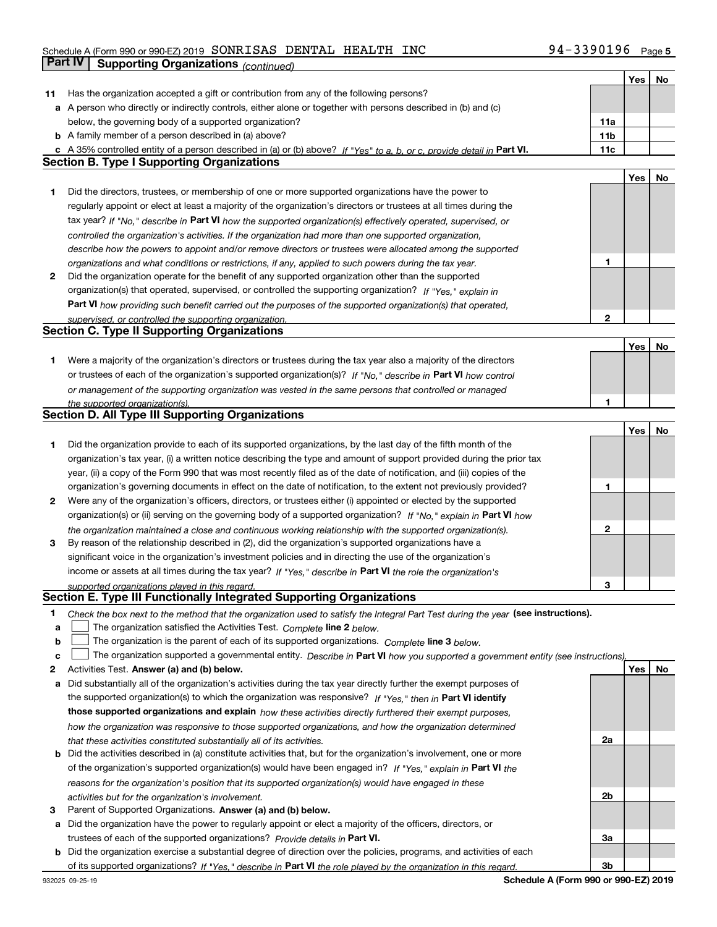### Schedule A (Form 990 or 990-EZ) 2019 Page SONRISAS DENTAL HEALTH INC 94-3390196**Part IV | Supporting Organizations** *(continued)*

|    |                                                                                                                                   |                 | Yes        | No |
|----|-----------------------------------------------------------------------------------------------------------------------------------|-----------------|------------|----|
| 11 | Has the organization accepted a gift or contribution from any of the following persons?                                           |                 |            |    |
|    | a A person who directly or indirectly controls, either alone or together with persons described in (b) and (c)                    |                 |            |    |
|    | below, the governing body of a supported organization?                                                                            | 11a             |            |    |
|    | <b>b</b> A family member of a person described in (a) above?                                                                      | 11 <sub>b</sub> |            |    |
|    | c A 35% controlled entity of a person described in (a) or (b) above? If "Yes" to a, b, or c, provide detail in Part VI.           | 11c             |            |    |
|    | <b>Section B. Type I Supporting Organizations</b>                                                                                 |                 |            |    |
|    |                                                                                                                                   |                 | Yes        | No |
| 1  | Did the directors, trustees, or membership of one or more supported organizations have the power to                               |                 |            |    |
|    | regularly appoint or elect at least a majority of the organization's directors or trustees at all times during the                |                 |            |    |
|    | tax year? If "No," describe in Part VI how the supported organization(s) effectively operated, supervised, or                     |                 |            |    |
|    | controlled the organization's activities. If the organization had more than one supported organization,                           |                 |            |    |
|    | describe how the powers to appoint and/or remove directors or trustees were allocated among the supported                         |                 |            |    |
|    | organizations and what conditions or restrictions, if any, applied to such powers during the tax year.                            | 1               |            |    |
| 2  | Did the organization operate for the benefit of any supported organization other than the supported                               |                 |            |    |
|    | organization(s) that operated, supervised, or controlled the supporting organization? If "Yes," explain in                        |                 |            |    |
|    | Part VI how providing such benefit carried out the purposes of the supported organization(s) that operated,                       |                 |            |    |
|    | supervised, or controlled the supporting organization.                                                                            | 2               |            |    |
|    | <b>Section C. Type II Supporting Organizations</b>                                                                                |                 |            |    |
|    |                                                                                                                                   |                 | Yes        | No |
| 1. | Were a majority of the organization's directors or trustees during the tax year also a majority of the directors                  |                 |            |    |
|    |                                                                                                                                   |                 |            |    |
|    | or trustees of each of the organization's supported organization(s)? If "No," describe in Part VI how control                     |                 |            |    |
|    | or management of the supporting organization was vested in the same persons that controlled or managed                            | 1               |            |    |
|    | the supported organization(s).<br>Section D. All Type III Supporting Organizations                                                |                 |            |    |
|    |                                                                                                                                   |                 | Yes        | No |
|    |                                                                                                                                   |                 |            |    |
| 1  | Did the organization provide to each of its supported organizations, by the last day of the fifth month of the                    |                 |            |    |
|    | organization's tax year, (i) a written notice describing the type and amount of support provided during the prior tax             |                 |            |    |
|    | year, (ii) a copy of the Form 990 that was most recently filed as of the date of notification, and (iii) copies of the            |                 |            |    |
|    | organization's governing documents in effect on the date of notification, to the extent not previously provided?                  | 1               |            |    |
| 2  | Were any of the organization's officers, directors, or trustees either (i) appointed or elected by the supported                  |                 |            |    |
|    | organization(s) or (ii) serving on the governing body of a supported organization? If "No," explain in Part VI how                |                 |            |    |
|    | the organization maintained a close and continuous working relationship with the supported organization(s).                       | 2               |            |    |
| 3  | By reason of the relationship described in (2), did the organization's supported organizations have a                             |                 |            |    |
|    | significant voice in the organization's investment policies and in directing the use of the organization's                        |                 |            |    |
|    | income or assets at all times during the tax year? If "Yes," describe in Part VI the role the organization's                      |                 |            |    |
|    | supported organizations played in this regard.                                                                                    | 3               |            |    |
|    | Section E. Type III Functionally Integrated Supporting Organizations                                                              |                 |            |    |
| 1  | Check the box next to the method that the organization used to satisfy the Integral Part Test during the year (see instructions). |                 |            |    |
| a  | The organization satisfied the Activities Test. Complete line 2 below.                                                            |                 |            |    |
| b  | The organization is the parent of each of its supported organizations. Complete line 3 below.                                     |                 |            |    |
| c  | The organization supported a governmental entity. Describe in Part VI how you supported a government entity (see instructions),   |                 |            |    |
| 2  | Activities Test. Answer (a) and (b) below.                                                                                        |                 | <b>Yes</b> | No |
| a  | Did substantially all of the organization's activities during the tax year directly further the exempt purposes of                |                 |            |    |
|    | the supported organization(s) to which the organization was responsive? If "Yes," then in Part VI identify                        |                 |            |    |
|    | those supported organizations and explain how these activities directly furthered their exempt purposes,                          |                 |            |    |
|    | how the organization was responsive to those supported organizations, and how the organization determined                         |                 |            |    |
|    | that these activities constituted substantially all of its activities.                                                            | 2a              |            |    |
|    | <b>b</b> Did the activities described in (a) constitute activities that, but for the organization's involvement, one or more      |                 |            |    |
|    | of the organization's supported organization(s) would have been engaged in? If "Yes," explain in Part VI the                      |                 |            |    |
|    | reasons for the organization's position that its supported organization(s) would have engaged in these                            |                 |            |    |
|    | activities but for the organization's involvement.                                                                                | 2b              |            |    |
| 3  | Parent of Supported Organizations. Answer (a) and (b) below.                                                                      |                 |            |    |
|    | a Did the organization have the power to regularly appoint or elect a majority of the officers, directors, or                     |                 |            |    |
|    | trustees of each of the supported organizations? Provide details in Part VI.                                                      | За              |            |    |
|    | <b>b</b> Did the organization exercise a substantial degree of direction over the policies, programs, and activities of each      |                 |            |    |
|    | of its supported organizations? If "Yes." describe in Part VI the role played by the organization in this regard.                 | 3b              |            |    |

**Schedule A (Form 990 or 990-EZ) 2019**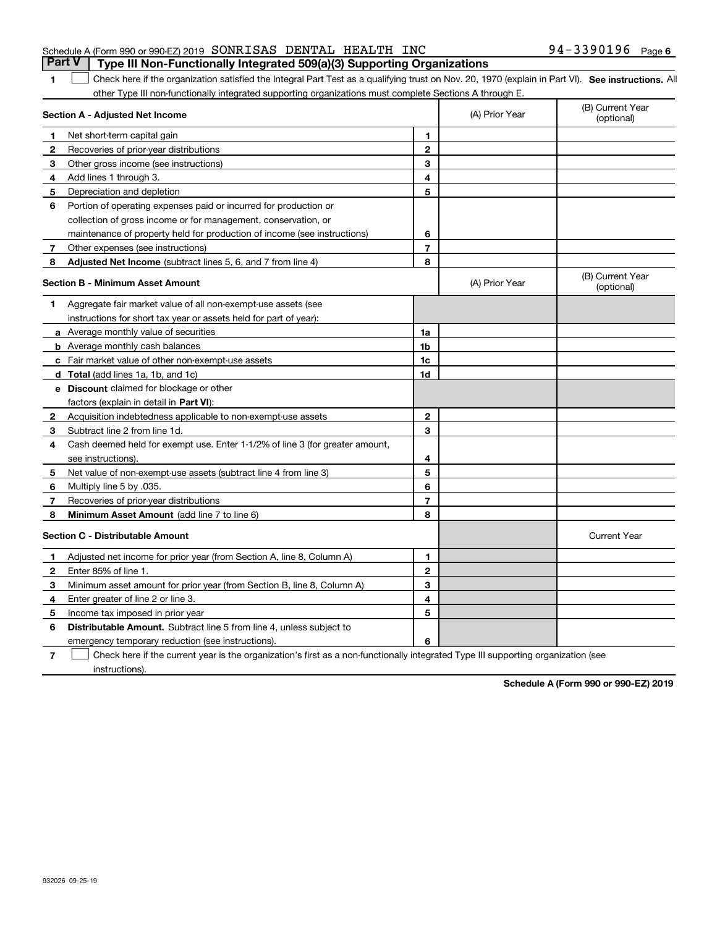#### **7** Other expenses (see instructions) **8 Adjusted Net Income** (subtract lines 5, 6, and 7 from line 4) **8 8**

**Section A - Adjusted Net Income**

Net short-term capital gain

Depreciation and depletion

**4**Add lines 1 through 3.

**2** Recoveries of prior-year distributions **3** Other gross income (see instructions)

**6** Portion of operating expenses paid or incurred for production or

collection of gross income or for management, conservation, or

maintenance of property held for production of income (see instructions)

**1**

 $\mathcal{L}^{\text{max}}$ 

**1**

**5**

|  |  | <b>Section B - Minimum Asset Amount</b> |
|--|--|-----------------------------------------|
|--|--|-----------------------------------------|

| <b>Section B - Minimum Asset Amount</b> |                                                                              |                | (A) Prior Year | (B) Current Year<br>(optional) |  |
|-----------------------------------------|------------------------------------------------------------------------------|----------------|----------------|--------------------------------|--|
|                                         | Aggregate fair market value of all non-exempt-use assets (see                |                |                |                                |  |
|                                         | instructions for short tax year or assets held for part of year):            |                |                |                                |  |
|                                         | a Average monthly value of securities                                        | 1a             |                |                                |  |
|                                         | <b>b</b> Average monthly cash balances                                       | 1 <sub>b</sub> |                |                                |  |
|                                         | c Fair market value of other non-exempt-use assets                           | 1c             |                |                                |  |
| d                                       | Total (add lines 1a, 1b, and 1c)                                             | 1d             |                |                                |  |
| е                                       | <b>Discount</b> claimed for blockage or other                                |                |                |                                |  |
|                                         | factors (explain in detail in Part VI):                                      |                |                |                                |  |
| $\mathbf{2}$                            | Acquisition indebtedness applicable to non-exempt-use assets                 | $\mathbf{2}$   |                |                                |  |
| 3                                       | Subtract line 2 from line 1d.                                                | 3              |                |                                |  |
| 4                                       | Cash deemed held for exempt use. Enter 1-1/2% of line 3 (for greater amount, |                |                |                                |  |
|                                         | see instructions).                                                           | 4              |                |                                |  |
| -5                                      | Net value of non-exempt-use assets (subtract line 4 from line 3)             | 5              |                |                                |  |
| 6                                       | Multiply line 5 by .035.                                                     | 6              |                |                                |  |
| 7                                       | Recoveries of prior-year distributions                                       | 7              |                |                                |  |
| 8                                       | Minimum Asset Amount (add line 7 to line 6)                                  | 8              |                |                                |  |
|                                         | <b>Section C - Distributable Amount</b>                                      |                |                | <b>Current Year</b>            |  |
| 1                                       | Adjusted net income for prior year (from Section A, line 8, Column A)        | 1              |                |                                |  |
| 2                                       | Enter 85% of line 1                                                          | $\overline{2}$ |                |                                |  |
| 3                                       | Minimum asset amount for prior year (from Section B, line 8, Column A)       | 3              |                |                                |  |
| 4                                       | Enter greater of line 2 or line 3.                                           | 4              |                |                                |  |
| 5                                       | Income tax imposed in prior year                                             | 5              |                |                                |  |
| 6                                       | <b>Distributable Amount.</b> Subtract line 5 from line 4, unless subject to  |                |                |                                |  |
|                                         | emergency temporary reduction (see instructions).                            | 6              |                |                                |  |

**SEP 10. See instructions.** All antegral Part Test as a qualifying trust on Nov. 20, 1970 (explain in Part VI). See instructions. All

other Type III non-functionally integrated supporting organizations must complete Sections A through E.

(A) Prior Year

**67**

**7**Check here if the current year is the organization's first as a non-functionally integrated Type III supporting organization (see  $\mathcal{L}^{\text{max}}$ 

instructions).

**Schedule A (Form 990 or 990-EZ) 2019**

(B) Current Year (optional)

#### Schedule A (Form 990 or 990-EZ) 2019 Page SONRISAS DENTAL HEALTH INC 94-3390196**Part V Type III Non-Functionally Integrated 509(a)(3) Supporting Organizations**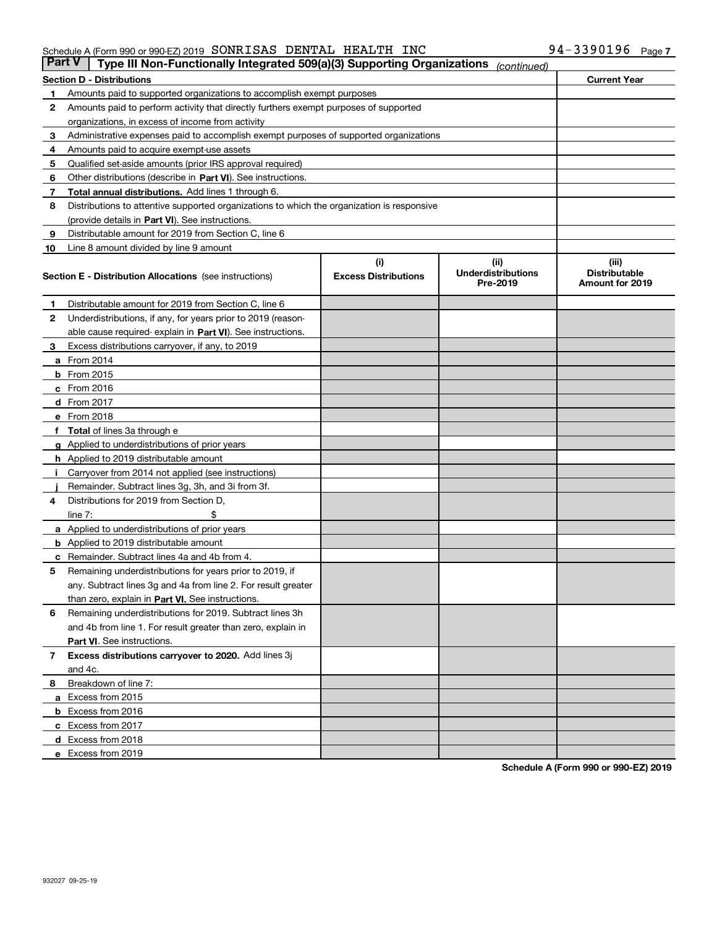| Part V | Type III Non-Functionally Integrated 509(a)(3) Supporting Organizations                    |                             | (continued)                           |                                         |
|--------|--------------------------------------------------------------------------------------------|-----------------------------|---------------------------------------|-----------------------------------------|
|        | <b>Section D - Distributions</b>                                                           |                             |                                       | <b>Current Year</b>                     |
| 1      | Amounts paid to supported organizations to accomplish exempt purposes                      |                             |                                       |                                         |
| 2      | Amounts paid to perform activity that directly furthers exempt purposes of supported       |                             |                                       |                                         |
|        | organizations, in excess of income from activity                                           |                             |                                       |                                         |
| з      | Administrative expenses paid to accomplish exempt purposes of supported organizations      |                             |                                       |                                         |
| 4      | Amounts paid to acquire exempt-use assets                                                  |                             |                                       |                                         |
| 5      | Qualified set-aside amounts (prior IRS approval required)                                  |                             |                                       |                                         |
| 6      | Other distributions (describe in Part VI). See instructions.                               |                             |                                       |                                         |
| 7      | <b>Total annual distributions.</b> Add lines 1 through 6.                                  |                             |                                       |                                         |
| 8      | Distributions to attentive supported organizations to which the organization is responsive |                             |                                       |                                         |
|        | (provide details in Part VI). See instructions.                                            |                             |                                       |                                         |
| 9      | Distributable amount for 2019 from Section C, line 6                                       |                             |                                       |                                         |
| 10     | Line 8 amount divided by line 9 amount                                                     |                             |                                       |                                         |
|        |                                                                                            | (i)                         | (iii)                                 | (iii)                                   |
|        | <b>Section E - Distribution Allocations</b> (see instructions)                             | <b>Excess Distributions</b> | <b>Underdistributions</b><br>Pre-2019 | <b>Distributable</b><br>Amount for 2019 |
| 1      | Distributable amount for 2019 from Section C, line 6                                       |                             |                                       |                                         |
| 2      | Underdistributions, if any, for years prior to 2019 (reason-                               |                             |                                       |                                         |
|        | able cause required- explain in <b>Part VI</b> ). See instructions.                        |                             |                                       |                                         |
| з      | Excess distributions carryover, if any, to 2019                                            |                             |                                       |                                         |
|        | <b>a</b> From 2014                                                                         |                             |                                       |                                         |
|        | <b>b</b> From 2015                                                                         |                             |                                       |                                         |
|        | $c$ From 2016                                                                              |                             |                                       |                                         |
|        | d From 2017                                                                                |                             |                                       |                                         |
|        | e From 2018                                                                                |                             |                                       |                                         |
|        | Total of lines 3a through e                                                                |                             |                                       |                                         |
|        | <b>g</b> Applied to underdistributions of prior years                                      |                             |                                       |                                         |
|        | <b>h</b> Applied to 2019 distributable amount                                              |                             |                                       |                                         |
|        | Carryover from 2014 not applied (see instructions)                                         |                             |                                       |                                         |
|        | Remainder. Subtract lines 3g, 3h, and 3i from 3f.                                          |                             |                                       |                                         |
| 4      | Distributions for 2019 from Section D,                                                     |                             |                                       |                                         |
|        | line $7:$                                                                                  |                             |                                       |                                         |
|        | <b>a</b> Applied to underdistributions of prior years                                      |                             |                                       |                                         |
|        | <b>b</b> Applied to 2019 distributable amount                                              |                             |                                       |                                         |
| c      | Remainder. Subtract lines 4a and 4b from 4.                                                |                             |                                       |                                         |
| 5      | Remaining underdistributions for years prior to 2019, if                                   |                             |                                       |                                         |
|        | any. Subtract lines 3g and 4a from line 2. For result greater                              |                             |                                       |                                         |
|        | than zero, explain in Part VI. See instructions.                                           |                             |                                       |                                         |
| 6      | Remaining underdistributions for 2019. Subtract lines 3h                                   |                             |                                       |                                         |
|        | and 4b from line 1. For result greater than zero, explain in                               |                             |                                       |                                         |
|        | Part VI. See instructions.                                                                 |                             |                                       |                                         |
| 7      | Excess distributions carryover to 2020. Add lines 3j                                       |                             |                                       |                                         |
|        | and 4c.                                                                                    |                             |                                       |                                         |
| 8      | Breakdown of line 7:                                                                       |                             |                                       |                                         |
|        | a Excess from 2015                                                                         |                             |                                       |                                         |
|        | <b>b</b> Excess from 2016                                                                  |                             |                                       |                                         |
|        | c Excess from 2017                                                                         |                             |                                       |                                         |
|        | d Excess from 2018                                                                         |                             |                                       |                                         |
|        |                                                                                            |                             |                                       |                                         |
|        | e Excess from 2019                                                                         |                             |                                       |                                         |

**Schedule A (Form 990 or 990-EZ) 2019**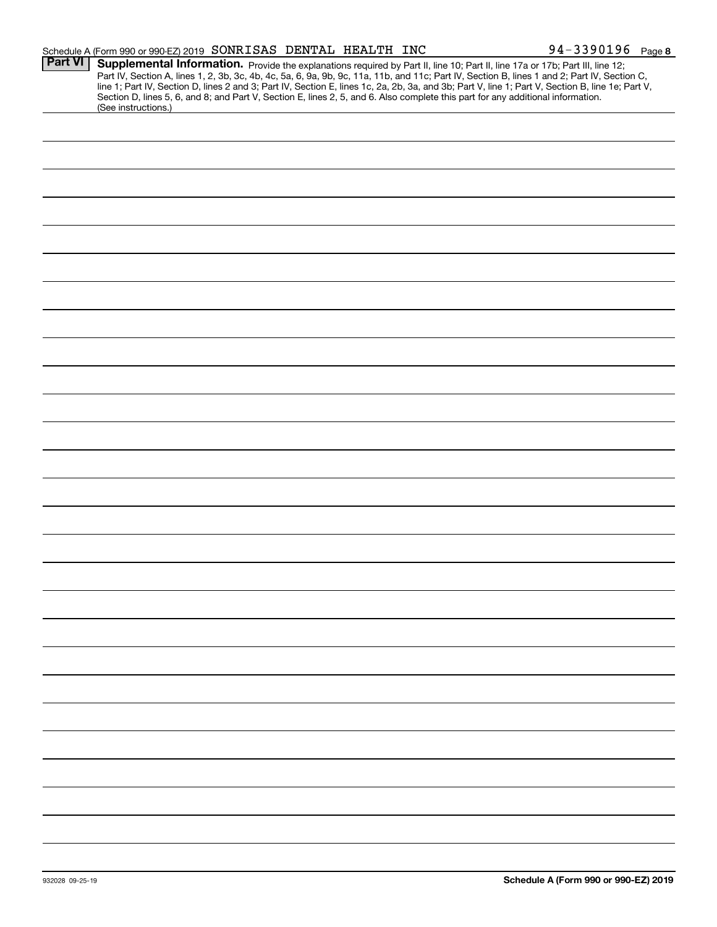|                | Schedule A (Form 990 or 990-EZ) 2019 SONRISAS DENTAL HEALTH INC |  |                                                                                                                                 | 94-3390196 Page 8                                                                                                                                                                                                                                                                                                                                                                                                                 |  |
|----------------|-----------------------------------------------------------------|--|---------------------------------------------------------------------------------------------------------------------------------|-----------------------------------------------------------------------------------------------------------------------------------------------------------------------------------------------------------------------------------------------------------------------------------------------------------------------------------------------------------------------------------------------------------------------------------|--|
| <b>Part VI</b> |                                                                 |  |                                                                                                                                 | Supplemental Information. Provide the explanations required by Part II, line 10; Part II, line 17a or 17b; Part III, line 12;<br>Part IV, Section A, lines 1, 2, 3b, 3c, 4b, 4c, 5a, 6, 9a, 9b, 9c, 11a, 11b, and 11c; Part IV, Section B, lines 1 and 2; Part IV, Section C,<br>line 1; Part IV, Section D, lines 2 and 3; Part IV, Section E, lines 1c, 2a, 2b, 3a, and 3b; Part V, line 1; Part V, Section B, line 1e; Part V, |  |
|                | (See instructions.)                                             |  | Section D, lines 5, 6, and 8; and Part V, Section E, lines 2, 5, and 6. Also complete this part for any additional information. |                                                                                                                                                                                                                                                                                                                                                                                                                                   |  |
|                |                                                                 |  |                                                                                                                                 |                                                                                                                                                                                                                                                                                                                                                                                                                                   |  |
|                |                                                                 |  |                                                                                                                                 |                                                                                                                                                                                                                                                                                                                                                                                                                                   |  |
|                |                                                                 |  |                                                                                                                                 |                                                                                                                                                                                                                                                                                                                                                                                                                                   |  |
|                |                                                                 |  |                                                                                                                                 |                                                                                                                                                                                                                                                                                                                                                                                                                                   |  |
|                |                                                                 |  |                                                                                                                                 |                                                                                                                                                                                                                                                                                                                                                                                                                                   |  |
|                |                                                                 |  |                                                                                                                                 |                                                                                                                                                                                                                                                                                                                                                                                                                                   |  |
|                |                                                                 |  |                                                                                                                                 |                                                                                                                                                                                                                                                                                                                                                                                                                                   |  |
|                |                                                                 |  |                                                                                                                                 |                                                                                                                                                                                                                                                                                                                                                                                                                                   |  |
|                |                                                                 |  |                                                                                                                                 |                                                                                                                                                                                                                                                                                                                                                                                                                                   |  |
|                |                                                                 |  |                                                                                                                                 |                                                                                                                                                                                                                                                                                                                                                                                                                                   |  |
|                |                                                                 |  |                                                                                                                                 |                                                                                                                                                                                                                                                                                                                                                                                                                                   |  |
|                |                                                                 |  |                                                                                                                                 |                                                                                                                                                                                                                                                                                                                                                                                                                                   |  |
|                |                                                                 |  |                                                                                                                                 |                                                                                                                                                                                                                                                                                                                                                                                                                                   |  |
|                |                                                                 |  |                                                                                                                                 |                                                                                                                                                                                                                                                                                                                                                                                                                                   |  |
|                |                                                                 |  |                                                                                                                                 |                                                                                                                                                                                                                                                                                                                                                                                                                                   |  |
|                |                                                                 |  |                                                                                                                                 |                                                                                                                                                                                                                                                                                                                                                                                                                                   |  |
|                |                                                                 |  |                                                                                                                                 |                                                                                                                                                                                                                                                                                                                                                                                                                                   |  |
|                |                                                                 |  |                                                                                                                                 |                                                                                                                                                                                                                                                                                                                                                                                                                                   |  |
|                |                                                                 |  |                                                                                                                                 |                                                                                                                                                                                                                                                                                                                                                                                                                                   |  |
|                |                                                                 |  |                                                                                                                                 |                                                                                                                                                                                                                                                                                                                                                                                                                                   |  |
|                |                                                                 |  |                                                                                                                                 |                                                                                                                                                                                                                                                                                                                                                                                                                                   |  |
|                |                                                                 |  |                                                                                                                                 |                                                                                                                                                                                                                                                                                                                                                                                                                                   |  |
|                |                                                                 |  |                                                                                                                                 |                                                                                                                                                                                                                                                                                                                                                                                                                                   |  |
|                |                                                                 |  |                                                                                                                                 |                                                                                                                                                                                                                                                                                                                                                                                                                                   |  |
|                |                                                                 |  |                                                                                                                                 |                                                                                                                                                                                                                                                                                                                                                                                                                                   |  |
|                |                                                                 |  |                                                                                                                                 |                                                                                                                                                                                                                                                                                                                                                                                                                                   |  |
|                |                                                                 |  |                                                                                                                                 |                                                                                                                                                                                                                                                                                                                                                                                                                                   |  |
|                |                                                                 |  |                                                                                                                                 |                                                                                                                                                                                                                                                                                                                                                                                                                                   |  |
|                |                                                                 |  |                                                                                                                                 |                                                                                                                                                                                                                                                                                                                                                                                                                                   |  |
|                |                                                                 |  |                                                                                                                                 |                                                                                                                                                                                                                                                                                                                                                                                                                                   |  |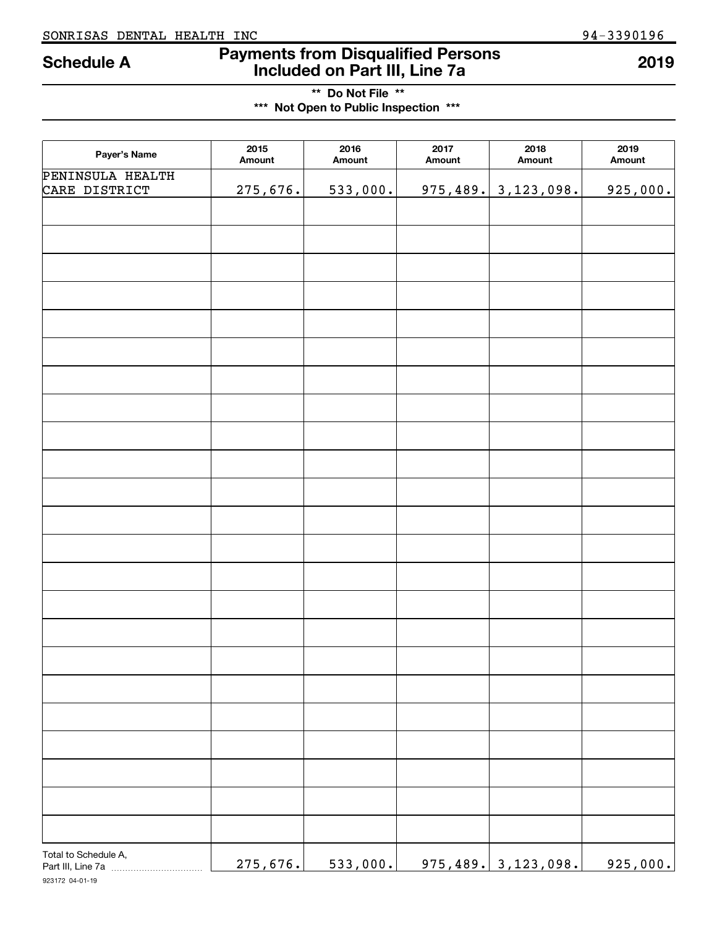### **Payments from Disqualified Persons Schedule A 2019 Included on Part III, Line 7a**

**\*\* Do Not File \*\* \*\*\* Not Open to Public Inspection \*\*\***

| Payer's Name                      | 2015<br>Amount | 2016<br>Amount | 2017<br>Amount | 2018<br>Amount             | 2019<br>Amount |
|-----------------------------------|----------------|----------------|----------------|----------------------------|----------------|
| PENINSULA HEALTH<br>CARE DISTRICT | 275,676.       | 533,000.       |                | $975,489.$ 3, 123, 098.    | 925,000.       |
|                                   |                |                |                |                            |                |
|                                   |                |                |                |                            |                |
|                                   |                |                |                |                            |                |
|                                   |                |                |                |                            |                |
|                                   |                |                |                |                            |                |
|                                   |                |                |                |                            |                |
|                                   |                |                |                |                            |                |
|                                   |                |                |                |                            |                |
|                                   |                |                |                |                            |                |
|                                   |                |                |                |                            |                |
|                                   |                |                |                |                            |                |
|                                   |                |                |                |                            |                |
|                                   |                |                |                |                            |                |
|                                   |                |                |                |                            |                |
|                                   |                |                |                |                            |                |
|                                   |                |                |                |                            |                |
|                                   |                |                |                |                            |                |
|                                   |                |                |                |                            |                |
|                                   |                |                |                |                            |                |
|                                   |                |                |                |                            |                |
|                                   |                |                |                |                            |                |
|                                   |                |                |                |                            |                |
|                                   |                |                |                |                            |                |
|                                   |                |                |                |                            |                |
|                                   |                |                |                |                            |                |
|                                   |                |                |                |                            |                |
| Total to Schedule A,              | 275,676.       | 533,000.       |                | <u>975,489. 3,123,098.</u> | 925,000.       |

923172 04-01-19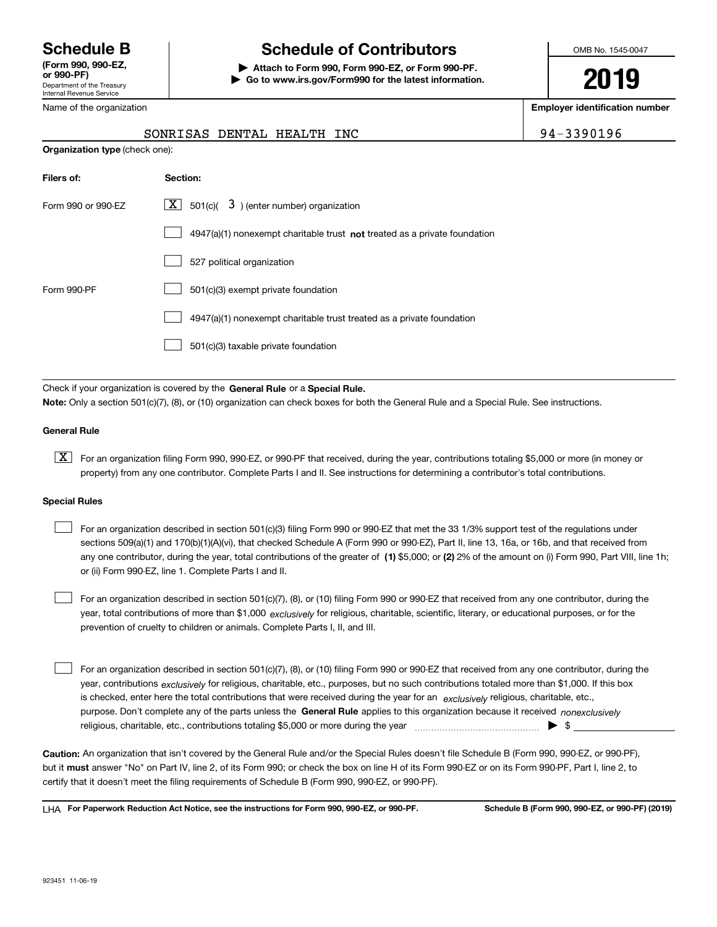Department of the Treasury Internal Revenue Service **(Form 990, 990-EZ, or 990-PF)**

Name of the organization

**Organization type** (check one):

## **Schedule B Schedule of Contributors**

**| Attach to Form 990, Form 990-EZ, or Form 990-PF. | Go to www.irs.gov/Form990 for the latest information.** OMB No. 1545-0047

**2019**

**Employer identification number**

| 4-3390196 |  |
|-----------|--|
|-----------|--|

| SONRISAS DENTAL HEALTH INC |  |  | 94-3390196 |
|----------------------------|--|--|------------|

| Filers of:         | <b>Section:</b>                                                                    |
|--------------------|------------------------------------------------------------------------------------|
| Form 990 or 990-FZ | $\boxed{\text{X}}$ 501(c)( 3) (enter number) organization                          |
|                    | $4947(a)(1)$ nonexempt charitable trust <b>not</b> treated as a private foundation |
|                    | 527 political organization                                                         |
| Form 990-PF        | 501(c)(3) exempt private foundation                                                |
|                    | 4947(a)(1) nonexempt charitable trust treated as a private foundation              |
|                    | 501(c)(3) taxable private foundation                                               |

Check if your organization is covered by the **General Rule** or a **Special Rule. Note:**  Only a section 501(c)(7), (8), or (10) organization can check boxes for both the General Rule and a Special Rule. See instructions.

#### **General Rule**

 $\boxed{\textbf{X}}$  For an organization filing Form 990, 990-EZ, or 990-PF that received, during the year, contributions totaling \$5,000 or more (in money or property) from any one contributor. Complete Parts I and II. See instructions for determining a contributor's total contributions.

#### **Special Rules**

any one contributor, during the year, total contributions of the greater of  $\,$  (1) \$5,000; or **(2)** 2% of the amount on (i) Form 990, Part VIII, line 1h; For an organization described in section 501(c)(3) filing Form 990 or 990-EZ that met the 33 1/3% support test of the regulations under sections 509(a)(1) and 170(b)(1)(A)(vi), that checked Schedule A (Form 990 or 990-EZ), Part II, line 13, 16a, or 16b, and that received from or (ii) Form 990-EZ, line 1. Complete Parts I and II.  $\mathcal{L}^{\text{max}}$ 

year, total contributions of more than \$1,000 *exclusively* for religious, charitable, scientific, literary, or educational purposes, or for the For an organization described in section 501(c)(7), (8), or (10) filing Form 990 or 990-EZ that received from any one contributor, during the prevention of cruelty to children or animals. Complete Parts I, II, and III.  $\mathcal{L}^{\text{max}}$ 

purpose. Don't complete any of the parts unless the **General Rule** applies to this organization because it received *nonexclusively* year, contributions <sub>exclusively</sub> for religious, charitable, etc., purposes, but no such contributions totaled more than \$1,000. If this box is checked, enter here the total contributions that were received during the year for an  $\;$ exclusively religious, charitable, etc., For an organization described in section 501(c)(7), (8), or (10) filing Form 990 or 990-EZ that received from any one contributor, during the religious, charitable, etc., contributions totaling \$5,000 or more during the year  $\Box$ — $\Box$   $\Box$  $\mathcal{L}^{\text{max}}$ 

**Caution:**  An organization that isn't covered by the General Rule and/or the Special Rules doesn't file Schedule B (Form 990, 990-EZ, or 990-PF),  **must** but it answer "No" on Part IV, line 2, of its Form 990; or check the box on line H of its Form 990-EZ or on its Form 990-PF, Part I, line 2, to certify that it doesn't meet the filing requirements of Schedule B (Form 990, 990-EZ, or 990-PF).

**For Paperwork Reduction Act Notice, see the instructions for Form 990, 990-EZ, or 990-PF. Schedule B (Form 990, 990-EZ, or 990-PF) (2019)** LHA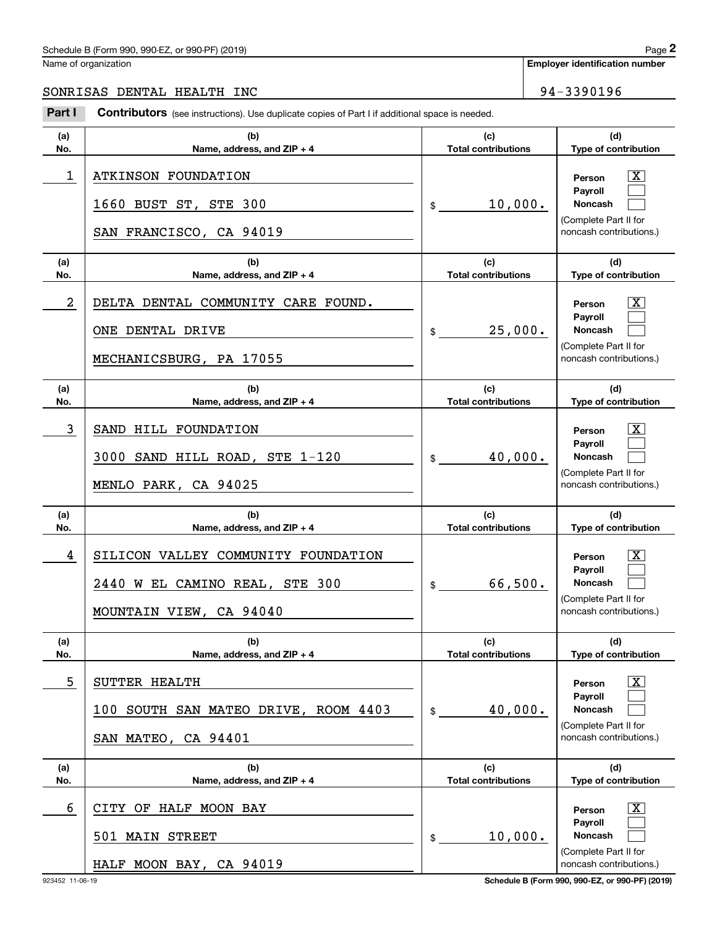#### Schedule B (Form 990, 990-EZ, or 990-PF) (2019)  $P_0 = 2$

Name of organization

**Employer identification number**

**(d)**

 $\lceil \text{X} \rceil$  $\mathcal{L}^{\text{max}}$  $\mathcal{L}^{\text{max}}$ 

 $\boxed{\text{X}}$  $\mathcal{L}^{\text{max}}$  $\mathcal{L}^{\text{max}}$ 

 $\lceil \text{X} \rceil$  $\mathcal{L}^{\text{max}}$  $\mathcal{L}^{\text{max}}$ 

 $|X|$  $\mathcal{L}^{\text{max}}$  $\mathcal{L}^{\text{max}}$ 

 $|X|$  $\mathcal{L}^{\text{max}}$  $\mathcal{L}^{\text{max}}$ 

 $\boxed{\text{X}}$  $\mathcal{L}^{\text{max}}$  $\mathcal{L}^{\text{max}}$ 

**(d)**

**(d)**

**(d)**

**(d)**

**(d)**

SONRISAS DENTAL HEALTH INC 94-3390196

#### **(a)No.(b)Name, address, and ZIP + 4 (c)Total contributions Type of contribution PersonPayrollNoncash (a)No.(b)Name, address, and ZIP + 4 (c)Total contributions Type of contribution PersonPayrollNoncash (a)No.(b)Name, address, and ZIP + 4 (c)Total contributions Type of contribution PersonPayrollNoncash (a)No.(b)Name, address, and ZIP + 4 (c) Total contributions Type of contribution PersonPayrollNoncash (a)No.(b)Name, address, and ZIP + 4 (c)Total contributions Type of contribution PersonPayrollNoncash (a)No.(b)Name, address, and ZIP + 4 (c)Total contributions Type of contribution PersonPayrollNoncash Contributors** (see instructions). Use duplicate copies of Part I if additional space is needed. \$(Complete Part II for noncash contributions.) \$(Complete Part II for noncash contributions.) \$(Complete Part II for noncash contributions.) \$(Complete Part II for noncash contributions.) \$(Complete Part II for noncash contributions.) \$(Complete Part II for Chedule B (Form 990, 990-EZ, or 990-PF) (2019)<br> **2Part I 2Part I Contributors** (see instructions). Use duplicate copies of Part I if additional space is needed.<br> **2Part I Contributors** (see instructions). Use duplica 1 X ATKINSON FOUNDATION 10,000. 1660 BUST ST, STE 300 SAN FRANCISCO, CA 94019 2 X DELTA DENTAL COMMUNITY CARE FOUND. 25,000. ONE DENTAL DRIVE MECHANICSBURG, PA 17055 3 SAND HILL FOUNDATION AND RESONANCE RESONALLY Personal Decision of the SAND HILL FOUNDATION 40,000. 3000 SAND HILL ROAD, STE 1-120 MENLO PARK, CA 94025 4 SILICON VALLEY COMMUNITY FOUNDATION A RESOLUTION A RESOLUTION 66,500. 2440 W EL CAMINO REAL, STE 300 MOUNTAIN VIEW, CA 94040 5 X SUTTER HEALTH 40,000. 100 SOUTH SAN MATEO DRIVE, ROOM 4403 SAN MATEO, CA 94401 6 X CITY OF HALF MOON BAY 10,000. 501 MAIN STREET

noncash contributions.)

HALF MOON BAY, CA 94019

923452 11-06-19 **Schedule B (Form 990, 990-EZ, or 990-PF) (2019)**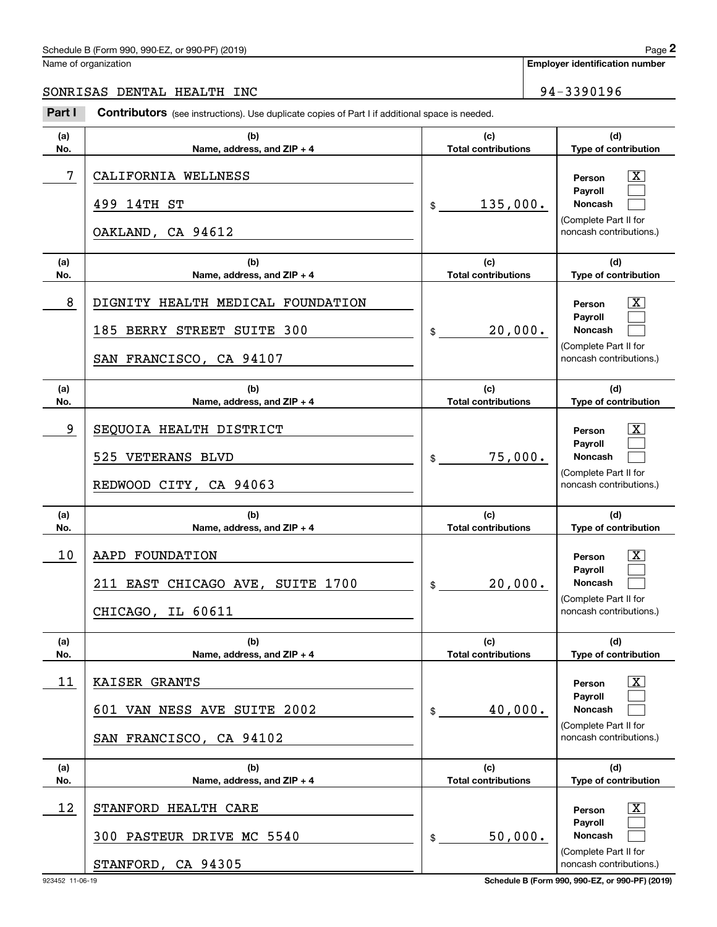## Schedule B (Form 990, 990-EZ, or 990-PF) (2019) Page 2

Name of organization

### SONRISAS DENTAL HEALTH INC 94-3390196

|            | Schedule B (Form 990, 990-EZ, or 990-PF) (2019)                                                       |                                   |            | Page 2                                                                                                        |  |  |
|------------|-------------------------------------------------------------------------------------------------------|-----------------------------------|------------|---------------------------------------------------------------------------------------------------------------|--|--|
|            | Vame of organization                                                                                  |                                   |            | <b>Employer identification number</b>                                                                         |  |  |
|            | SONRISAS DENTAL HEALTH INC                                                                            |                                   | 94-3390196 |                                                                                                               |  |  |
| Part I     | <b>Contributors</b> (see instructions). Use duplicate copies of Part I if additional space is needed. |                                   |            |                                                                                                               |  |  |
| (a)<br>No. | (b)<br>Name, address, and ZIP + 4                                                                     | (c)<br><b>Total contributions</b> |            | (d)<br>Type of contribution                                                                                   |  |  |
| 7          | CALIFORNIA WELLNESS<br>499 14TH ST                                                                    | 135,000.<br>\$                    |            | $\mathbf{X}$<br>Person<br>Payroll<br>Noncash<br>(Complete Part II for                                         |  |  |
|            | OAKLAND, CA 94612                                                                                     |                                   |            | noncash contributions.)                                                                                       |  |  |
| (a)<br>No. | (b)<br>Name, address, and ZIP + 4                                                                     | (c)<br><b>Total contributions</b> |            | (d)<br>Type of contribution                                                                                   |  |  |
| 8          | DIGNITY HEALTH MEDICAL FOUNDATION<br>185 BERRY STREET SUITE 300<br>SAN FRANCISCO, CA 94107            | 20,000.<br>\$                     |            | $\overline{\mathbf{X}}$<br>Person<br>Payroll<br>Noncash<br>(Complete Part II for<br>noncash contributions.)   |  |  |
| (a)<br>No. | (b)<br>Name, address, and ZIP + 4                                                                     | (c)<br><b>Total contributions</b> |            | (d)<br>Type of contribution                                                                                   |  |  |
| 9          | SEQUOIA HEALTH DISTRICT<br>525 VETERANS BLVD<br>REDWOOD CITY, CA 94063                                | 75,000.<br>\$                     |            | $\overline{\mathbf{X}}$<br>Person<br>Payroll<br>Noncash<br>(Complete Part II for<br>noncash contributions.)   |  |  |
| (a)<br>No. | (b)<br>Name, address, and ZIP + 4                                                                     | (c)<br><b>Total contributions</b> |            | (d)<br>Type of contribution                                                                                   |  |  |
| 10         | AAPD FOUNDATION<br>211 EAST CHICAGO AVE, SUITE 1700<br>CHICAGO, IL 60611                              | 20,000.<br>\$                     |            | $\mathbf{X}$<br>Person<br>Payroll<br><b>Noncash</b><br>(Complete Part II for<br>noncash contributions.)       |  |  |
| (a)<br>No. | (b)<br>Name, address, and ZIP + 4                                                                     | (c)<br><b>Total contributions</b> |            | (d)<br>Type of contribution                                                                                   |  |  |
| 11         | KAISER GRANTS<br>601 VAN NESS AVE SUITE 2002<br>SAN FRANCISCO, CA 94102                               | 40,000.<br>\$                     |            | $\boxed{\text{X}}$<br>Person<br>Payroll<br>Noncash<br>(Complete Part II for<br>noncash contributions.)        |  |  |
| (a)<br>No. | (b)<br>Name, address, and ZIP + 4                                                                     | (c)<br><b>Total contributions</b> |            | (d)<br>Type of contribution                                                                                   |  |  |
| 12         | STANFORD HEALTH CARE<br>300 PASTEUR DRIVE MC 5540<br>STANFORD, CA 94305                               | 50,000.<br>\$                     |            | $\boxed{\text{X}}$<br>Person<br>Payroll<br><b>Noncash</b><br>(Complete Part II for<br>noncash contributions.) |  |  |

923452 11-06-19 **Schedule B (Form 990, 990-EZ, or 990-PF) (2019)**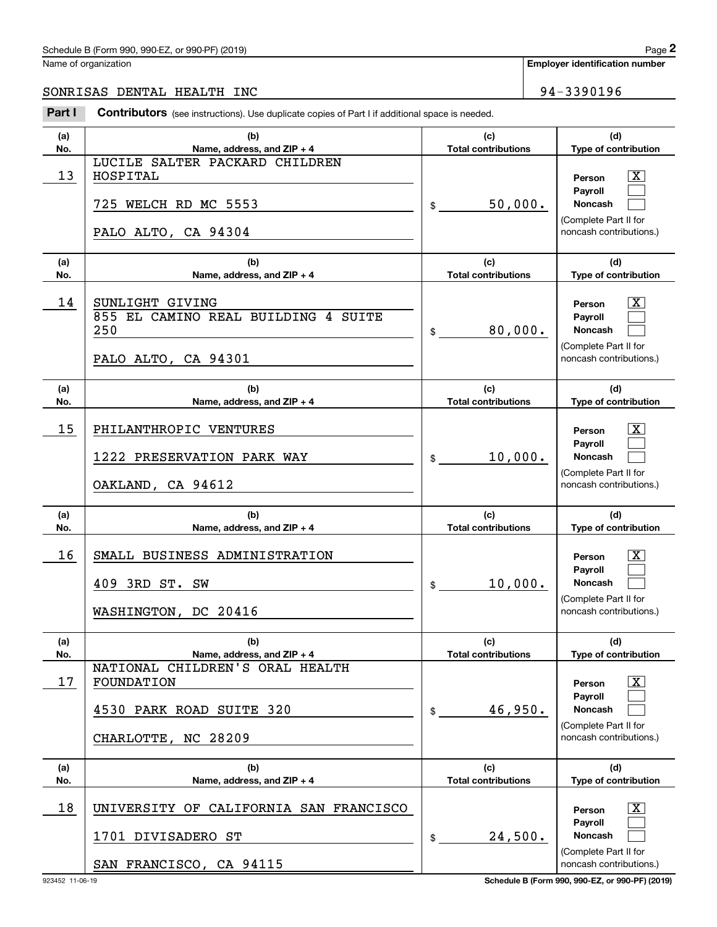### Schedule B (Form 990, 990-EZ, or 990-PF) (2019) Page 2

Name of organization

**Employer identification number**

#### SONRISAS DENTAL HEALTH INC 94-3390196

Chedule B (Form 990, 990-EZ, or 990-PF) (2019)<br>
lame of organization<br> **200NRISAS DENTAL HEALTH INC**<br> **24** - 3390196<br> **294** - 3390196

| (a)<br>No. | (b)<br>Name, address, and ZIP + 4                                                                | (c)<br><b>Total contributions</b> | (d)<br>Type of contribution                                                                                      |
|------------|--------------------------------------------------------------------------------------------------|-----------------------------------|------------------------------------------------------------------------------------------------------------------|
| 13         | LUCILE SALTER PACKARD CHILDREN<br>HOSPITAL<br>725 WELCH RD MC 5553<br>PALO ALTO, CA 94304        | 50,000.<br>$\mathfrak{S}$         | $\overline{\text{X}}$<br>Person<br>Payroll<br><b>Noncash</b><br>(Complete Part II for<br>noncash contributions.) |
| (a)        | (b)                                                                                              | (c)                               | (d)                                                                                                              |
| No.        | Name, address, and ZIP + 4                                                                       | <b>Total contributions</b>        | Type of contribution                                                                                             |
| 14         | SUNLIGHT GIVING<br>855 EL CAMINO REAL BUILDING 4 SUITE<br>250<br>PALO ALTO, CA 94301             | 80,000.<br>$\mathfrak{S}$         | $\overline{\text{X}}$<br>Person<br>Payroll<br><b>Noncash</b><br>(Complete Part II for<br>noncash contributions.) |
| (a)<br>No. | (b)<br>Name, address, and ZIP + 4                                                                | (c)<br><b>Total contributions</b> | (d)<br>Type of contribution                                                                                      |
| 15         | PHILANTHROPIC VENTURES<br>1222 PRESERVATION PARK WAY<br>OAKLAND, CA 94612                        | 10,000.<br>$\mathfrak{S}$         | $\overline{\text{X}}$<br>Person<br>Payroll<br><b>Noncash</b><br>(Complete Part II for<br>noncash contributions.) |
| (a)<br>No. | (b)<br>Name, address, and ZIP + 4                                                                | (c)<br><b>Total contributions</b> | (d)<br>Type of contribution                                                                                      |
| 16         | SMALL BUSINESS ADMINISTRATION<br>409 3RD ST. SW<br>WASHINGTON, DC 20416                          | 10,000.<br>$\mathsf{\$}$          | X.<br>Person<br>Payroll<br><b>Noncash</b><br>(Complete Part II for<br>noncash contributions.)                    |
| (a)<br>No. | (b)<br>Name, address, and ZIP + 4                                                                | (c)<br><b>Total contributions</b> | (d)<br>Type of contribution                                                                                      |
| 17         | NATIONAL CHILDREN'S ORAL HEALTH<br>FOUNDATION<br>4530 PARK ROAD SUITE 320<br>CHARLOTTE, NC 28209 | 46,950.<br>\$                     | X.<br>Person<br>Pavroll<br><b>Noncash</b><br>(Complete Part II for<br>noncash contributions.)                    |
| (a)<br>No. | (b)<br>Name, address, and ZIP + 4                                                                | (c)<br><b>Total contributions</b> | (d)<br>Type of contribution                                                                                      |
| 18         | UNIVERSITY OF CALIFORNIA SAN FRANCISCO<br>1701 DIVISADERO ST<br>SAN FRANCISCO, CA 94115          | 24,500.<br>\$                     | $\overline{\mathbf{X}}$<br>Person<br>Payroll<br>Noncash<br>(Complete Part II for<br>noncash contributions.)      |

923452 11-06-19 **Schedule B (Form 990, 990-EZ, or 990-PF) (2019)**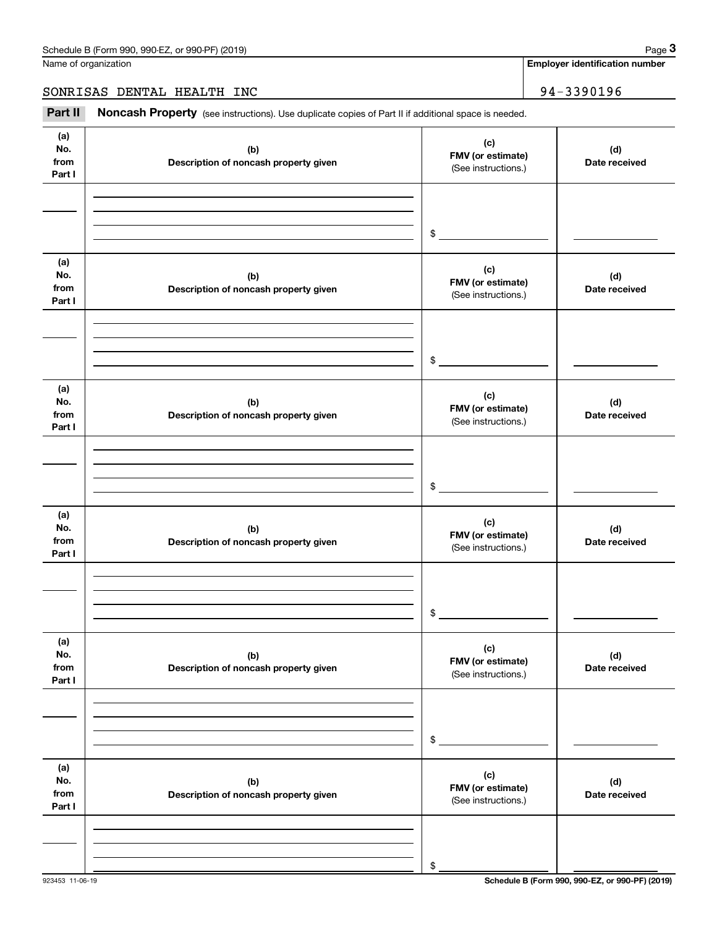**Employer identification number**

SONRISAS DENTAL HEALTH INC 94-3390196

Chedule B (Form 990, 990-EZ, or 990-PF) (2019)<br> **2018 Conduct B (Form 990, 990-EZ, or 990-PF) (2019)**<br> **3Part II if additional space is needed.**<br> **294 – 3390196**<br> **194 – 3390196**<br> **194 – 3390196** 

| (a)<br>No.<br>from<br>Part I | (b)<br>Description of noncash property given | (c)<br>FMV (or estimate)<br>(See instructions.) | (d)<br>Date received |
|------------------------------|----------------------------------------------|-------------------------------------------------|----------------------|
|                              |                                              |                                                 |                      |
|                              |                                              | $\frac{1}{2}$                                   |                      |
| (a)<br>No.<br>from<br>Part I | (b)<br>Description of noncash property given | (c)<br>FMV (or estimate)<br>(See instructions.) | (d)<br>Date received |
|                              |                                              |                                                 |                      |
|                              |                                              | $\frac{1}{2}$                                   |                      |
| (a)<br>No.<br>from<br>Part I | (b)<br>Description of noncash property given | (c)<br>FMV (or estimate)<br>(See instructions.) | (d)<br>Date received |
|                              |                                              |                                                 |                      |
|                              |                                              | $\frac{1}{2}$                                   |                      |
| (a)<br>No.<br>from<br>Part I | (b)<br>Description of noncash property given | (c)<br>FMV (or estimate)<br>(See instructions.) | (d)<br>Date received |
|                              |                                              |                                                 |                      |
|                              |                                              | $$\circ$$                                       |                      |
| (a)<br>No.<br>from<br>Part I | (b)<br>Description of noncash property given | (c)<br>FMV (or estimate)<br>(See instructions.) | (d)<br>Date received |
|                              |                                              |                                                 |                      |
|                              |                                              | \$                                              |                      |
| (a)<br>No.<br>from<br>Part I | (b)<br>Description of noncash property given | (c)<br>FMV (or estimate)<br>(See instructions.) | (d)<br>Date received |
|                              |                                              |                                                 |                      |
|                              |                                              | \$                                              |                      |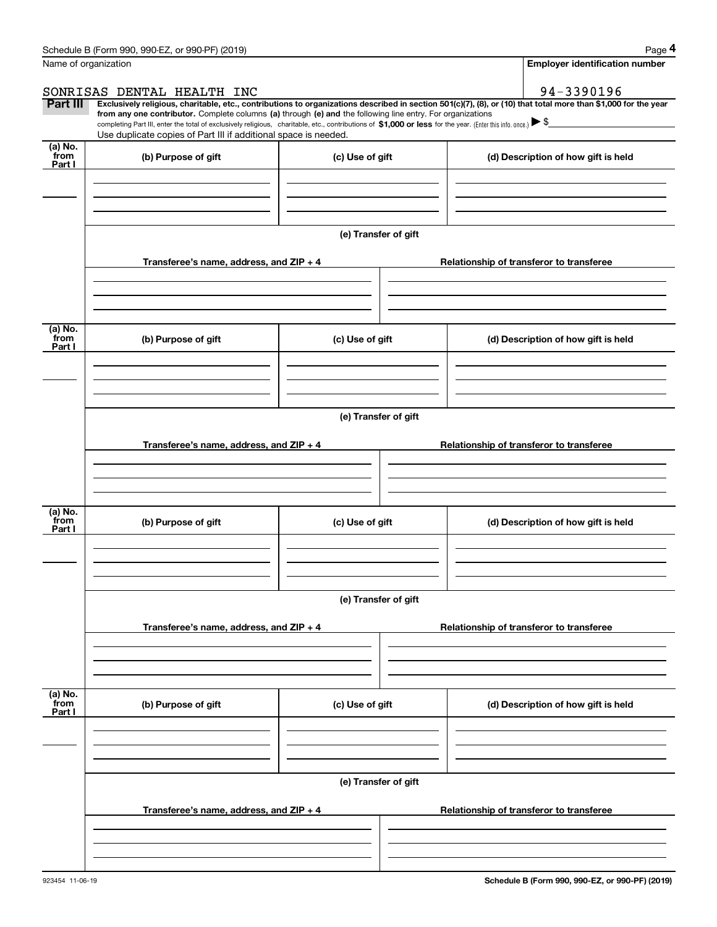|                 | Schedule B (Form 990, 990-EZ, or 990-PF) (2019)                                                                                                                                                                                                                            |                      | Page 4                                                                                                                                                         |
|-----------------|----------------------------------------------------------------------------------------------------------------------------------------------------------------------------------------------------------------------------------------------------------------------------|----------------------|----------------------------------------------------------------------------------------------------------------------------------------------------------------|
|                 | Name of organization                                                                                                                                                                                                                                                       |                      | <b>Employer identification number</b>                                                                                                                          |
|                 | SONRISAS DENTAL HEALTH INC                                                                                                                                                                                                                                                 |                      | 94-3390196                                                                                                                                                     |
| Part III        |                                                                                                                                                                                                                                                                            |                      | Exclusively religious, charitable, etc., contributions to organizations described in section 501(c)(7), (8), or (10) that total more than \$1,000 for the year |
|                 | from any one contributor. Complete columns (a) through (e) and the following line entry. For organizations<br>completing Part III, enter the total of exclusively religious, charitable, etc., contributions of \$1,000 or less for the year. (Enter this info. once.) \\$ |                      |                                                                                                                                                                |
|                 | Use duplicate copies of Part III if additional space is needed.                                                                                                                                                                                                            |                      |                                                                                                                                                                |
| (a) No.         |                                                                                                                                                                                                                                                                            |                      |                                                                                                                                                                |
| from<br>Part I  | (b) Purpose of gift                                                                                                                                                                                                                                                        | (c) Use of gift      | (d) Description of how gift is held                                                                                                                            |
|                 |                                                                                                                                                                                                                                                                            |                      |                                                                                                                                                                |
|                 |                                                                                                                                                                                                                                                                            |                      |                                                                                                                                                                |
|                 |                                                                                                                                                                                                                                                                            |                      |                                                                                                                                                                |
|                 |                                                                                                                                                                                                                                                                            |                      |                                                                                                                                                                |
|                 |                                                                                                                                                                                                                                                                            | (e) Transfer of gift |                                                                                                                                                                |
|                 | Transferee's name, address, and ZIP + 4                                                                                                                                                                                                                                    |                      | Relationship of transferor to transferee                                                                                                                       |
|                 |                                                                                                                                                                                                                                                                            |                      |                                                                                                                                                                |
|                 |                                                                                                                                                                                                                                                                            |                      |                                                                                                                                                                |
|                 |                                                                                                                                                                                                                                                                            |                      |                                                                                                                                                                |
|                 |                                                                                                                                                                                                                                                                            |                      |                                                                                                                                                                |
| (a) No.<br>from | (b) Purpose of gift                                                                                                                                                                                                                                                        | (c) Use of gift      | (d) Description of how gift is held                                                                                                                            |
| Part I          |                                                                                                                                                                                                                                                                            |                      |                                                                                                                                                                |
|                 |                                                                                                                                                                                                                                                                            |                      |                                                                                                                                                                |
|                 |                                                                                                                                                                                                                                                                            |                      |                                                                                                                                                                |
|                 |                                                                                                                                                                                                                                                                            |                      |                                                                                                                                                                |
|                 |                                                                                                                                                                                                                                                                            | (e) Transfer of gift |                                                                                                                                                                |
|                 |                                                                                                                                                                                                                                                                            |                      |                                                                                                                                                                |
|                 | Transferee's name, address, and ZIP + 4                                                                                                                                                                                                                                    |                      | Relationship of transferor to transferee                                                                                                                       |
|                 |                                                                                                                                                                                                                                                                            |                      |                                                                                                                                                                |
|                 |                                                                                                                                                                                                                                                                            |                      |                                                                                                                                                                |
|                 |                                                                                                                                                                                                                                                                            |                      |                                                                                                                                                                |
| (a) No.<br>from | (b) Purpose of gift                                                                                                                                                                                                                                                        | (c) Use of gift      |                                                                                                                                                                |
| Part I          |                                                                                                                                                                                                                                                                            |                      | (d) Description of how gift is held                                                                                                                            |
|                 |                                                                                                                                                                                                                                                                            |                      |                                                                                                                                                                |
|                 |                                                                                                                                                                                                                                                                            |                      |                                                                                                                                                                |
|                 |                                                                                                                                                                                                                                                                            |                      |                                                                                                                                                                |
|                 |                                                                                                                                                                                                                                                                            | (e) Transfer of gift |                                                                                                                                                                |
|                 |                                                                                                                                                                                                                                                                            |                      |                                                                                                                                                                |
|                 | Transferee's name, address, and $ZIP + 4$                                                                                                                                                                                                                                  |                      | Relationship of transferor to transferee                                                                                                                       |
|                 |                                                                                                                                                                                                                                                                            |                      |                                                                                                                                                                |
|                 |                                                                                                                                                                                                                                                                            |                      |                                                                                                                                                                |
|                 |                                                                                                                                                                                                                                                                            |                      |                                                                                                                                                                |
| (a) No.<br>from |                                                                                                                                                                                                                                                                            |                      |                                                                                                                                                                |
| Part I          | (b) Purpose of gift                                                                                                                                                                                                                                                        | (c) Use of gift      | (d) Description of how gift is held                                                                                                                            |
|                 |                                                                                                                                                                                                                                                                            |                      |                                                                                                                                                                |
|                 |                                                                                                                                                                                                                                                                            |                      |                                                                                                                                                                |
|                 |                                                                                                                                                                                                                                                                            |                      |                                                                                                                                                                |
|                 |                                                                                                                                                                                                                                                                            |                      |                                                                                                                                                                |
|                 |                                                                                                                                                                                                                                                                            | (e) Transfer of gift |                                                                                                                                                                |
|                 |                                                                                                                                                                                                                                                                            |                      |                                                                                                                                                                |
|                 | Transferee's name, address, and ZIP + 4                                                                                                                                                                                                                                    |                      | Relationship of transferor to transferee                                                                                                                       |
|                 |                                                                                                                                                                                                                                                                            |                      |                                                                                                                                                                |
|                 |                                                                                                                                                                                                                                                                            |                      |                                                                                                                                                                |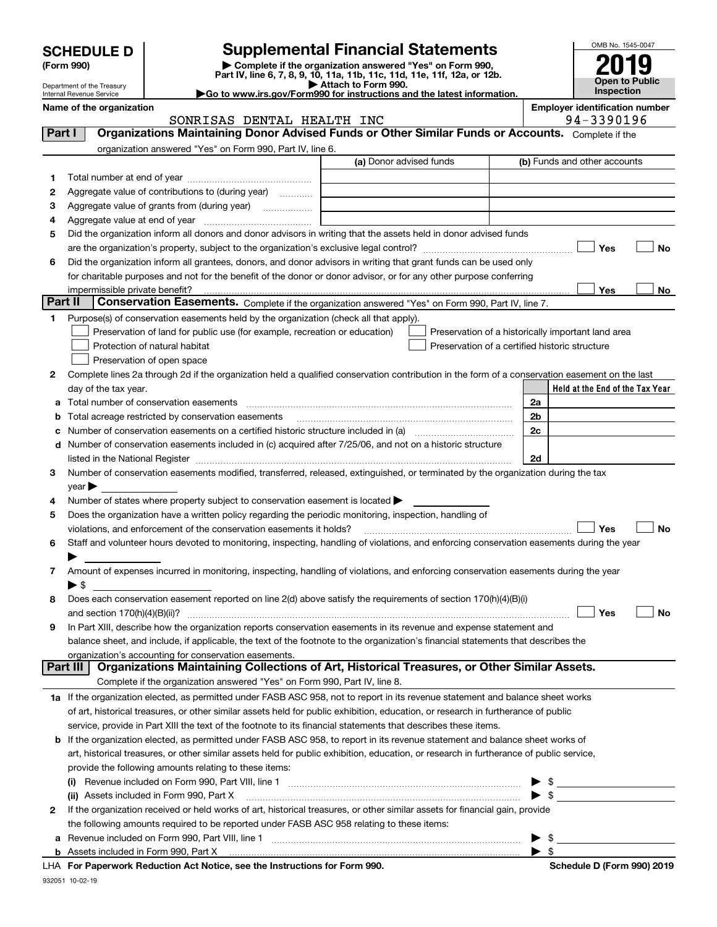|  |  |  |  | <b>SCHEDULE D</b> |  |
|--|--|--|--|-------------------|--|
|  |  |  |  |                   |  |

Department of the Treasury

| (Form 990) |  |
|------------|--|
|------------|--|

### **SCHEDULE D Supplemental Financial Statements**

**(Form 990)** (**Form 990,**<br>Part IV, line 6, 7, 8, 9, 10, 11a, 11b, 11c, 11d, 11e, 11f, 12a, or 12b.<br>Department of the Treasury **and Exercise Connect Connect Connect Connect Connect Connect Connect Connect Connect** 

| //Form990 for instructions and the latest information. | Attach to Form 990. |  |
|--------------------------------------------------------|---------------------|--|
|                                                        |                     |  |

OMB No. 1545-0047 **Open to Public Inspection 2019**

| Internal Revenue Service | Go to www.irs.gov/Form990 for instructions and the latest information. |  |
|--------------------------|------------------------------------------------------------------------|--|
| Name of the organization |                                                                        |  |

|  | nployer identification number |  |
|--|-------------------------------|--|
|--|-------------------------------|--|

|          | SONRISAS DENTAL HEALTH INC                                                                                                                                                                                                     |                         | 94-3390196                                                                                                                                                                                                                                 |
|----------|--------------------------------------------------------------------------------------------------------------------------------------------------------------------------------------------------------------------------------|-------------------------|--------------------------------------------------------------------------------------------------------------------------------------------------------------------------------------------------------------------------------------------|
| Part I   | Organizations Maintaining Donor Advised Funds or Other Similar Funds or Accounts. Complete if the                                                                                                                              |                         |                                                                                                                                                                                                                                            |
|          | organization answered "Yes" on Form 990, Part IV, line 6.                                                                                                                                                                      |                         |                                                                                                                                                                                                                                            |
|          |                                                                                                                                                                                                                                | (a) Donor advised funds | (b) Funds and other accounts                                                                                                                                                                                                               |
| 1.       |                                                                                                                                                                                                                                |                         |                                                                                                                                                                                                                                            |
| 2        | Aggregate value of contributions to (during year)                                                                                                                                                                              |                         |                                                                                                                                                                                                                                            |
| з        | Aggregate value of grants from (during year)                                                                                                                                                                                   |                         |                                                                                                                                                                                                                                            |
| 4        |                                                                                                                                                                                                                                |                         |                                                                                                                                                                                                                                            |
| 5        | Did the organization inform all donors and donor advisors in writing that the assets held in donor advised funds                                                                                                               |                         |                                                                                                                                                                                                                                            |
|          |                                                                                                                                                                                                                                |                         | Yes<br>No                                                                                                                                                                                                                                  |
| 6        | Did the organization inform all grantees, donors, and donor advisors in writing that grant funds can be used only                                                                                                              |                         |                                                                                                                                                                                                                                            |
|          | for charitable purposes and not for the benefit of the donor or donor advisor, or for any other purpose conferring                                                                                                             |                         |                                                                                                                                                                                                                                            |
|          | impermissible private benefit?                                                                                                                                                                                                 |                         | Yes<br>No                                                                                                                                                                                                                                  |
| Part II  | Conservation Easements. Complete if the organization answered "Yes" on Form 990, Part IV, line 7.                                                                                                                              |                         |                                                                                                                                                                                                                                            |
| 1        |                                                                                                                                                                                                                                |                         |                                                                                                                                                                                                                                            |
|          | Purpose(s) of conservation easements held by the organization (check all that apply).                                                                                                                                          |                         |                                                                                                                                                                                                                                            |
|          | Preservation of land for public use (for example, recreation or education)                                                                                                                                                     |                         | Preservation of a historically important land area                                                                                                                                                                                         |
|          | Protection of natural habitat                                                                                                                                                                                                  |                         | Preservation of a certified historic structure                                                                                                                                                                                             |
|          | Preservation of open space                                                                                                                                                                                                     |                         |                                                                                                                                                                                                                                            |
| 2        | Complete lines 2a through 2d if the organization held a qualified conservation contribution in the form of a conservation easement on the last                                                                                 |                         |                                                                                                                                                                                                                                            |
|          | day of the tax year.                                                                                                                                                                                                           |                         | Held at the End of the Tax Year                                                                                                                                                                                                            |
| а        | Total number of conservation easements                                                                                                                                                                                         |                         | 2a                                                                                                                                                                                                                                         |
| b        | Total acreage restricted by conservation easements                                                                                                                                                                             |                         | 2 <sub>b</sub>                                                                                                                                                                                                                             |
| c        |                                                                                                                                                                                                                                |                         | 2c                                                                                                                                                                                                                                         |
| d        | Number of conservation easements included in (c) acquired after 7/25/06, and not on a historic structure                                                                                                                       |                         |                                                                                                                                                                                                                                            |
|          | listed in the National Register [111] in the National Register [11] in the National Register [11] in the National Register [11] in the National Register [11] in the National Register [11] in the National Register [11] in t |                         | 2d                                                                                                                                                                                                                                         |
| 3.       | Number of conservation easements modified, transferred, released, extinguished, or terminated by the organization during the tax                                                                                               |                         |                                                                                                                                                                                                                                            |
|          | year                                                                                                                                                                                                                           |                         |                                                                                                                                                                                                                                            |
| 4        | Number of states where property subject to conservation easement is located $\blacktriangleright$                                                                                                                              |                         |                                                                                                                                                                                                                                            |
| 5        | Does the organization have a written policy regarding the periodic monitoring, inspection, handling of                                                                                                                         |                         |                                                                                                                                                                                                                                            |
|          | violations, and enforcement of the conservation easements it holds?                                                                                                                                                            |                         | Yes<br>No                                                                                                                                                                                                                                  |
| 6        | Staff and volunteer hours devoted to monitoring, inspecting, handling of violations, and enforcing conservation easements during the year                                                                                      |                         |                                                                                                                                                                                                                                            |
|          |                                                                                                                                                                                                                                |                         |                                                                                                                                                                                                                                            |
| 7        | Amount of expenses incurred in monitoring, inspecting, handling of violations, and enforcing conservation easements during the year                                                                                            |                         |                                                                                                                                                                                                                                            |
|          | $\blacktriangleright$ s                                                                                                                                                                                                        |                         |                                                                                                                                                                                                                                            |
| 8        | Does each conservation easement reported on line 2(d) above satisfy the requirements of section 170(h)(4)(B)(i)                                                                                                                |                         |                                                                                                                                                                                                                                            |
|          |                                                                                                                                                                                                                                |                         | Yes<br>No                                                                                                                                                                                                                                  |
| 9        | In Part XIII, describe how the organization reports conservation easements in its revenue and expense statement and                                                                                                            |                         |                                                                                                                                                                                                                                            |
|          | balance sheet, and include, if applicable, the text of the footnote to the organization's financial statements that describes the                                                                                              |                         |                                                                                                                                                                                                                                            |
|          | organization's accounting for conservation easements.                                                                                                                                                                          |                         |                                                                                                                                                                                                                                            |
| Part III | Organizations Maintaining Collections of Art, Historical Treasures, or Other Similar Assets.                                                                                                                                   |                         |                                                                                                                                                                                                                                            |
|          | Complete if the organization answered "Yes" on Form 990, Part IV, line 8.                                                                                                                                                      |                         |                                                                                                                                                                                                                                            |
|          | 1a If the organization elected, as permitted under FASB ASC 958, not to report in its revenue statement and balance sheet works                                                                                                |                         |                                                                                                                                                                                                                                            |
|          | of art, historical treasures, or other similar assets held for public exhibition, education, or research in furtherance of public                                                                                              |                         |                                                                                                                                                                                                                                            |
|          | service, provide in Part XIII the text of the footnote to its financial statements that describes these items.                                                                                                                 |                         |                                                                                                                                                                                                                                            |
| b        | If the organization elected, as permitted under FASB ASC 958, to report in its revenue statement and balance sheet works of                                                                                                    |                         |                                                                                                                                                                                                                                            |
|          | art, historical treasures, or other similar assets held for public exhibition, education, or research in furtherance of public service,                                                                                        |                         |                                                                                                                                                                                                                                            |
|          | provide the following amounts relating to these items:                                                                                                                                                                         |                         |                                                                                                                                                                                                                                            |
|          |                                                                                                                                                                                                                                |                         | \$<br><u> Alban Alban (Alban Alban Alban Alban Alban Alban Alban Alban Alban Alban Alban Alban Alban Alban Alban Alban Alban Alban Alban Alban Alban Alban Alban Alban Alban Alban Alban Alban Alban Alban Alban Alban Alban Alban Alb</u> |
|          | (ii) Assets included in Form 990, Part X                                                                                                                                                                                       |                         | $\triangleright$ \$                                                                                                                                                                                                                        |
| 2        | If the organization received or held works of art, historical treasures, or other similar assets for financial gain, provide                                                                                                   |                         |                                                                                                                                                                                                                                            |
|          | the following amounts required to be reported under FASB ASC 958 relating to these items:                                                                                                                                      |                         |                                                                                                                                                                                                                                            |
| а        |                                                                                                                                                                                                                                |                         | $\triangleright$ \$                                                                                                                                                                                                                        |
|          |                                                                                                                                                                                                                                |                         | $\blacktriangleright$ \$                                                                                                                                                                                                                   |

**b** Assets included in Form 990, Part X 

| LHA For Paperwork Reduction Act Notice, see the Instructions for Form 990. | <b>Schedule D (Form 990) 2019</b> |
|----------------------------------------------------------------------------|-----------------------------------|
|                                                                            |                                   |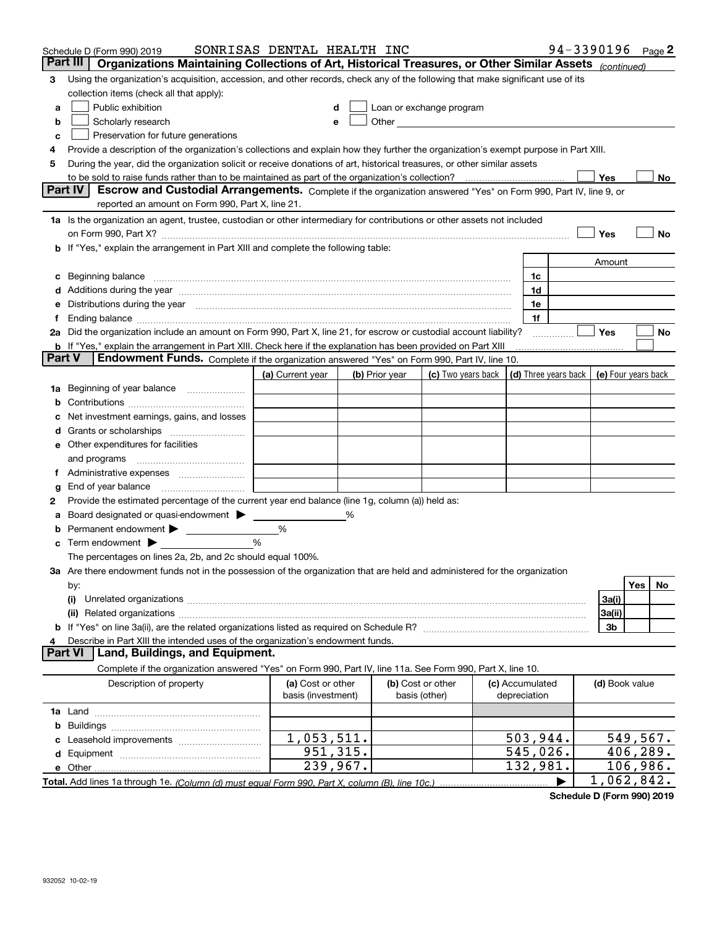|               | Schedule D (Form 990) 2019                                                                                                                                                                                                     | SONRISAS DENTAL HEALTH INC |                |                   |                                                                                                                                                                                                                               |                      |                | 94-3390196 Page 2   |
|---------------|--------------------------------------------------------------------------------------------------------------------------------------------------------------------------------------------------------------------------------|----------------------------|----------------|-------------------|-------------------------------------------------------------------------------------------------------------------------------------------------------------------------------------------------------------------------------|----------------------|----------------|---------------------|
|               | Part III<br>Organizations Maintaining Collections of Art, Historical Treasures, or Other Similar Assets (continued)                                                                                                            |                            |                |                   |                                                                                                                                                                                                                               |                      |                |                     |
| 3             | Using the organization's acquisition, accession, and other records, check any of the following that make significant use of its                                                                                                |                            |                |                   |                                                                                                                                                                                                                               |                      |                |                     |
|               | collection items (check all that apply):                                                                                                                                                                                       |                            |                |                   |                                                                                                                                                                                                                               |                      |                |                     |
| a             | Public exhibition                                                                                                                                                                                                              |                            |                |                   | Loan or exchange program                                                                                                                                                                                                      |                      |                |                     |
| b             | Scholarly research                                                                                                                                                                                                             | е                          |                |                   | Other and the contract of the contract of the contract of the contract of the contract of the contract of the contract of the contract of the contract of the contract of the contract of the contract of the contract of the |                      |                |                     |
| c             | Preservation for future generations                                                                                                                                                                                            |                            |                |                   |                                                                                                                                                                                                                               |                      |                |                     |
| 4             | Provide a description of the organization's collections and explain how they further the organization's exempt purpose in Part XIII.                                                                                           |                            |                |                   |                                                                                                                                                                                                                               |                      |                |                     |
| 5             | During the year, did the organization solicit or receive donations of art, historical treasures, or other similar assets                                                                                                       |                            |                |                   |                                                                                                                                                                                                                               |                      |                |                     |
|               | to be sold to raise funds rather than to be maintained as part of the organization's collection?                                                                                                                               |                            |                |                   |                                                                                                                                                                                                                               |                      | Yes            | No                  |
|               | <b>Part IV</b><br>Escrow and Custodial Arrangements. Complete if the organization answered "Yes" on Form 990, Part IV, line 9, or                                                                                              |                            |                |                   |                                                                                                                                                                                                                               |                      |                |                     |
|               | reported an amount on Form 990, Part X, line 21.                                                                                                                                                                               |                            |                |                   |                                                                                                                                                                                                                               |                      |                |                     |
|               | 1a Is the organization an agent, trustee, custodian or other intermediary for contributions or other assets not included                                                                                                       |                            |                |                   |                                                                                                                                                                                                                               |                      |                |                     |
|               | on Form 990, Part X? [11] matter contracts and contracts and contracts are contracted as a function of the set of the set of the set of the set of the set of the set of the set of the set of the set of the set of the set o |                            |                |                   |                                                                                                                                                                                                                               |                      | Yes            | No                  |
|               | b If "Yes," explain the arrangement in Part XIII and complete the following table:                                                                                                                                             |                            |                |                   |                                                                                                                                                                                                                               |                      |                |                     |
|               |                                                                                                                                                                                                                                |                            |                |                   |                                                                                                                                                                                                                               |                      | Amount         |                     |
| c             | Beginning balance                                                                                                                                                                                                              |                            |                |                   |                                                                                                                                                                                                                               | 1c                   |                |                     |
|               | Additions during the year manufactured and an annual contract of the year manufactured and a set of the year manufactured and a set of the year manufactured and a set of the year manufactured and a set of the set of the se |                            |                |                   |                                                                                                                                                                                                                               | 1d                   |                |                     |
| е             | Distributions during the year measurement contains and all the state of the state of the state of the state of                                                                                                                 |                            |                |                   |                                                                                                                                                                                                                               | 1e                   |                |                     |
|               |                                                                                                                                                                                                                                |                            |                |                   |                                                                                                                                                                                                                               | 1f                   |                |                     |
|               | 2a Did the organization include an amount on Form 990, Part X, line 21, for escrow or custodial account liability?                                                                                                             |                            |                |                   |                                                                                                                                                                                                                               |                      | Yes            | No                  |
| <b>Part V</b> | <b>b</b> If "Yes," explain the arrangement in Part XIII. Check here if the explanation has been provided on Part XIII                                                                                                          |                            |                |                   |                                                                                                                                                                                                                               |                      |                |                     |
|               | Endowment Funds. Complete if the organization answered "Yes" on Form 990, Part IV, line 10.                                                                                                                                    |                            |                |                   |                                                                                                                                                                                                                               |                      |                |                     |
|               |                                                                                                                                                                                                                                | (a) Current year           | (b) Prior year |                   | (c) Two years back                                                                                                                                                                                                            | (d) Three years back |                | (e) Four years back |
| 1a            | Beginning of year balance                                                                                                                                                                                                      |                            |                |                   |                                                                                                                                                                                                                               |                      |                |                     |
|               |                                                                                                                                                                                                                                |                            |                |                   |                                                                                                                                                                                                                               |                      |                |                     |
|               | Net investment earnings, gains, and losses                                                                                                                                                                                     |                            |                |                   |                                                                                                                                                                                                                               |                      |                |                     |
|               |                                                                                                                                                                                                                                |                            |                |                   |                                                                                                                                                                                                                               |                      |                |                     |
|               | e Other expenditures for facilities                                                                                                                                                                                            |                            |                |                   |                                                                                                                                                                                                                               |                      |                |                     |
|               | and programs                                                                                                                                                                                                                   |                            |                |                   |                                                                                                                                                                                                                               |                      |                |                     |
|               |                                                                                                                                                                                                                                |                            |                |                   |                                                                                                                                                                                                                               |                      |                |                     |
| g             | End of year balance                                                                                                                                                                                                            |                            |                |                   |                                                                                                                                                                                                                               |                      |                |                     |
| 2             | Provide the estimated percentage of the current year end balance (line 1g, column (a)) held as:                                                                                                                                |                            |                |                   |                                                                                                                                                                                                                               |                      |                |                     |
|               | Board designated or quasi-endowment > ____                                                                                                                                                                                     |                            | %              |                   |                                                                                                                                                                                                                               |                      |                |                     |
| b             | Term endowment $\blacktriangleright$                                                                                                                                                                                           | %<br>%                     |                |                   |                                                                                                                                                                                                                               |                      |                |                     |
| c             | The percentages on lines 2a, 2b, and 2c should equal 100%.                                                                                                                                                                     |                            |                |                   |                                                                                                                                                                                                                               |                      |                |                     |
|               | 3a Are there endowment funds not in the possession of the organization that are held and administered for the organization                                                                                                     |                            |                |                   |                                                                                                                                                                                                                               |                      |                |                     |
|               | by:                                                                                                                                                                                                                            |                            |                |                   |                                                                                                                                                                                                                               |                      |                | Yes<br>No           |
|               | (i)                                                                                                                                                                                                                            |                            |                |                   |                                                                                                                                                                                                                               |                      | 3a(i)          |                     |
|               |                                                                                                                                                                                                                                |                            |                |                   |                                                                                                                                                                                                                               |                      | 3a(ii)         |                     |
|               |                                                                                                                                                                                                                                |                            |                |                   |                                                                                                                                                                                                                               |                      | 3b             |                     |
| 4             | Describe in Part XIII the intended uses of the organization's endowment funds.                                                                                                                                                 |                            |                |                   |                                                                                                                                                                                                                               |                      |                |                     |
|               | Land, Buildings, and Equipment.<br><b>Part VI</b>                                                                                                                                                                              |                            |                |                   |                                                                                                                                                                                                                               |                      |                |                     |
|               | Complete if the organization answered "Yes" on Form 990, Part IV, line 11a. See Form 990, Part X, line 10.                                                                                                                     |                            |                |                   |                                                                                                                                                                                                                               |                      |                |                     |
|               | Description of property                                                                                                                                                                                                        | (a) Cost or other          |                | (b) Cost or other |                                                                                                                                                                                                                               | (c) Accumulated      | (d) Book value |                     |
|               |                                                                                                                                                                                                                                | basis (investment)         |                | basis (other)     |                                                                                                                                                                                                                               | depreciation         |                |                     |
|               |                                                                                                                                                                                                                                |                            |                |                   |                                                                                                                                                                                                                               |                      |                |                     |
| b             |                                                                                                                                                                                                                                |                            |                |                   |                                                                                                                                                                                                                               |                      |                |                     |
|               |                                                                                                                                                                                                                                | $\overline{1,053},511.$    |                |                   |                                                                                                                                                                                                                               | 503,944.             |                | 549, 567.           |
|               |                                                                                                                                                                                                                                | 951,315.                   |                |                   |                                                                                                                                                                                                                               | 545,026.             |                | 406,289.            |
|               | e Other.                                                                                                                                                                                                                       | 239,967.                   |                |                   |                                                                                                                                                                                                                               | 132,981.             |                | 106,986.            |
|               | Total. Add lines 1a through 1e. (Column (d) must equal Form 990. Part X. column (B). line 10c.)                                                                                                                                |                            |                |                   |                                                                                                                                                                                                                               |                      |                | 1,062,842.          |

**Schedule D (Form 990) 2019**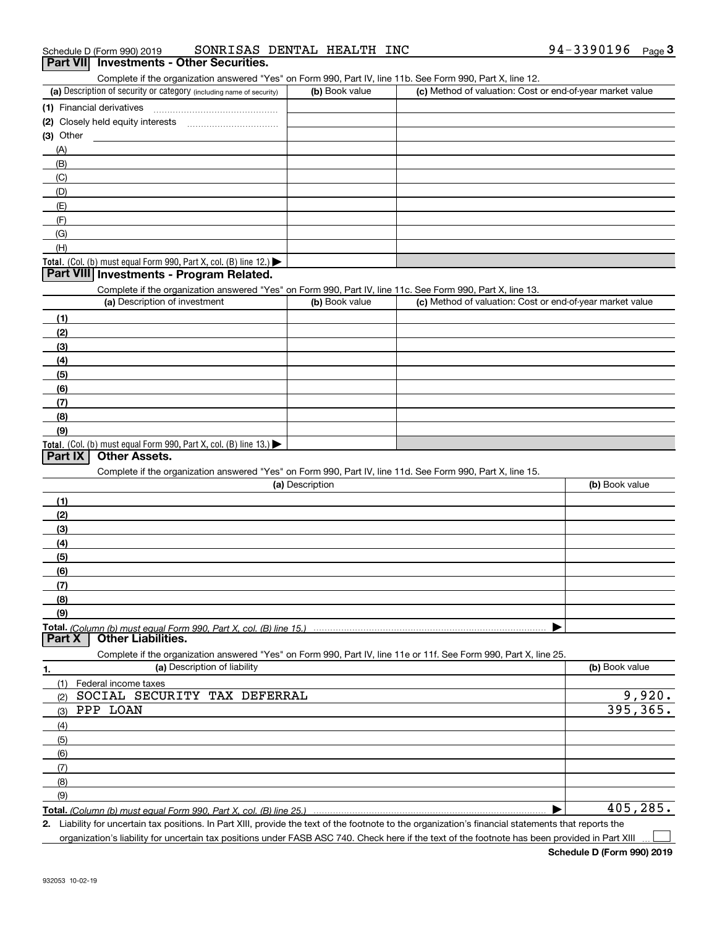| 94-3390196<br>SONRISAS DENTAL HEALTH INC<br>Schedule D (Form 990) 2019 |  | Page |
|------------------------------------------------------------------------|--|------|
|------------------------------------------------------------------------|--|------|

## **Part VII Investments - Other Securities.**

Complete if the organization answered "Yes" on Form 990, Part IV, line 11b. See Form 990, Part X, line 12.

| (a) Description of security or category (including name of security)                   | (b) Book value | (c) Method of valuation: Cost or end-of-year market value |
|----------------------------------------------------------------------------------------|----------------|-----------------------------------------------------------|
| (1) Financial derivatives                                                              |                |                                                           |
| (2) Closely held equity interests                                                      |                |                                                           |
| $(3)$ Other                                                                            |                |                                                           |
| (A)                                                                                    |                |                                                           |
| (B)                                                                                    |                |                                                           |
| (C)                                                                                    |                |                                                           |
| (D)                                                                                    |                |                                                           |
| (E)                                                                                    |                |                                                           |
| (F)                                                                                    |                |                                                           |
| (G)                                                                                    |                |                                                           |
| (H)                                                                                    |                |                                                           |
| Total. (Col. (b) must equal Form 990, Part X, col. (B) line 12.) $\blacktriangleright$ |                |                                                           |

#### **Part VIII Investments - Program Related.**

Complete if the organization answered "Yes" on Form 990, Part IV, line 11c. See Form 990, Part X, line 13.

| (a) Description of investment                                                                 | (b) Book value | (c) Method of valuation: Cost or end-of-year market value |
|-----------------------------------------------------------------------------------------------|----------------|-----------------------------------------------------------|
| (1)                                                                                           |                |                                                           |
| (2)                                                                                           |                |                                                           |
| $\frac{1}{2}$                                                                                 |                |                                                           |
| (4)                                                                                           |                |                                                           |
| $\left(5\right)$                                                                              |                |                                                           |
| (6)                                                                                           |                |                                                           |
| (7)                                                                                           |                |                                                           |
| (8)                                                                                           |                |                                                           |
| (9)                                                                                           |                |                                                           |
| <b>Total.</b> (Col. (b) must equal Form 990, Part X, col. (B) line 13.) $\blacktriangleright$ |                |                                                           |

#### **Part IX Other Assets.**

Complete if the organization answered "Yes" on Form 990, Part IV, line 11d. See Form 990, Part X, line 15.

| (a) Description                                                                                                   | (b) Book value |
|-------------------------------------------------------------------------------------------------------------------|----------------|
| (1)                                                                                                               |                |
| (2)                                                                                                               |                |
| (3)                                                                                                               |                |
| (4)                                                                                                               |                |
| (5)                                                                                                               |                |
| (6)                                                                                                               |                |
| (7)                                                                                                               |                |
| (8)                                                                                                               |                |
| (9)                                                                                                               |                |
|                                                                                                                   |                |
| <b>Other Liabilities.</b><br><b>Part X</b>                                                                        |                |
| Complete if the organization answered "Yes" on Form 990, Part IV, line 11e or 11f. See Form 990, Part X, line 25. |                |
| (a) Description of liability<br>1.                                                                                | (b) Book value |

| (a) Description of Ilability        | ( <b>b</b> ) BOOK value |
|-------------------------------------|-------------------------|
| Federal income taxes                |                         |
| SOCIAL SECURITY TAX DEFERRAL<br>(2) | 9,920.                  |
| PPP LOAN<br>(3)                     | 395, 365.               |
| (4)                                 |                         |
| $\frac{1}{2}$                       |                         |
| (6)                                 |                         |
| (7)                                 |                         |
| (8)                                 |                         |
| (9)                                 |                         |
|                                     | 405, 285.               |

**Total.**  *(Column (b) must equal Form 990, Part X, col. (B) line 25.)* 

**2.** Liability for uncertain tax positions. In Part XIII, provide the text of the footnote to the organization's financial statements that reports the organization's liability for uncertain tax positions under FASB ASC 740. Check here if the text of the footnote has been provided in Part XIII

 $\mathcal{L}^{\text{max}}$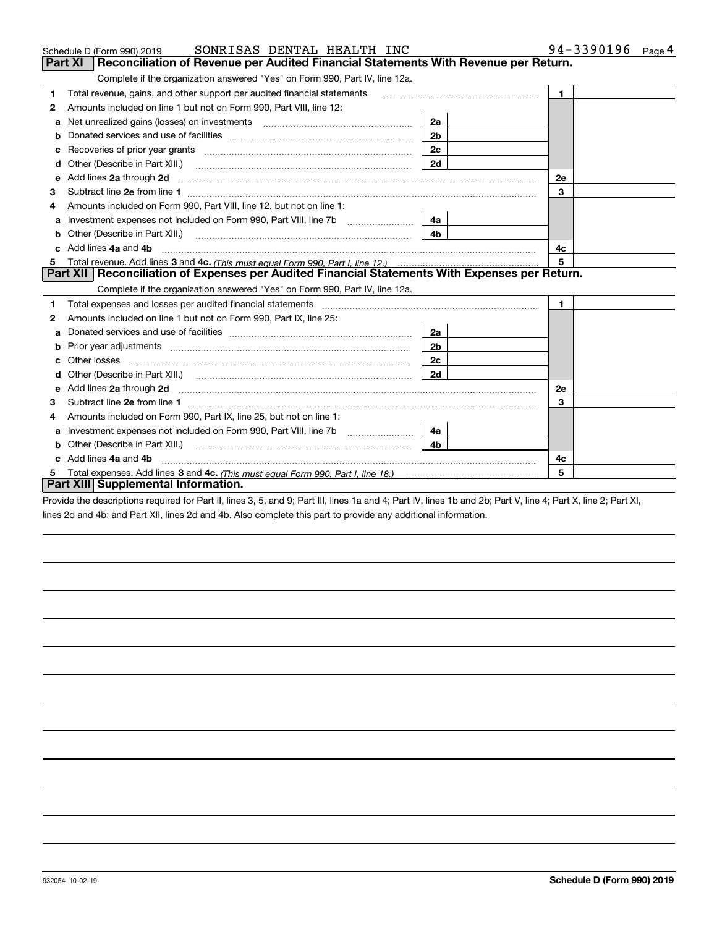|   | SONRISAS DENTAL HEALTH INC<br>Schedule D (Form 990) 2019                                                                                                                                                                                                                  |                | 94-3390196<br>Page 4 |
|---|---------------------------------------------------------------------------------------------------------------------------------------------------------------------------------------------------------------------------------------------------------------------------|----------------|----------------------|
|   | <b>Part XI</b><br>Reconciliation of Revenue per Audited Financial Statements With Revenue per Return.                                                                                                                                                                     |                |                      |
|   | Complete if the organization answered "Yes" on Form 990, Part IV, line 12a.                                                                                                                                                                                               |                |                      |
| 1 | Total revenue, gains, and other support per audited financial statements                                                                                                                                                                                                  |                | $\blacksquare$       |
| 2 | Amounts included on line 1 but not on Form 990, Part VIII, line 12:                                                                                                                                                                                                       |                |                      |
| a | Net unrealized gains (losses) on investments [11] matter contracts and the unrealized gains (losses) on investments                                                                                                                                                       | 2a             |                      |
| b |                                                                                                                                                                                                                                                                           | 2 <sub>b</sub> |                      |
| c | Recoveries of prior year grants [11] matter contracts and prior year grants [11] matter contracts and prior year grants and prior year of the contracts and prior year of the contracts and prior year of the contracts and pr                                            | 2c             |                      |
| d | Other (Describe in Part XIII.) <b>2006</b> 2007 2010 2010 2010 2010 2011 2012 2013 2014 2014 2015 2016 2017 2018 2019 2016 2017 2018 2019 2016 2017 2018 2019 2016 2017 2018 2019 2018 2019 2019 2016 2017 2018 2019 2018 2019 2019                                       | 2d             |                      |
| е | Add lines 2a through 2d                                                                                                                                                                                                                                                   |                | <b>2e</b>            |
| З |                                                                                                                                                                                                                                                                           |                | 3                    |
| 4 | Amounts included on Form 990, Part VIII, line 12, but not on line 1:                                                                                                                                                                                                      |                |                      |
| а | Investment expenses not included on Form 990, Part VIII, line 7b [111] [11] [12]                                                                                                                                                                                          | 4a             |                      |
| b | Other (Describe in Part XIII.) <b>Construction Construction</b> Chern Construction Chern Chern Chern Chern Chern Chern                                                                                                                                                    | 4 <sub>b</sub> |                      |
|   | Add lines 4a and 4b                                                                                                                                                                                                                                                       |                | 4с.                  |
| 5 |                                                                                                                                                                                                                                                                           |                | 5                    |
|   | Part XII Reconciliation of Expenses per Audited Financial Statements With Expenses per Return.                                                                                                                                                                            |                |                      |
|   | Complete if the organization answered "Yes" on Form 990, Part IV, line 12a.                                                                                                                                                                                               |                |                      |
| 1 | Total expenses and losses per audited financial statements [11] [12] manuscription control expenses and losses per audited financial statements [12] [12] manuscription of the statements [12] manuscription of the statements                                            |                | $\mathbf{1}$         |
| 2 | Amounts included on line 1 but not on Form 990, Part IX, line 25:                                                                                                                                                                                                         |                |                      |
| a |                                                                                                                                                                                                                                                                           | 2a             |                      |
| b | Prior year adjustments manufactured and control and all prior year adjustments and all prior year adjustments                                                                                                                                                             | 2 <sub>b</sub> |                      |
| c | Other losses                                                                                                                                                                                                                                                              | 2c             |                      |
|   |                                                                                                                                                                                                                                                                           | 2d             |                      |
| e | Add lines 2a through 2d <b>[10]</b> [20] <b>All (20)</b> [20] [20] <b>All (20)</b> [30] <b>All (20)</b> [30] <b>All (20)</b> [30] <b>All (20)</b> [30] <b>All (20)</b> [30] <b>All (20)</b> [30] <b>All (20)</b> [30] <b>All (20) All (20) All (20) All (20) All (20)</b> |                | 2e                   |
| 3 |                                                                                                                                                                                                                                                                           |                | 3                    |
| 4 | Amounts included on Form 990, Part IX, line 25, but not on line 1:                                                                                                                                                                                                        |                |                      |
| a |                                                                                                                                                                                                                                                                           | 4a             |                      |
|   |                                                                                                                                                                                                                                                                           | 4 <sub>b</sub> |                      |
|   | Add lines 4a and 4b                                                                                                                                                                                                                                                       |                | 4c                   |
| 5 |                                                                                                                                                                                                                                                                           |                | 5                    |
|   | <b>Part XIII Supplemental Information.</b>                                                                                                                                                                                                                                |                |                      |

Provide the descriptions required for Part II, lines 3, 5, and 9; Part III, lines 1a and 4; Part IV, lines 1b and 2b; Part V, line 4; Part X, line 2; Part XI, lines 2d and 4b; and Part XII, lines 2d and 4b. Also complete this part to provide any additional information.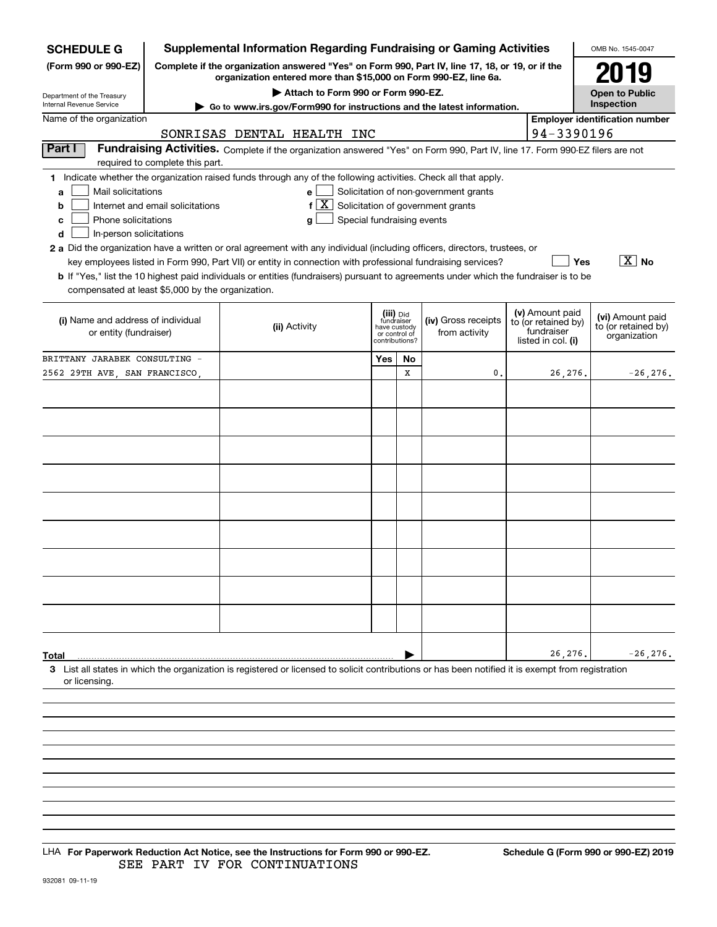| <b>SCHEDULE G</b>                                                                                                                                  |                                  |               |                                    |                            |                                                                  | <b>Supplemental Information Regarding Fundraising or Gaming Activities</b>                                                                                          |                                        | OMB No. 1545-0047                     |
|----------------------------------------------------------------------------------------------------------------------------------------------------|----------------------------------|---------------|------------------------------------|----------------------------|------------------------------------------------------------------|---------------------------------------------------------------------------------------------------------------------------------------------------------------------|----------------------------------------|---------------------------------------|
| (Form 990 or 990-EZ)                                                                                                                               |                                  |               |                                    |                            |                                                                  | Complete if the organization answered "Yes" on Form 990, Part IV, line 17, 18, or 19, or if the<br>organization entered more than \$15,000 on Form 990-EZ, line 6a. |                                        | 2019                                  |
| Department of the Treasury                                                                                                                         |                                  |               | Attach to Form 990 or Form 990-EZ. |                            |                                                                  |                                                                                                                                                                     |                                        | <b>Open to Public</b><br>Inspection   |
| Internal Revenue Service                                                                                                                           |                                  |               |                                    |                            |                                                                  | ► Go to www.irs.gov/Form990 for instructions and the latest information.                                                                                            |                                        |                                       |
| Name of the organization                                                                                                                           |                                  |               |                                    |                            |                                                                  |                                                                                                                                                                     |                                        | <b>Employer identification number</b> |
|                                                                                                                                                    | SONRISAS DENTAL HEALTH INC       |               |                                    |                            |                                                                  |                                                                                                                                                                     | 94-3390196                             |                                       |
| Part I                                                                                                                                             | required to complete this part.  |               |                                    |                            |                                                                  | Fundraising Activities. Complete if the organization answered "Yes" on Form 990, Part IV, line 17. Form 990-EZ filers are not                                       |                                        |                                       |
| 1 Indicate whether the organization raised funds through any of the following activities. Check all that apply.                                    |                                  |               |                                    |                            |                                                                  |                                                                                                                                                                     |                                        |                                       |
| Mail solicitations<br>a                                                                                                                            |                                  |               | e                                  |                            |                                                                  | Solicitation of non-government grants                                                                                                                               |                                        |                                       |
| b                                                                                                                                                  | Internet and email solicitations |               | ΙX.<br>f                           |                            |                                                                  | Solicitation of government grants                                                                                                                                   |                                        |                                       |
| Phone solicitations<br>c                                                                                                                           |                                  |               | g                                  | Special fundraising events |                                                                  |                                                                                                                                                                     |                                        |                                       |
| In-person solicitations<br>d                                                                                                                       |                                  |               |                                    |                            |                                                                  |                                                                                                                                                                     |                                        |                                       |
| 2 a Did the organization have a written or oral agreement with any individual (including officers, directors, trustees, or                         |                                  |               |                                    |                            |                                                                  |                                                                                                                                                                     |                                        |                                       |
|                                                                                                                                                    |                                  |               |                                    |                            |                                                                  | key employees listed in Form 990, Part VII) or entity in connection with professional fundraising services?                                                         | Yes                                    | $\sqrt{X}$ No                         |
| <b>b</b> If "Yes," list the 10 highest paid individuals or entities (fundraisers) pursuant to agreements under which the fundraiser is to be       |                                  |               |                                    |                            |                                                                  |                                                                                                                                                                     |                                        |                                       |
| compensated at least \$5,000 by the organization.                                                                                                  |                                  |               |                                    |                            |                                                                  |                                                                                                                                                                     |                                        |                                       |
|                                                                                                                                                    |                                  |               |                                    |                            |                                                                  |                                                                                                                                                                     |                                        |                                       |
| (i) Name and address of individual                                                                                                                 |                                  |               |                                    |                            | (iii) Did<br>fundraiser                                          | (iv) Gross receipts                                                                                                                                                 | (v) Amount paid<br>to (or retained by) | (vi) Amount paid                      |
| or entity (fundraiser)                                                                                                                             |                                  | (ii) Activity |                                    |                            | have custody<br>from activity<br>or control of<br>contributions? |                                                                                                                                                                     | fundraiser                             | to (or retained by)<br>organization   |
|                                                                                                                                                    |                                  |               |                                    |                            |                                                                  |                                                                                                                                                                     | listed in col. (i)                     |                                       |
| BRITTANY JARABEK CONSULTING -                                                                                                                      |                                  |               |                                    | Yes                        | No                                                               |                                                                                                                                                                     |                                        |                                       |
| 2562 29TH AVE, SAN FRANCISCO,                                                                                                                      |                                  |               |                                    |                            | X                                                                | 0.                                                                                                                                                                  | 26,276.                                | $-26, 276.$                           |
|                                                                                                                                                    |                                  |               |                                    |                            |                                                                  |                                                                                                                                                                     |                                        |                                       |
|                                                                                                                                                    |                                  |               |                                    |                            |                                                                  |                                                                                                                                                                     |                                        |                                       |
|                                                                                                                                                    |                                  |               |                                    |                            |                                                                  |                                                                                                                                                                     |                                        |                                       |
|                                                                                                                                                    |                                  |               |                                    |                            |                                                                  |                                                                                                                                                                     |                                        |                                       |
|                                                                                                                                                    |                                  |               |                                    |                            |                                                                  |                                                                                                                                                                     |                                        |                                       |
|                                                                                                                                                    |                                  |               |                                    |                            |                                                                  |                                                                                                                                                                     |                                        |                                       |
|                                                                                                                                                    |                                  |               |                                    |                            |                                                                  |                                                                                                                                                                     |                                        |                                       |
|                                                                                                                                                    |                                  |               |                                    |                            |                                                                  |                                                                                                                                                                     |                                        |                                       |
|                                                                                                                                                    |                                  |               |                                    |                            |                                                                  |                                                                                                                                                                     |                                        |                                       |
|                                                                                                                                                    |                                  |               |                                    |                            |                                                                  |                                                                                                                                                                     |                                        |                                       |
|                                                                                                                                                    |                                  |               |                                    |                            |                                                                  |                                                                                                                                                                     |                                        |                                       |
|                                                                                                                                                    |                                  |               |                                    |                            |                                                                  |                                                                                                                                                                     |                                        |                                       |
|                                                                                                                                                    |                                  |               |                                    |                            |                                                                  |                                                                                                                                                                     |                                        |                                       |
|                                                                                                                                                    |                                  |               |                                    |                            |                                                                  |                                                                                                                                                                     |                                        |                                       |
|                                                                                                                                                    |                                  |               |                                    |                            |                                                                  |                                                                                                                                                                     |                                        |                                       |
|                                                                                                                                                    |                                  |               |                                    |                            |                                                                  |                                                                                                                                                                     |                                        |                                       |
|                                                                                                                                                    |                                  |               |                                    |                            |                                                                  |                                                                                                                                                                     |                                        |                                       |
|                                                                                                                                                    |                                  |               |                                    |                            |                                                                  |                                                                                                                                                                     |                                        |                                       |
| Total                                                                                                                                              |                                  |               |                                    |                            |                                                                  |                                                                                                                                                                     | 26,276.                                | $-26, 276.$                           |
| 3 List all states in which the organization is registered or licensed to solicit contributions or has been notified it is exempt from registration |                                  |               |                                    |                            |                                                                  |                                                                                                                                                                     |                                        |                                       |
| or licensing.                                                                                                                                      |                                  |               |                                    |                            |                                                                  |                                                                                                                                                                     |                                        |                                       |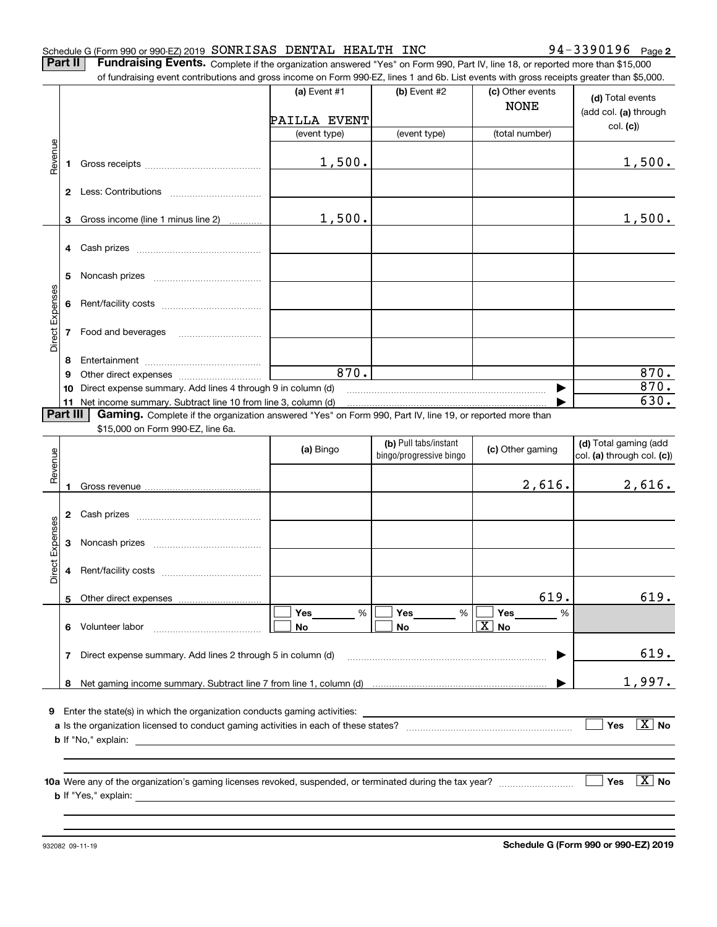**2**

**Part II** | Fundraising Events. Complete if the organization answered "Yes" on Form 990, Part IV, line 18, or reported more than \$15,000 of fundraising event contributions and gross income on Form 990-EZ, lines 1 and 6b. List events with gross receipts greater than \$5,000.

|                 |          |                                                                                                          | (a) Event $#1$ | (b) Event #2            | (c) Other events<br><b>NONE</b> | (d) Total events<br>(add col. (a) through |
|-----------------|----------|----------------------------------------------------------------------------------------------------------|----------------|-------------------------|---------------------------------|-------------------------------------------|
|                 |          |                                                                                                          | PAILLA EVENT   |                         |                                 |                                           |
|                 |          |                                                                                                          | (event type)   | (event type)            | (total number)                  | col. (c)                                  |
|                 |          |                                                                                                          |                |                         |                                 |                                           |
| Revenue         |          |                                                                                                          | 1,500.         |                         |                                 | 1,500.                                    |
|                 |          |                                                                                                          |                |                         |                                 |                                           |
|                 |          |                                                                                                          |                |                         |                                 |                                           |
|                 |          | 3 Gross income (line 1 minus line 2)                                                                     | 1,500.         |                         |                                 | 1,500.                                    |
|                 |          |                                                                                                          |                |                         |                                 |                                           |
|                 |          |                                                                                                          |                |                         |                                 |                                           |
|                 |          |                                                                                                          |                |                         |                                 |                                           |
|                 | 5.       |                                                                                                          |                |                         |                                 |                                           |
|                 |          |                                                                                                          |                |                         |                                 |                                           |
| Direct Expenses |          | 7 Food and beverages                                                                                     |                |                         |                                 |                                           |
|                 |          |                                                                                                          |                |                         |                                 |                                           |
|                 |          |                                                                                                          |                |                         |                                 |                                           |
|                 |          |                                                                                                          |                |                         |                                 |                                           |
|                 | 8        |                                                                                                          |                |                         |                                 |                                           |
|                 | 9        |                                                                                                          | 870.           |                         |                                 | 870.                                      |
|                 | 10       | Direct expense summary. Add lines 4 through 9 in column (d)                                              |                |                         |                                 | 870.                                      |
|                 |          | 11 Net income summary. Subtract line 10 from line 3, column (d)                                          |                |                         |                                 | 630.                                      |
|                 | Part III | Gaming. Complete if the organization answered "Yes" on Form 990, Part IV, line 19, or reported more than |                |                         |                                 |                                           |
|                 |          | \$15,000 on Form 990-EZ, line 6a.                                                                        |                |                         |                                 |                                           |
|                 |          |                                                                                                          |                | (b) Pull tabs/instant   |                                 | (d) Total gaming (add                     |
| Revenue         |          |                                                                                                          | (a) Bingo      | bingo/progressive bingo | (c) Other gaming                | col. (a) through col. (c))                |
|                 |          |                                                                                                          |                |                         |                                 |                                           |
|                 |          |                                                                                                          |                |                         | 2,616.                          | 2,616.                                    |
|                 |          |                                                                                                          |                |                         |                                 |                                           |
|                 |          |                                                                                                          |                |                         |                                 |                                           |
|                 |          |                                                                                                          |                |                         |                                 |                                           |
|                 | 3        |                                                                                                          |                |                         |                                 |                                           |
| Direct Expenses |          |                                                                                                          |                |                         |                                 |                                           |
|                 | 4        |                                                                                                          |                |                         |                                 |                                           |
|                 |          |                                                                                                          |                |                         |                                 |                                           |
|                 |          |                                                                                                          |                |                         | 619.                            | 619.                                      |
|                 |          |                                                                                                          | Yes<br>%       | Yes<br>%                | Yes<br>%                        |                                           |
|                 | 6.       | Volunteer labor                                                                                          | No             | No                      | $\boxed{X}$ No                  |                                           |
|                 |          |                                                                                                          |                |                         |                                 |                                           |
|                 | 7        | Direct expense summary. Add lines 2 through 5 in column (d)                                              |                |                         |                                 | 619.                                      |
|                 |          |                                                                                                          |                |                         |                                 |                                           |
|                 | 8        |                                                                                                          |                |                         |                                 | 1,997.                                    |
|                 |          |                                                                                                          |                |                         |                                 |                                           |
| 9               |          | Enter the state(s) in which the organization conducts gaming activities:                                 |                |                         |                                 |                                           |
|                 |          |                                                                                                          |                |                         |                                 | $\boxed{\text{X}}$ No<br>Yes              |
|                 |          | <b>b</b> If "No," explain:                                                                               |                |                         |                                 |                                           |
|                 |          |                                                                                                          |                |                         |                                 |                                           |
|                 |          |                                                                                                          |                |                         |                                 |                                           |
|                 |          |                                                                                                          |                |                         |                                 | $\boxed{\text{X}}$ No<br>Yes              |
|                 |          |                                                                                                          |                |                         |                                 |                                           |
|                 |          |                                                                                                          |                |                         |                                 |                                           |
|                 |          |                                                                                                          |                |                         |                                 |                                           |

932082 09-11-19

**Schedule G (Form 990 or 990-EZ) 2019**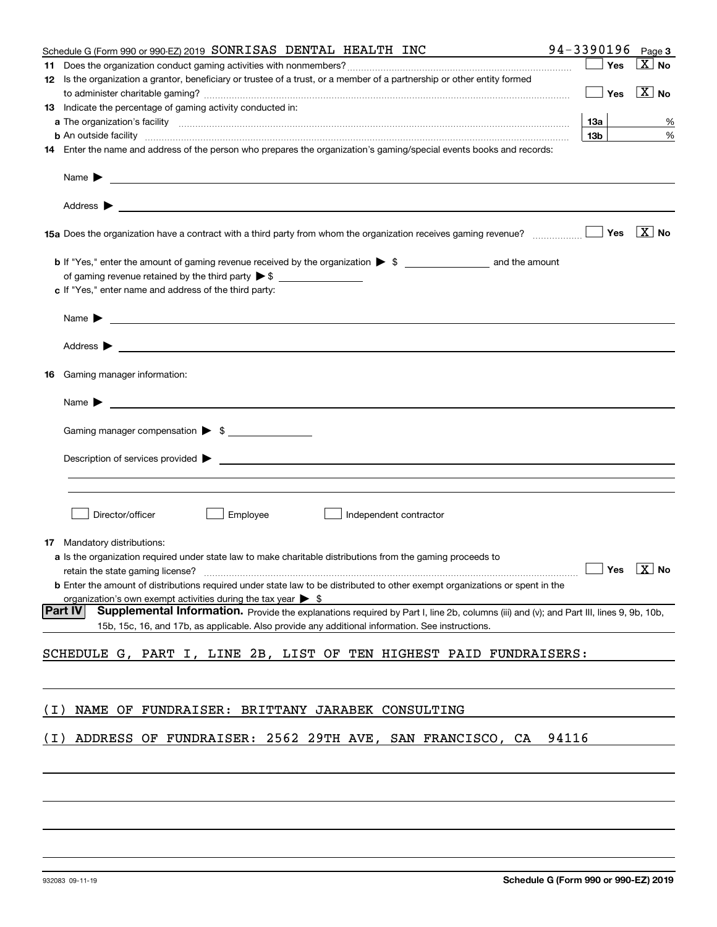|       | Schedule G (Form 990 or 990-EZ) 2019 SONRISAS DENTAL HEALTH INC                                                                                          | 94-3390196 |     | Page 3                |
|-------|----------------------------------------------------------------------------------------------------------------------------------------------------------|------------|-----|-----------------------|
|       |                                                                                                                                                          |            | Yes | $\overline{X}$ No     |
|       | 12 Is the organization a grantor, beneficiary or trustee of a trust, or a member of a partnership or other entity formed                                 |            |     |                       |
|       |                                                                                                                                                          |            | Yes | $\boxed{\text{X}}$ No |
|       | 13 Indicate the percentage of gaming activity conducted in:                                                                                              |            |     |                       |
|       |                                                                                                                                                          | 13а        |     | %                     |
|       |                                                                                                                                                          | 13b        |     | %                     |
|       | 14 Enter the name and address of the person who prepares the organization's gaming/special events books and records:                                     |            |     |                       |
|       | Name $\blacktriangleright$<br><u> 1989 - Johann Stoff, amerikansk politiker (d. 1989)</u>                                                                |            |     |                       |
|       |                                                                                                                                                          |            |     |                       |
|       |                                                                                                                                                          |            | Yes | $\boxed{\text{X}}$ No |
|       | of gaming revenue retained by the third party $\triangleright$ \$                                                                                        |            |     |                       |
|       | c If "Yes," enter name and address of the third party:                                                                                                   |            |     |                       |
|       | Name $\blacktriangleright$                                                                                                                               |            |     |                       |
|       | Address $\blacktriangleright$<br><u>some started and the started and the started and the started and the started and the started and the started and</u> |            |     |                       |
|       | <b>16</b> Gaming manager information:                                                                                                                    |            |     |                       |
|       | <u> 1989 - Johann Barbara, marka a shekara tsa 1989 - An tsa 1989 - An tsa 1989 - An tsa 1989 - An tsa 1989 - An</u><br>Name $\blacktriangleright$       |            |     |                       |
|       |                                                                                                                                                          |            |     |                       |
|       | Gaming manager compensation > \$                                                                                                                         |            |     |                       |
|       |                                                                                                                                                          |            |     |                       |
|       |                                                                                                                                                          |            |     |                       |
|       |                                                                                                                                                          |            |     |                       |
|       | Director/officer<br>Employee<br>Independent contractor                                                                                                   |            |     |                       |
|       | <b>17</b> Mandatory distributions:                                                                                                                       |            |     |                       |
|       | a Is the organization required under state law to make charitable distributions from the gaming proceeds to                                              |            |     |                       |
|       | retain the state gaming license? $\Box$ No                                                                                                               |            |     |                       |
|       | <b>b</b> Enter the amount of distributions required under state law to be distributed to other exempt organizations or spent in the                      |            |     |                       |
|       | organization's own exempt activities during the tax year $\triangleright$ \$                                                                             |            |     |                       |
|       | <b>Part IV</b><br>Supplemental Information. Provide the explanations required by Part I, line 2b, columns (iii) and (v); and Part III, lines 9, 9b, 10b, |            |     |                       |
|       | 15b, 15c, 16, and 17b, as applicable. Also provide any additional information. See instructions.                                                         |            |     |                       |
|       | SCHEDULE G, PART I, LINE 2B, LIST OF TEN HIGHEST PAID FUNDRAISERS:                                                                                       |            |     |                       |
|       |                                                                                                                                                          |            |     |                       |
|       | NAME OF FUNDRAISER: BRITTANY JARABEK CONSULTING                                                                                                          |            |     |                       |
| ( I ) |                                                                                                                                                          |            |     |                       |
| ( I ) | ADDRESS OF FUNDRAISER: 2562 29TH AVE, SAN FRANCISCO, CA                                                                                                  | 94116      |     |                       |
|       |                                                                                                                                                          |            |     |                       |
|       |                                                                                                                                                          |            |     |                       |
|       |                                                                                                                                                          |            |     |                       |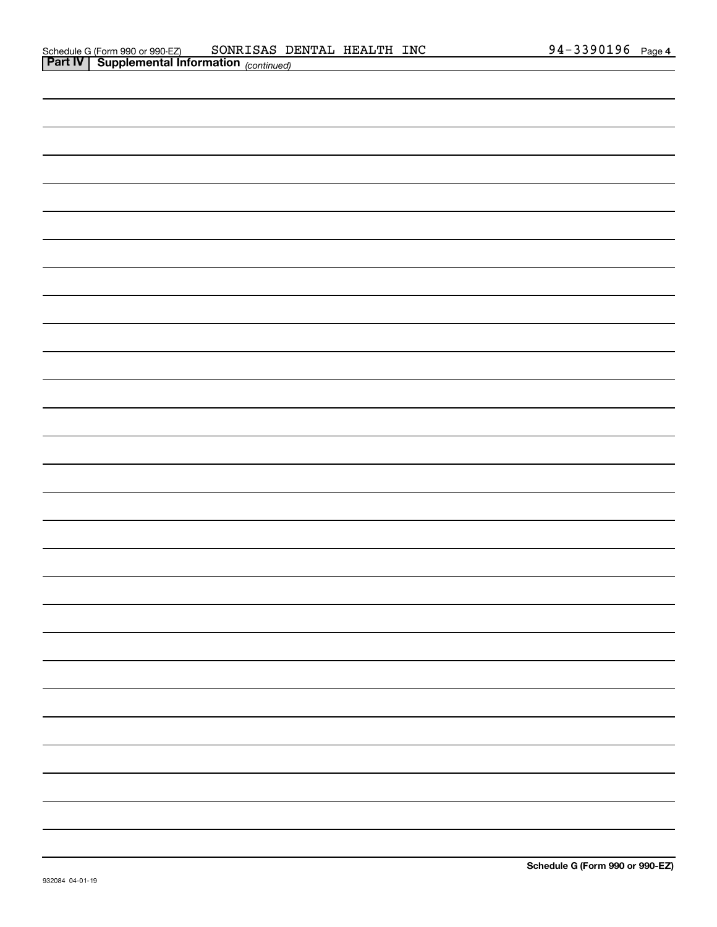| <b>Part IV Supplemental Information</b> (continued) |  |  |  |
|-----------------------------------------------------|--|--|--|
|                                                     |  |  |  |
|                                                     |  |  |  |
|                                                     |  |  |  |
|                                                     |  |  |  |
|                                                     |  |  |  |
|                                                     |  |  |  |
|                                                     |  |  |  |
|                                                     |  |  |  |
|                                                     |  |  |  |
|                                                     |  |  |  |
|                                                     |  |  |  |
|                                                     |  |  |  |
|                                                     |  |  |  |
|                                                     |  |  |  |
|                                                     |  |  |  |
|                                                     |  |  |  |
|                                                     |  |  |  |
|                                                     |  |  |  |
|                                                     |  |  |  |
|                                                     |  |  |  |
|                                                     |  |  |  |
|                                                     |  |  |  |
|                                                     |  |  |  |
|                                                     |  |  |  |
|                                                     |  |  |  |
|                                                     |  |  |  |
|                                                     |  |  |  |
|                                                     |  |  |  |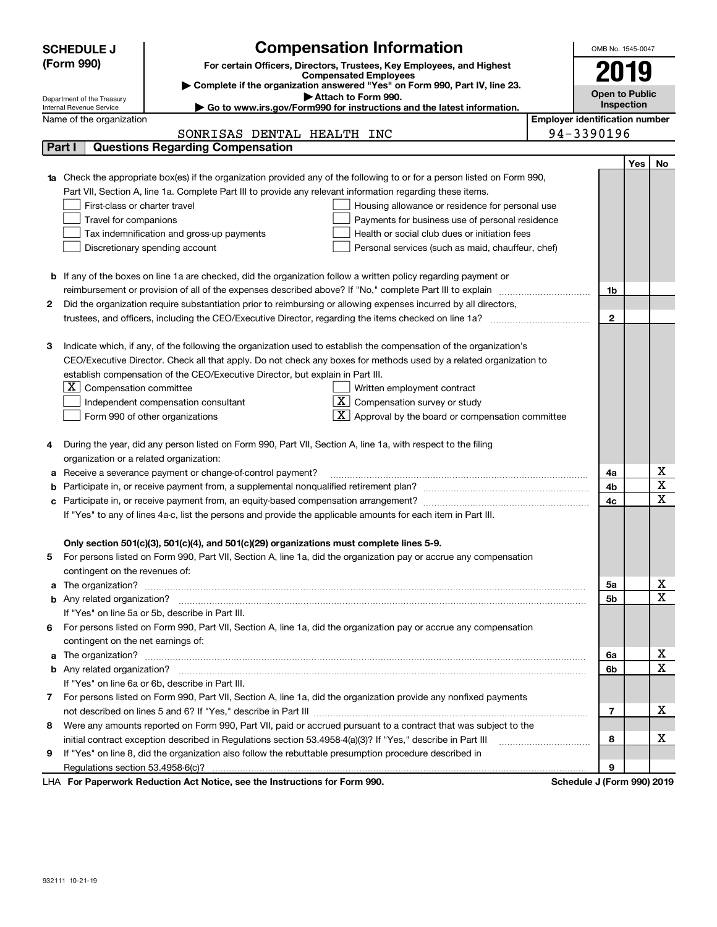|   | <b>Compensation Information</b><br><b>SCHEDULE J</b>                                                                                                                                                 | OMB No. 1545-0047                     |            |                  |
|---|------------------------------------------------------------------------------------------------------------------------------------------------------------------------------------------------------|---------------------------------------|------------|------------------|
|   | (Form 990)<br>For certain Officers, Directors, Trustees, Key Employees, and Highest                                                                                                                  |                                       |            |                  |
|   | <b>Compensated Employees</b>                                                                                                                                                                         |                                       | 2019       |                  |
|   | Complete if the organization answered "Yes" on Form 990, Part IV, line 23.<br>Attach to Form 990.                                                                                                    | <b>Open to Public</b>                 |            |                  |
|   | Department of the Treasury<br>Go to www.irs.gov/Form990 for instructions and the latest information.<br>Internal Revenue Service                                                                     |                                       | Inspection |                  |
|   | Name of the organization                                                                                                                                                                             | <b>Employer identification number</b> |            |                  |
|   | SONRISAS DENTAL HEALTH INC                                                                                                                                                                           | 94-3390196                            |            |                  |
|   | Part I<br><b>Questions Regarding Compensation</b>                                                                                                                                                    |                                       |            |                  |
|   |                                                                                                                                                                                                      |                                       | Yes        | No               |
|   | Check the appropriate box(es) if the organization provided any of the following to or for a person listed on Form 990,                                                                               |                                       |            |                  |
|   | Part VII, Section A, line 1a. Complete Part III to provide any relevant information regarding these items.                                                                                           |                                       |            |                  |
|   | First-class or charter travel<br>Housing allowance or residence for personal use                                                                                                                     |                                       |            |                  |
|   | Travel for companions<br>Payments for business use of personal residence                                                                                                                             |                                       |            |                  |
|   | Tax indemnification and gross-up payments<br>Health or social club dues or initiation fees                                                                                                           |                                       |            |                  |
|   | Discretionary spending account<br>Personal services (such as maid, chauffeur, chef)                                                                                                                  |                                       |            |                  |
|   |                                                                                                                                                                                                      |                                       |            |                  |
| b | If any of the boxes on line 1a are checked, did the organization follow a written policy regarding payment or                                                                                        |                                       |            |                  |
|   | reimbursement or provision of all of the expenses described above? If "No," complete Part III to explain                                                                                             | 1b                                    |            |                  |
| 2 | Did the organization require substantiation prior to reimbursing or allowing expenses incurred by all directors,                                                                                     |                                       |            |                  |
|   |                                                                                                                                                                                                      | $\mathbf{2}$                          |            |                  |
|   |                                                                                                                                                                                                      |                                       |            |                  |
| з | Indicate which, if any, of the following the organization used to establish the compensation of the organization's                                                                                   |                                       |            |                  |
|   | CEO/Executive Director. Check all that apply. Do not check any boxes for methods used by a related organization to<br>establish compensation of the CEO/Executive Director, but explain in Part III. |                                       |            |                  |
|   | $X$ Compensation committee<br>Written employment contract                                                                                                                                            |                                       |            |                  |
|   | $X$ Compensation survey or study<br>Independent compensation consultant                                                                                                                              |                                       |            |                  |
|   | $\mathbf{X}$ Approval by the board or compensation committee<br>Form 990 of other organizations                                                                                                      |                                       |            |                  |
|   |                                                                                                                                                                                                      |                                       |            |                  |
| 4 | During the year, did any person listed on Form 990, Part VII, Section A, line 1a, with respect to the filing                                                                                         |                                       |            |                  |
|   | organization or a related organization:                                                                                                                                                              |                                       |            |                  |
| а | Receive a severance payment or change-of-control payment?                                                                                                                                            | 4a                                    |            | х                |
|   |                                                                                                                                                                                                      | 4b                                    |            | X                |
| с | Participate in, or receive payment from, an equity-based compensation arrangement?                                                                                                                   | 4c                                    |            | X                |
|   | If "Yes" to any of lines 4a-c, list the persons and provide the applicable amounts for each item in Part III.                                                                                        |                                       |            |                  |
|   |                                                                                                                                                                                                      |                                       |            |                  |
|   | Only section 501(c)(3), 501(c)(4), and 501(c)(29) organizations must complete lines 5-9.                                                                                                             |                                       |            |                  |
|   | For persons listed on Form 990, Part VII, Section A, line 1a, did the organization pay or accrue any compensation                                                                                    |                                       |            |                  |
|   | contingent on the revenues of:                                                                                                                                                                       |                                       |            |                  |
| a |                                                                                                                                                                                                      | 5a                                    |            | x                |
|   |                                                                                                                                                                                                      | 5b                                    |            | X                |
|   | If "Yes" on line 5a or 5b, describe in Part III.                                                                                                                                                     |                                       |            |                  |
| 6 | For persons listed on Form 990, Part VII, Section A, line 1a, did the organization pay or accrue any compensation                                                                                    |                                       |            |                  |
|   | contingent on the net earnings of:                                                                                                                                                                   |                                       |            |                  |
| a | The organization? <b>With the organization? Constitution of the organization</b> of the organization?                                                                                                | 6a                                    |            | x<br>$\mathbf X$ |
|   |                                                                                                                                                                                                      | 6b                                    |            |                  |
|   | If "Yes" on line 6a or 6b, describe in Part III.                                                                                                                                                     |                                       |            |                  |
|   | 7 For persons listed on Form 990, Part VII, Section A, line 1a, did the organization provide any nonfixed payments                                                                                   |                                       |            | х                |
|   |                                                                                                                                                                                                      | 7                                     |            |                  |
| 8 | Were any amounts reported on Form 990, Part VII, paid or accrued pursuant to a contract that was subject to the                                                                                      | 8                                     |            | х                |
|   | initial contract exception described in Regulations section 53.4958-4(a)(3)? If "Yes," describe in Part III                                                                                          |                                       |            |                  |
| 9 | If "Yes" on line 8, did the organization also follow the rebuttable presumption procedure described in                                                                                               | 9                                     |            |                  |
|   | duction Act Notice, and the Instructions for Form 000                                                                                                                                                | Calcadola Line                        |            |                  |

LHA For Paperwork Reduction Act Notice, see the Instructions for Form 990. Schedule J (Form 990) 2019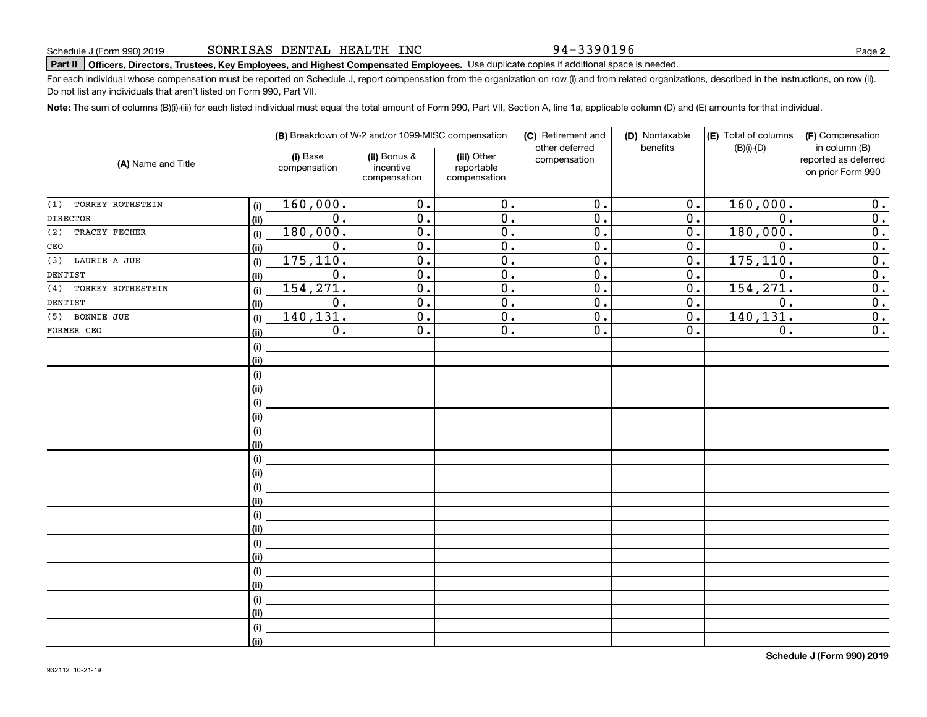94-3390196

**2**

# **Part II Officers, Directors, Trustees, Key Employees, and Highest Compensated Employees.**  Schedule J (Form 990) 2019 Page Use duplicate copies if additional space is needed.

For each individual whose compensation must be reported on Schedule J, report compensation from the organization on row (i) and from related organizations, described in the instructions, on row (ii). Do not list any individuals that aren't listed on Form 990, Part VII.

**Note:**  The sum of columns (B)(i)-(iii) for each listed individual must equal the total amount of Form 990, Part VII, Section A, line 1a, applicable column (D) and (E) amounts for that individual.

| (A) Name and Title       |      | (B) Breakdown of W-2 and/or 1099-MISC compensation |                                           |                                           | (C) Retirement and<br>other deferred | (D) Nontaxable<br>benefits | (E) Total of columns<br>$(B)(i)-(D)$ | (F) Compensation<br>in column (B)         |
|--------------------------|------|----------------------------------------------------|-------------------------------------------|-------------------------------------------|--------------------------------------|----------------------------|--------------------------------------|-------------------------------------------|
|                          |      | (i) Base<br>compensation                           | (ii) Bonus &<br>incentive<br>compensation | (iii) Other<br>reportable<br>compensation | compensation                         |                            |                                      | reported as deferred<br>on prior Form 990 |
| TORREY ROTHSTEIN<br>(1)  | (i)  | 160,000.                                           | 0.                                        | 0.                                        | $\overline{0}$ .                     | 0.                         | 160,000.                             | 0.                                        |
| <b>DIRECTOR</b>          | (ii) | 0.                                                 | 0.                                        | $\overline{0}$ .                          | $\overline{0}$ .                     | $\mathbf 0$ .              | 0.                                   | 0.                                        |
| TRACEY FECHER<br>(2)     | (i)  | 180,000.                                           | $\overline{0}$ .                          | $\overline{0}$ .                          | $\overline{0}$ .                     | $\overline{0}$ .           | 180,000.                             | $\overline{\mathbf{0}}$ .                 |
| CEO                      | (ii) | $0$ .                                              | $\overline{0}$ .                          | $\overline{0}$ .                          | $\overline{0}$ .                     | $0$ .                      | 0.                                   | $\overline{\mathbf{0}}$ .                 |
| (3)<br>LAURIE A JUE      | (i)  | 175,110.                                           | $\overline{0}$ .                          | $\overline{0}$ .                          | $\overline{0}$ .                     | $\overline{0}$ .           | 175, 110.                            | $\overline{\mathbf{0}}$ .                 |
| DENTIST                  | (ii) | $\overline{0}$ .                                   | $\overline{0}$ .                          | $\overline{0}$ .                          | $\overline{0}$ .                     | $\overline{0}$ .           | $\overline{0}$ .                     | $\overline{0}$ .                          |
| TORREY ROTHESTEIN<br>(4) | (i)  | 154, 271.                                          | $\overline{0}$ .                          | $\overline{0}$ .                          | $\overline{0}$ .                     | $\overline{0}$ .           | 154, 271.                            | $\overline{0}$ .                          |
| DENTIST                  | (ii) | $\overline{0}$ .                                   | $\overline{0}$ .                          | $\overline{0}$ .                          | $\overline{0}$ .                     | $\overline{0}$ .           | $\overline{0}$ .                     | $\overline{0}$ .                          |
| (5) BONNIE JUE           | (i)  | 140, 131.                                          | $\overline{0}$ .                          | $\overline{0}$ .                          | $\overline{0}$ .                     | $\overline{0}$ .           | 140, 131.                            | $\overline{0}$ .                          |
| FORMER CEO               | (ii) | $0$ .                                              | $\overline{0}$ .                          | $\overline{0}$ .                          | $\overline{0}$ .                     | 0.                         | $\overline{0}$ .                     | $\overline{0}$ .                          |
|                          | (i)  |                                                    |                                           |                                           |                                      |                            |                                      |                                           |
|                          | (ii) |                                                    |                                           |                                           |                                      |                            |                                      |                                           |
|                          | (i)  |                                                    |                                           |                                           |                                      |                            |                                      |                                           |
|                          | (ii) |                                                    |                                           |                                           |                                      |                            |                                      |                                           |
|                          | (i)  |                                                    |                                           |                                           |                                      |                            |                                      |                                           |
|                          | (ii) |                                                    |                                           |                                           |                                      |                            |                                      |                                           |
|                          | (i)  |                                                    |                                           |                                           |                                      |                            |                                      |                                           |
|                          | (ii) |                                                    |                                           |                                           |                                      |                            |                                      |                                           |
|                          | (i)  |                                                    |                                           |                                           |                                      |                            |                                      |                                           |
|                          | (ii) |                                                    |                                           |                                           |                                      |                            |                                      |                                           |
|                          | (i)  |                                                    |                                           |                                           |                                      |                            |                                      |                                           |
|                          | (ii) |                                                    |                                           |                                           |                                      |                            |                                      |                                           |
|                          | (i)  |                                                    |                                           |                                           |                                      |                            |                                      |                                           |
|                          | (ii) |                                                    |                                           |                                           |                                      |                            |                                      |                                           |
|                          | (i)  |                                                    |                                           |                                           |                                      |                            |                                      |                                           |
|                          | (ii) |                                                    |                                           |                                           |                                      |                            |                                      |                                           |
|                          | (i)  |                                                    |                                           |                                           |                                      |                            |                                      |                                           |
|                          | (ii) |                                                    |                                           |                                           |                                      |                            |                                      |                                           |
|                          | (i)  |                                                    |                                           |                                           |                                      |                            |                                      |                                           |
|                          | (ii) |                                                    |                                           |                                           |                                      |                            |                                      |                                           |
|                          | (i)  |                                                    |                                           |                                           |                                      |                            |                                      |                                           |
|                          | (ii) |                                                    |                                           |                                           |                                      |                            |                                      |                                           |

**Schedule J (Form 990) 2019**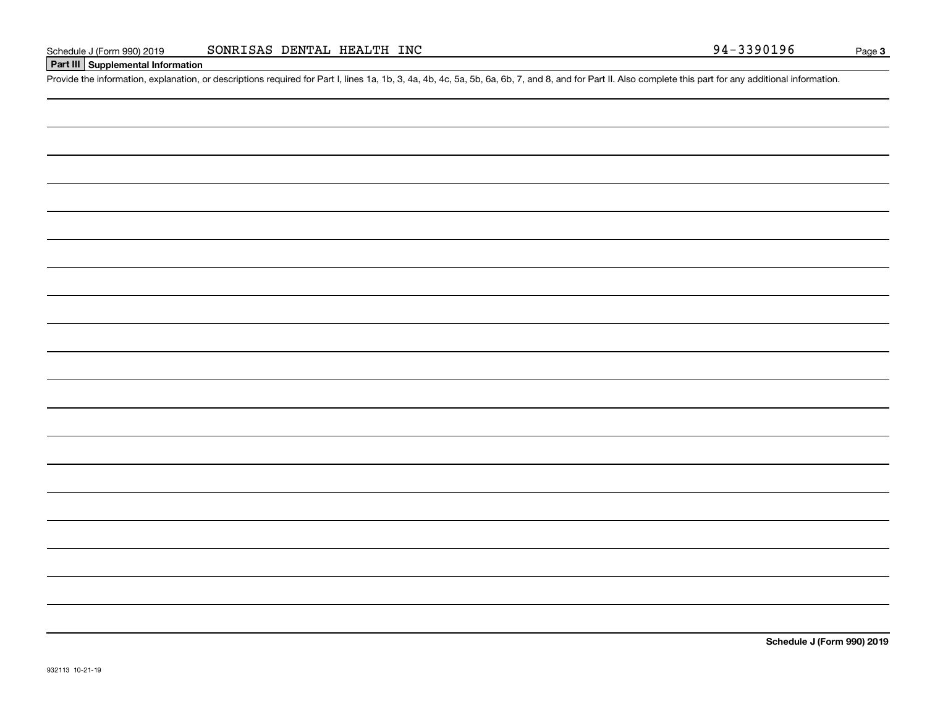#### **Part III Supplemental Information**

Schedule J (Form 990) 2019 SONRISAS DENTAL HEALTH INC<br>Part III Supplemental Information<br>Provide the information, explanation, or descriptions required for Part I, lines 1a, 1b, 3, 4a, 4b, 4c, 5a, 5b, 6a, 6b, 7, and 8, and

**Schedule J (Form 990) 2019**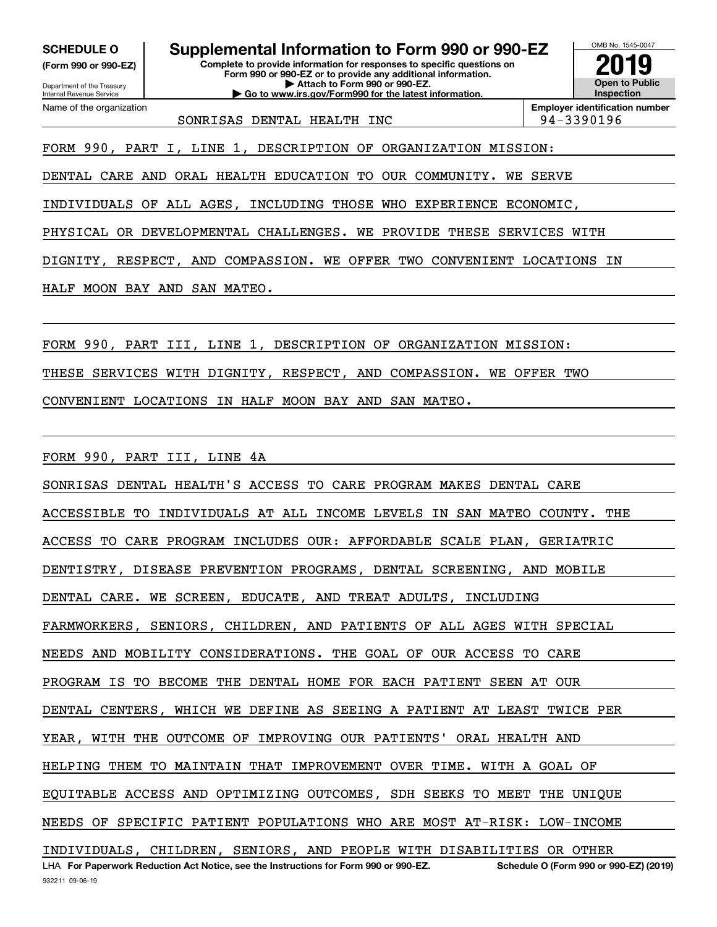Department of the Treasury **(Form 990 or 990-EZ)**

Name of the organization

Internal Revenue Service

**SCHEDULE O Supplemental Information to Form 990 or 990-EZ**

**Complete to provide information for responses to specific questions on Form 990 or 990-EZ or to provide any additional information. | Attach to Form 990 or 990-EZ. | Go to www.irs.gov/Form990 for the latest information.**



SONRISAS DENTAL HEALTH INC  $\vert$  94-3390196

FORM 990, PART I, LINE 1, DESCRIPTION OF ORGANIZATION MISSION:

DENTAL CARE AND ORAL HEALTH EDUCATION TO OUR COMMUNITY. WE SERVE

INDIVIDUALS OF ALL AGES, INCLUDING THOSE WHO EXPERIENCE ECONOMIC,

PHYSICAL OR DEVELOPMENTAL CHALLENGES. WE PROVIDE THESE SERVICES WITH

DIGNITY, RESPECT, AND COMPASSION. WE OFFER TWO CONVENIENT LOCATIONS IN

HALF MOON BAY AND SAN MATEO.

FORM 990, PART III, LINE 1, DESCRIPTION OF ORGANIZATION MISSION:

THESE SERVICES WITH DIGNITY, RESPECT, AND COMPASSION. WE OFFER TWO

CONVENIENT LOCATIONS IN HALF MOON BAY AND SAN MATEO.

FORM 990, PART III, LINE 4A

LHA For Paperwork Reduction Act Notice, see the Instructions for Form 990 or 990-EZ. Schedule O (Form 990 or 990-EZ) (2019) SONRISAS DENTAL HEALTH'S ACCESS TO CARE PROGRAM MAKES DENTAL CARE ACCESSIBLE TO INDIVIDUALS AT ALL INCOME LEVELS IN SAN MATEO COUNTY. THE ACCESS TO CARE PROGRAM INCLUDES OUR: AFFORDABLE SCALE PLAN, GERIATRIC DENTISTRY, DISEASE PREVENTION PROGRAMS, DENTAL SCREENING, AND MOBILE DENTAL CARE. WE SCREEN, EDUCATE, AND TREAT ADULTS, INCLUDING FARMWORKERS, SENIORS, CHILDREN, AND PATIENTS OF ALL AGES WITH SPECIAL NEEDS AND MOBILITY CONSIDERATIONS. THE GOAL OF OUR ACCESS TO CARE PROGRAM IS TO BECOME THE DENTAL HOME FOR EACH PATIENT SEEN AT OUR DENTAL CENTERS, WHICH WE DEFINE AS SEEING A PATIENT AT LEAST TWICE PER YEAR, WITH THE OUTCOME OF IMPROVING OUR PATIENTS' ORAL HEALTH AND HELPING THEM TO MAINTAIN THAT IMPROVEMENT OVER TIME. WITH A GOAL OF EQUITABLE ACCESS AND OPTIMIZING OUTCOMES, SDH SEEKS TO MEET THE UNIQUE NEEDS OF SPECIFIC PATIENT POPULATIONS WHO ARE MOST AT-RISK: LOW-INCOME INDIVIDUALS, CHILDREN, SENIORS, AND PEOPLE WITH DISABILITIES OR OTHER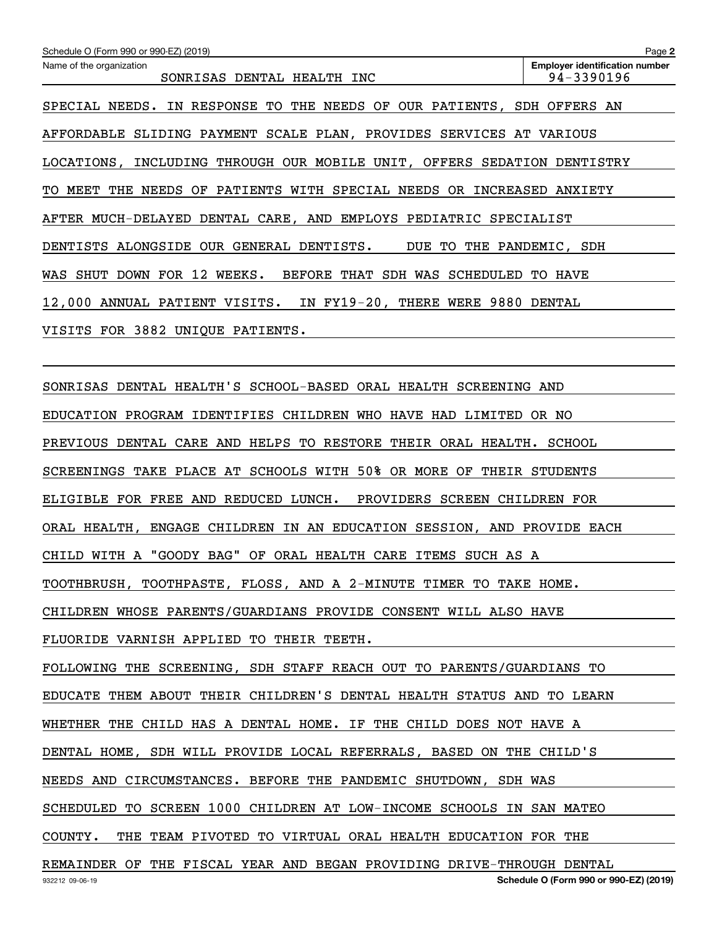| Schedule O (Form 990 or 990-EZ) (2019)                                                   | Page 2                                              |
|------------------------------------------------------------------------------------------|-----------------------------------------------------|
| Name of the organization<br>SONRISAS DENTAL HEALTH INC                                   | <b>Employer identification number</b><br>94-3390196 |
| SPECIAL NEEDS. IN RESPONSE TO THE NEEDS OF OUR PATIENTS, SDH OFFERS AN                   |                                                     |
| AFFORDABLE SLIDING PAYMENT SCALE PLAN, PROVIDES SERVICES AT VARIOUS                      |                                                     |
| LOCATIONS, INCLUDING THROUGH OUR MOBILE UNIT, OFFERS SEDATION DENTISTRY                  |                                                     |
| THE NEEDS OF PATIENTS WITH SPECIAL NEEDS OR INCREASED ANXIETY<br>MEET<br>TO.             |                                                     |
| AFTER MUCH-DELAYED DENTAL CARE, AND EMPLOYS PEDIATRIC SPECIALIST                         |                                                     |
| DENTISTS ALONGSIDE OUR GENERAL DENTISTS.<br>DUE TO THE PANDEMIC, SDH                     |                                                     |
| SHUT DOWN FOR 12 WEEKS.<br>BEFORE THAT SDH WAS SCHEDULED<br>WAS                          | TO HAVE                                             |
| 12,000 ANNUAL PATIENT VISITS. IN FY19-20, THERE WERE 9880 DENTAL                         |                                                     |
| VISITS FOR 3882 UNIQUE PATIENTS.                                                         |                                                     |
|                                                                                          |                                                     |
| SONRISAS DENTAL HEALTH'S SCHOOL-BASED ORAL HEALTH SCREENING AND                          |                                                     |
| EDUCATION PROGRAM IDENTIFIES CHILDREN WHO HAVE HAD LIMITED                               | OR NO                                               |
| PREVIOUS DENTAL CARE AND HELPS TO RESTORE<br>THEIR ORAL HEALTH. SCHOOL                   |                                                     |
| SCREENINGS TAKE PLACE AT SCHOOLS WITH 50% OR MORE OF THEIR STUDENTS                      |                                                     |
| ELIGIBLE FOR FREE AND REDUCED LUNCH.<br>PROVIDERS SCREEN                                 | CHILDREN FOR                                        |
| ORAL HEALTH, ENGAGE CHILDREN IN AN EDUCATION SESSION, AND PROVIDE EACH                   |                                                     |
| CHILD WITH A "GOODY BAG" OF ORAL HEALTH CARE ITEMS SUCH AS A                             |                                                     |
| TOOTHBRUSH, TOOTHPASTE, FLOSS, AND A 2-MINUTE TIMER TO TAKE HOME.                        |                                                     |
| CHILDREN WHOSE PARENTS/GUARDIANS PROVIDE CONSENT WILL ALSO HAVE                          |                                                     |
| FLUORIDE VARNISH APPLIED TO THEIR TEETH.                                                 |                                                     |
| FOLLOWING THE SCREENING, SDH STAFF REACH OUT TO PARENTS/GUARDIANS TO                     |                                                     |
| EDUCATE THEM ABOUT THEIR CHILDREN'S DENTAL HEALTH STATUS AND TO LEARN                    |                                                     |
| WHETHER THE CHILD HAS A DENTAL HOME. IF THE CHILD DOES NOT HAVE A                        |                                                     |
| DENTAL HOME, SDH WILL PROVIDE LOCAL REFERRALS, BASED ON THE CHILD'S                      |                                                     |
| NEEDS AND CIRCUMSTANCES. BEFORE THE PANDEMIC SHUTDOWN, SDH WAS                           |                                                     |
| SCHEDULED TO SCREEN 1000 CHILDREN AT LOW-INCOME SCHOOLS IN SAN MATEO                     |                                                     |
| COUNTY.<br>THE TEAM PIVOTED TO VIRTUAL ORAL HEALTH EDUCATION FOR THE                     |                                                     |
| REMAINDER OF THE FISCAL YEAR AND BEGAN PROVIDING DRIVE-THROUGH DENTAL<br>932212 09-06-19 | Schedule O (Form 990 or 990-EZ) (2019)              |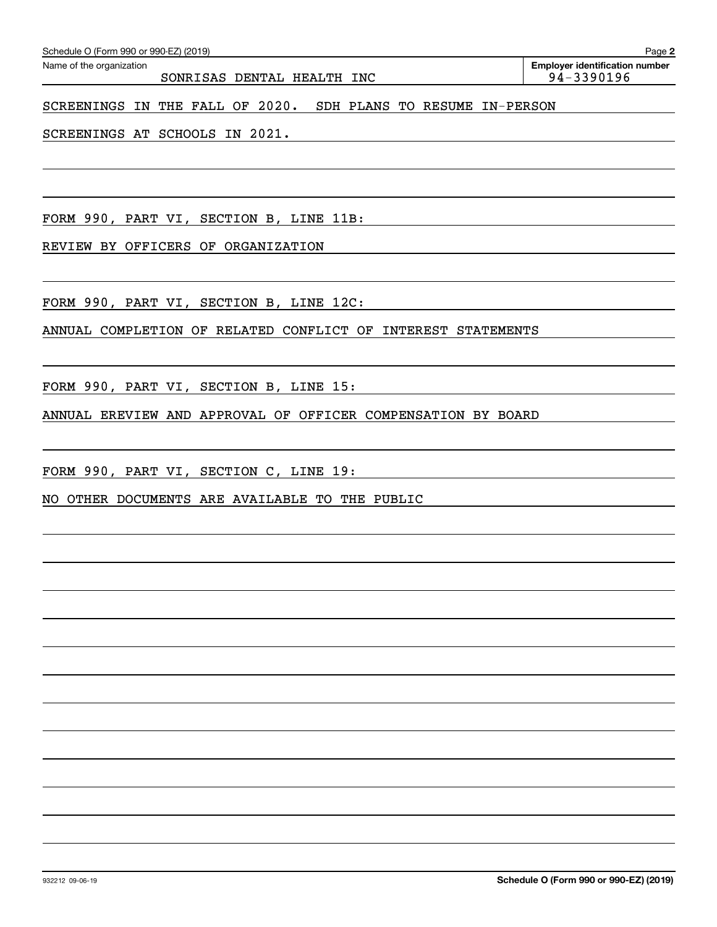| Schedule O (Form 990 or 990-EZ) (2019) | Page 2                                |            |
|----------------------------------------|---------------------------------------|------------|
| Name of the organization               | <b>Employer identification number</b> |            |
|                                        | SONRISAS DENTAL HEALTH INC            | 94-3390196 |
| SCREENINGS IN THE FALL OF 2020.        | SDH PLANS TO RESUME IN-PERSON         |            |

SCREENINGS AT SCHOOLS IN 2021.

FORM 990, PART VI, SECTION B, LINE 11B:

REVIEW BY OFFICERS OF ORGANIZATION

FORM 990, PART VI, SECTION B, LINE 12C:

ANNUAL COMPLETION OF RELATED CONFLICT OF INTEREST STATEMENTS

FORM 990, PART VI, SECTION B, LINE 15:

ANNUAL EREVIEW AND APPROVAL OF OFFICER COMPENSATION BY BOARD

FORM 990, PART VI, SECTION C, LINE 19:

NO OTHER DOCUMENTS ARE AVAILABLE TO THE PUBLIC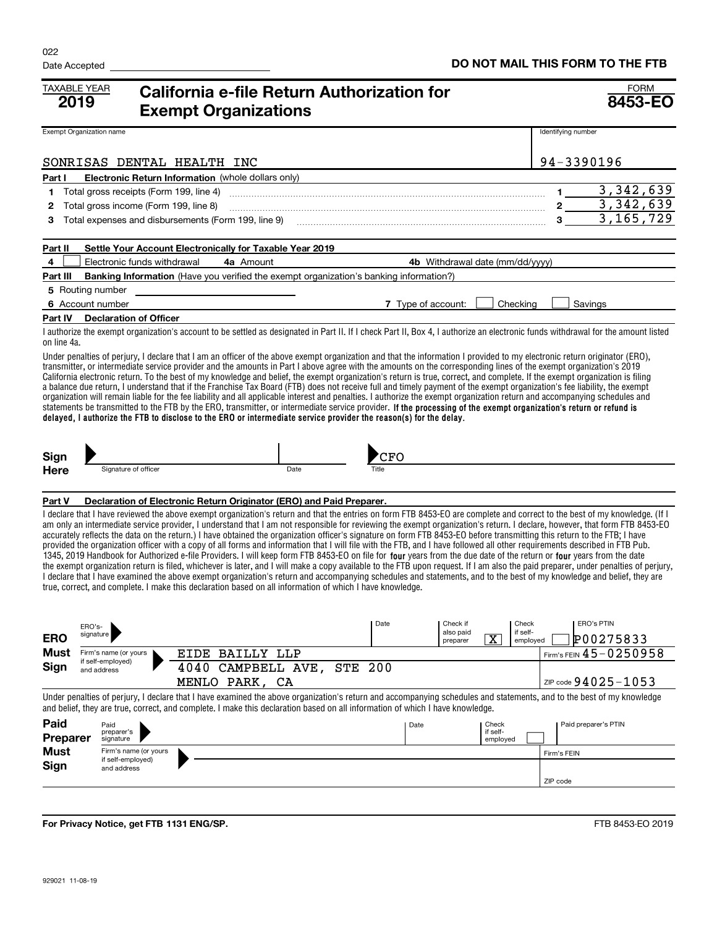| <b>TAXABLE YEAR</b><br>2019 |                                                                                                                                                                                                                                                                                                                                                                                                                                                                                                                                                                                                                                                                                                                                                                                                                                                                                                                                                                                                                                                                                                                                                                                                                                                                                                                                                                                                                                                                    |                                                                                                                                                                                                                                                                                                                                                                                                                                                                                                                                                                                                                                                                                                                                                                                                                                                                                                                                                                                                                                                                                                                                                                                    |  | <b>Exempt Organizations</b> | California e-file Return Authorization for |            |     |      |                                 |                       |                      |                    |         |                      | <b>FORM</b><br>8453-EO |
|-----------------------------|--------------------------------------------------------------------------------------------------------------------------------------------------------------------------------------------------------------------------------------------------------------------------------------------------------------------------------------------------------------------------------------------------------------------------------------------------------------------------------------------------------------------------------------------------------------------------------------------------------------------------------------------------------------------------------------------------------------------------------------------------------------------------------------------------------------------------------------------------------------------------------------------------------------------------------------------------------------------------------------------------------------------------------------------------------------------------------------------------------------------------------------------------------------------------------------------------------------------------------------------------------------------------------------------------------------------------------------------------------------------------------------------------------------------------------------------------------------------|------------------------------------------------------------------------------------------------------------------------------------------------------------------------------------------------------------------------------------------------------------------------------------------------------------------------------------------------------------------------------------------------------------------------------------------------------------------------------------------------------------------------------------------------------------------------------------------------------------------------------------------------------------------------------------------------------------------------------------------------------------------------------------------------------------------------------------------------------------------------------------------------------------------------------------------------------------------------------------------------------------------------------------------------------------------------------------------------------------------------------------------------------------------------------------|--|-----------------------------|--------------------------------------------|------------|-----|------|---------------------------------|-----------------------|----------------------|--------------------|---------|----------------------|------------------------|
| Exempt Organization name    |                                                                                                                                                                                                                                                                                                                                                                                                                                                                                                                                                                                                                                                                                                                                                                                                                                                                                                                                                                                                                                                                                                                                                                                                                                                                                                                                                                                                                                                                    |                                                                                                                                                                                                                                                                                                                                                                                                                                                                                                                                                                                                                                                                                                                                                                                                                                                                                                                                                                                                                                                                                                                                                                                    |  |                             |                                            |            |     |      |                                 |                       |                      | Identifying number |         |                      |                        |
|                             |                                                                                                                                                                                                                                                                                                                                                                                                                                                                                                                                                                                                                                                                                                                                                                                                                                                                                                                                                                                                                                                                                                                                                                                                                                                                                                                                                                                                                                                                    | SONRISAS DENTAL HEALTH INC                                                                                                                                                                                                                                                                                                                                                                                                                                                                                                                                                                                                                                                                                                                                                                                                                                                                                                                                                                                                                                                                                                                                                         |  |                             |                                            |            |     |      |                                 |                       |                      | 94-3390196         |         |                      |                        |
| Part I                      |                                                                                                                                                                                                                                                                                                                                                                                                                                                                                                                                                                                                                                                                                                                                                                                                                                                                                                                                                                                                                                                                                                                                                                                                                                                                                                                                                                                                                                                                    | <b>Electronic Return Information</b> (whole dollars only)                                                                                                                                                                                                                                                                                                                                                                                                                                                                                                                                                                                                                                                                                                                                                                                                                                                                                                                                                                                                                                                                                                                          |  |                             |                                            |            |     |      |                                 |                       |                      |                    |         |                      |                        |
| 1                           |                                                                                                                                                                                                                                                                                                                                                                                                                                                                                                                                                                                                                                                                                                                                                                                                                                                                                                                                                                                                                                                                                                                                                                                                                                                                                                                                                                                                                                                                    | Total gross receipts (Form 199, line 4)                                                                                                                                                                                                                                                                                                                                                                                                                                                                                                                                                                                                                                                                                                                                                                                                                                                                                                                                                                                                                                                                                                                                            |  |                             |                                            |            |     |      |                                 |                       |                      | 1.                 |         |                      | 3, 342, 639            |
| 2                           |                                                                                                                                                                                                                                                                                                                                                                                                                                                                                                                                                                                                                                                                                                                                                                                                                                                                                                                                                                                                                                                                                                                                                                                                                                                                                                                                                                                                                                                                    | Total gross income (Form 199, line 8)                                                                                                                                                                                                                                                                                                                                                                                                                                                                                                                                                                                                                                                                                                                                                                                                                                                                                                                                                                                                                                                                                                                                              |  |                             |                                            |            |     |      |                                 |                       |                      | 2                  |         |                      | 3,342,639              |
| 3                           |                                                                                                                                                                                                                                                                                                                                                                                                                                                                                                                                                                                                                                                                                                                                                                                                                                                                                                                                                                                                                                                                                                                                                                                                                                                                                                                                                                                                                                                                    | Total expenses and disbursements (Form 199, line 9)                                                                                                                                                                                                                                                                                                                                                                                                                                                                                                                                                                                                                                                                                                                                                                                                                                                                                                                                                                                                                                                                                                                                |  |                             |                                            |            |     |      |                                 |                       |                      | 3                  |         |                      | 3, 165, 729            |
| Part II                     |                                                                                                                                                                                                                                                                                                                                                                                                                                                                                                                                                                                                                                                                                                                                                                                                                                                                                                                                                                                                                                                                                                                                                                                                                                                                                                                                                                                                                                                                    | Settle Your Account Electronically for Taxable Year 2019                                                                                                                                                                                                                                                                                                                                                                                                                                                                                                                                                                                                                                                                                                                                                                                                                                                                                                                                                                                                                                                                                                                           |  |                             |                                            |            |     |      |                                 |                       |                      |                    |         |                      |                        |
| 4                           |                                                                                                                                                                                                                                                                                                                                                                                                                                                                                                                                                                                                                                                                                                                                                                                                                                                                                                                                                                                                                                                                                                                                                                                                                                                                                                                                                                                                                                                                    | Electronic funds withdrawal                                                                                                                                                                                                                                                                                                                                                                                                                                                                                                                                                                                                                                                                                                                                                                                                                                                                                                                                                                                                                                                                                                                                                        |  | 4a Amount                   |                                            |            |     |      | 4b Withdrawal date (mm/dd/yyyy) |                       |                      |                    |         |                      |                        |
| Part III                    |                                                                                                                                                                                                                                                                                                                                                                                                                                                                                                                                                                                                                                                                                                                                                                                                                                                                                                                                                                                                                                                                                                                                                                                                                                                                                                                                                                                                                                                                    | <b>Banking Information</b> (Have you verified the exempt organization's banking information?)                                                                                                                                                                                                                                                                                                                                                                                                                                                                                                                                                                                                                                                                                                                                                                                                                                                                                                                                                                                                                                                                                      |  |                             |                                            |            |     |      |                                 |                       |                      |                    |         |                      |                        |
| 5 Routing number            |                                                                                                                                                                                                                                                                                                                                                                                                                                                                                                                                                                                                                                                                                                                                                                                                                                                                                                                                                                                                                                                                                                                                                                                                                                                                                                                                                                                                                                                                    |                                                                                                                                                                                                                                                                                                                                                                                                                                                                                                                                                                                                                                                                                                                                                                                                                                                                                                                                                                                                                                                                                                                                                                                    |  |                             |                                            |            |     |      |                                 |                       |                      |                    |         |                      |                        |
| 6 Account number            |                                                                                                                                                                                                                                                                                                                                                                                                                                                                                                                                                                                                                                                                                                                                                                                                                                                                                                                                                                                                                                                                                                                                                                                                                                                                                                                                                                                                                                                                    |                                                                                                                                                                                                                                                                                                                                                                                                                                                                                                                                                                                                                                                                                                                                                                                                                                                                                                                                                                                                                                                                                                                                                                                    |  |                             |                                            |            |     |      | 7 Type of account:              |                       | Checking             |                    | Savings |                      |                        |
| Part IV                     |                                                                                                                                                                                                                                                                                                                                                                                                                                                                                                                                                                                                                                                                                                                                                                                                                                                                                                                                                                                                                                                                                                                                                                                                                                                                                                                                                                                                                                                                    | <b>Declaration of Officer</b>                                                                                                                                                                                                                                                                                                                                                                                                                                                                                                                                                                                                                                                                                                                                                                                                                                                                                                                                                                                                                                                                                                                                                      |  |                             |                                            |            |     |      |                                 |                       |                      |                    |         |                      |                        |
| on line 4a.                 |                                                                                                                                                                                                                                                                                                                                                                                                                                                                                                                                                                                                                                                                                                                                                                                                                                                                                                                                                                                                                                                                                                                                                                                                                                                                                                                                                                                                                                                                    | I authorize the exempt organization's account to be settled as designated in Part II. If I check Part II, Box 4, I authorize an electronic funds withdrawal for the amount listed                                                                                                                                                                                                                                                                                                                                                                                                                                                                                                                                                                                                                                                                                                                                                                                                                                                                                                                                                                                                  |  |                             |                                            |            |     |      |                                 |                       |                      |                    |         |                      |                        |
|                             |                                                                                                                                                                                                                                                                                                                                                                                                                                                                                                                                                                                                                                                                                                                                                                                                                                                                                                                                                                                                                                                                                                                                                                                                                                                                                                                                                                                                                                                                    | Under penalties of perjury, I declare that I am an officer of the above exempt organization and that the information I provided to my electronic return originator (ERO),<br>transmitter, or intermediate service provider and the amounts in Part I above agree with the amounts on the corresponding lines of the exempt organization's 2019<br>California electronic return. To the best of my knowledge and belief, the exempt organization's return is true, correct, and complete. If the exempt organization is filing<br>a balance due return, I understand that if the Franchise Tax Board (FTB) does not receive full and timely payment of the exempt organization's fee liability, the exempt<br>organization will remain liable for the fee liability and all applicable interest and penalties. I authorize the exempt organization return and accompanying schedules and<br>statements be transmitted to the FTB by the ERO, transmitter, or intermediate service provider. If the processing of the exempt organization's return or refund is<br>delayed, I authorize the FTB to disclose to the ERO or intermediate service provider the reason(s) for the delay. |  |                             |                                            |            |     |      |                                 |                       |                      |                    |         |                      |                        |
| Sign                        |                                                                                                                                                                                                                                                                                                                                                                                                                                                                                                                                                                                                                                                                                                                                                                                                                                                                                                                                                                                                                                                                                                                                                                                                                                                                                                                                                                                                                                                                    | Signature of officer                                                                                                                                                                                                                                                                                                                                                                                                                                                                                                                                                                                                                                                                                                                                                                                                                                                                                                                                                                                                                                                                                                                                                               |  |                             | Date                                       |            | CFO |      |                                 |                       |                      |                    |         |                      |                        |
| <b>Here</b>                 |                                                                                                                                                                                                                                                                                                                                                                                                                                                                                                                                                                                                                                                                                                                                                                                                                                                                                                                                                                                                                                                                                                                                                                                                                                                                                                                                                                                                                                                                    |                                                                                                                                                                                                                                                                                                                                                                                                                                                                                                                                                                                                                                                                                                                                                                                                                                                                                                                                                                                                                                                                                                                                                                                    |  |                             |                                            |            |     |      |                                 |                       |                      |                    |         |                      |                        |
| Part V                      |                                                                                                                                                                                                                                                                                                                                                                                                                                                                                                                                                                                                                                                                                                                                                                                                                                                                                                                                                                                                                                                                                                                                                                                                                                                                                                                                                                                                                                                                    |                                                                                                                                                                                                                                                                                                                                                                                                                                                                                                                                                                                                                                                                                                                                                                                                                                                                                                                                                                                                                                                                                                                                                                                    |  |                             |                                            |            |     |      |                                 |                       |                      |                    |         |                      |                        |
|                             | Declaration of Electronic Return Originator (ERO) and Paid Preparer.<br>I declare that I have reviewed the above exempt organization's return and that the entries on form FTB 8453-EO are complete and correct to the best of my knowledge. (If I<br>am only an intermediate service provider, I understand that I am not responsible for reviewing the exempt organization's return. I declare, however, that form FTB 8453-EO<br>accurately reflects the data on the return.) I have obtained the organization officer's signature on form FTB 8453-EO before transmitting this return to the FTB; I have<br>provided the organization officer with a copy of all forms and information that I will file with the FTB, and I have followed all other requirements described in FTB Pub.<br>1345, 2019 Handbook for Authorized e-file Providers. I will keep form FTB 8453-EO on file for four years from the due date of the return or four years from the date<br>the exempt organization return is filed, whichever is later, and I will make a copy available to the FTB upon request. If I am also the paid preparer, under penalties of perjury,<br>I declare that I have examined the above exempt organization's return and accompanying schedules and statements, and to the best of my knowledge and belief, they are<br>true, correct, and complete. I make this declaration based on all information of which I have knowledge.<br><b>ERO's PTIN</b> |                                                                                                                                                                                                                                                                                                                                                                                                                                                                                                                                                                                                                                                                                                                                                                                                                                                                                                                                                                                                                                                                                                                                                                                    |  |                             |                                            |            |     |      |                                 |                       |                      |                    |         |                      |                        |
| <b>ERO</b>                  | ERO's-<br>signature                                                                                                                                                                                                                                                                                                                                                                                                                                                                                                                                                                                                                                                                                                                                                                                                                                                                                                                                                                                                                                                                                                                                                                                                                                                                                                                                                                                                                                                |                                                                                                                                                                                                                                                                                                                                                                                                                                                                                                                                                                                                                                                                                                                                                                                                                                                                                                                                                                                                                                                                                                                                                                                    |  |                             |                                            |            |     |      | also paid<br>preparer           | $\overline{\text{x}}$ | if self-<br>employed |                    |         | P00275833            |                        |
| Must                        |                                                                                                                                                                                                                                                                                                                                                                                                                                                                                                                                                                                                                                                                                                                                                                                                                                                                                                                                                                                                                                                                                                                                                                                                                                                                                                                                                                                                                                                                    | Firm's name (or yours                                                                                                                                                                                                                                                                                                                                                                                                                                                                                                                                                                                                                                                                                                                                                                                                                                                                                                                                                                                                                                                                                                                                                              |  | EIDE BAILLY LLP             |                                            |            |     |      |                                 |                       |                      |                    |         |                      | Firm's FEIN 45-0250958 |
| Sign                        |                                                                                                                                                                                                                                                                                                                                                                                                                                                                                                                                                                                                                                                                                                                                                                                                                                                                                                                                                                                                                                                                                                                                                                                                                                                                                                                                                                                                                                                                    | if self-employed)<br>and address                                                                                                                                                                                                                                                                                                                                                                                                                                                                                                                                                                                                                                                                                                                                                                                                                                                                                                                                                                                                                                                                                                                                                   |  |                             | 4040 CAMPBELL AVE,                         | <b>STE</b> | 200 |      |                                 |                       |                      |                    |         |                      |                        |
|                             |                                                                                                                                                                                                                                                                                                                                                                                                                                                                                                                                                                                                                                                                                                                                                                                                                                                                                                                                                                                                                                                                                                                                                                                                                                                                                                                                                                                                                                                                    |                                                                                                                                                                                                                                                                                                                                                                                                                                                                                                                                                                                                                                                                                                                                                                                                                                                                                                                                                                                                                                                                                                                                                                                    |  | MENLO PARK, CA              |                                            |            |     |      |                                 |                       |                      |                    |         |                      | ZIP code 94025-1053    |
|                             |                                                                                                                                                                                                                                                                                                                                                                                                                                                                                                                                                                                                                                                                                                                                                                                                                                                                                                                                                                                                                                                                                                                                                                                                                                                                                                                                                                                                                                                                    | Under penalties of perjury, I declare that I have examined the above organization's return and accompanying schedules and statements, and to the best of my knowledge<br>and belief, they are true, correct, and complete. I make this declaration based on all information of which I have knowledge.                                                                                                                                                                                                                                                                                                                                                                                                                                                                                                                                                                                                                                                                                                                                                                                                                                                                             |  |                             |                                            |            |     |      |                                 |                       |                      |                    |         |                      |                        |
| Paid                        |                                                                                                                                                                                                                                                                                                                                                                                                                                                                                                                                                                                                                                                                                                                                                                                                                                                                                                                                                                                                                                                                                                                                                                                                                                                                                                                                                                                                                                                                    | Paid<br>preparer's                                                                                                                                                                                                                                                                                                                                                                                                                                                                                                                                                                                                                                                                                                                                                                                                                                                                                                                                                                                                                                                                                                                                                                 |  |                             |                                            |            |     | Date |                                 | Check<br>if self-     |                      |                    |         | Paid preparer's PTIN |                        |
| Preparer<br><b>Must</b>     |                                                                                                                                                                                                                                                                                                                                                                                                                                                                                                                                                                                                                                                                                                                                                                                                                                                                                                                                                                                                                                                                                                                                                                                                                                                                                                                                                                                                                                                                    | signature<br>Firm's name (or yours                                                                                                                                                                                                                                                                                                                                                                                                                                                                                                                                                                                                                                                                                                                                                                                                                                                                                                                                                                                                                                                                                                                                                 |  |                             |                                            |            |     |      |                                 | employed              |                      |                    |         |                      |                        |
| Sign                        |                                                                                                                                                                                                                                                                                                                                                                                                                                                                                                                                                                                                                                                                                                                                                                                                                                                                                                                                                                                                                                                                                                                                                                                                                                                                                                                                                                                                                                                                    | if self-employed)                                                                                                                                                                                                                                                                                                                                                                                                                                                                                                                                                                                                                                                                                                                                                                                                                                                                                                                                                                                                                                                                                                                                                                  |  |                             |                                            |            |     |      |                                 |                       |                      | Firm's FEIN        |         |                      |                        |
|                             |                                                                                                                                                                                                                                                                                                                                                                                                                                                                                                                                                                                                                                                                                                                                                                                                                                                                                                                                                                                                                                                                                                                                                                                                                                                                                                                                                                                                                                                                    | and address                                                                                                                                                                                                                                                                                                                                                                                                                                                                                                                                                                                                                                                                                                                                                                                                                                                                                                                                                                                                                                                                                                                                                                        |  |                             |                                            |            |     |      |                                 |                       |                      | ZIP code           |         |                      |                        |
|                             |                                                                                                                                                                                                                                                                                                                                                                                                                                                                                                                                                                                                                                                                                                                                                                                                                                                                                                                                                                                                                                                                                                                                                                                                                                                                                                                                                                                                                                                                    |                                                                                                                                                                                                                                                                                                                                                                                                                                                                                                                                                                                                                                                                                                                                                                                                                                                                                                                                                                                                                                                                                                                                                                                    |  |                             |                                            |            |     |      |                                 |                       |                      |                    |         |                      |                        |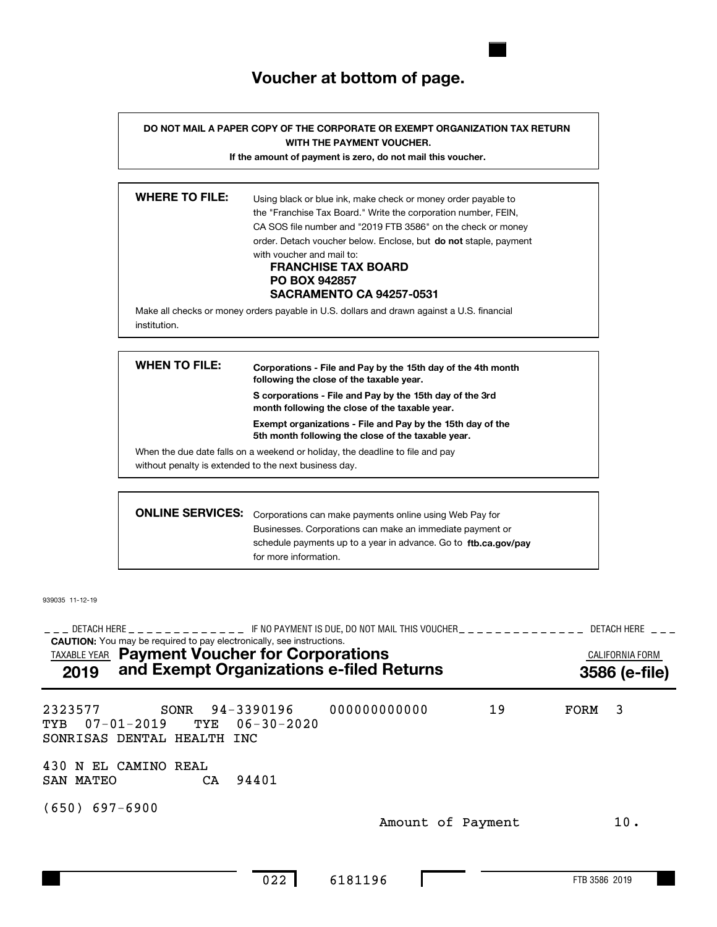### **Voucher at bottom of page.**

**DO NOT MAIL A PAPER COPY OF THE CORPORATE OR EXEMPT ORGANIZATION TAX RETURN WITH THE PAYMENT VOUCHER.**

**If the amount of payment is zero, do not mail this voucher.**

| <b>WHERE TO FILE:</b> | Using black or blue ink, make check or money order payable to<br>the "Franchise Tax Board." Write the corporation number, FEIN,<br>CA SOS file number and "2019 FTB 3586" on the check or money<br>order. Detach voucher below. Enclose, but <b>do not</b> staple, payment<br>with youcher and mail to:<br><b>FRANCHISE TAX BOARD</b><br><b>PO BOX 942857</b><br><b>SACRAMENTO CA 94257-0531</b> |
|-----------------------|--------------------------------------------------------------------------------------------------------------------------------------------------------------------------------------------------------------------------------------------------------------------------------------------------------------------------------------------------------------------------------------------------|
| institution.          | Make all checks or money orders payable in U.S. dollars and drawn against a U.S. financial                                                                                                                                                                                                                                                                                                       |

| <b>WHEN TO FILE:</b>    | Corporations - File and Pay by the 15th day of the 4th month<br>following the close of the taxable year.                               |
|-------------------------|----------------------------------------------------------------------------------------------------------------------------------------|
|                         | S corporations - File and Pay by the 15th day of the 3rd<br>month following the close of the taxable year.                             |
|                         | Exempt organizations - File and Pay by the 15th day of the<br>5th month following the close of the taxable year.                       |
|                         | When the due date falls on a weekend or holiday, the deadline to file and pay<br>without penalty is extended to the next business day. |
|                         |                                                                                                                                        |
| <b>ONLINE SERVICES:</b> | Corporations can make payments online using Web Pay for                                                                                |

| <b>INE SERVICES:</b> Corporations can make payments online using Web Pay for |
|------------------------------------------------------------------------------|
| Businesses. Corporations can make an immediate payment or                    |
| schedule payments up to a year in advance. Go to ftb.ca.gov/pay              |
| for more information.                                                        |

939035 11-12-19

**CAUTION:** You may be required to pay electronically, see instructions. TAXABLE YEAR **Payment Voucher for Corporations Example 20 ALIFORNIA FORM** DETACH HERE IF NO PAYMENT IS DUE, DO NOT MAIL THIS VOUCHER DETACH HERE !!! !!!!!!!!!!!!! !!!!!!!!!!!!!! !!! **2019 and Exempt Organizations e-filed Returns 3586 (e-file)** 2323577 SONR 94-3390196 (650) 697-6900 19 3 FORM TYB 07-01-2019 TYE 06-30-2020 SONRISAS DENTAL HEALTH INC 430 N EL CAMINO REAL SAN MATEO CA 94401 Amount of Payment 10. 000000000000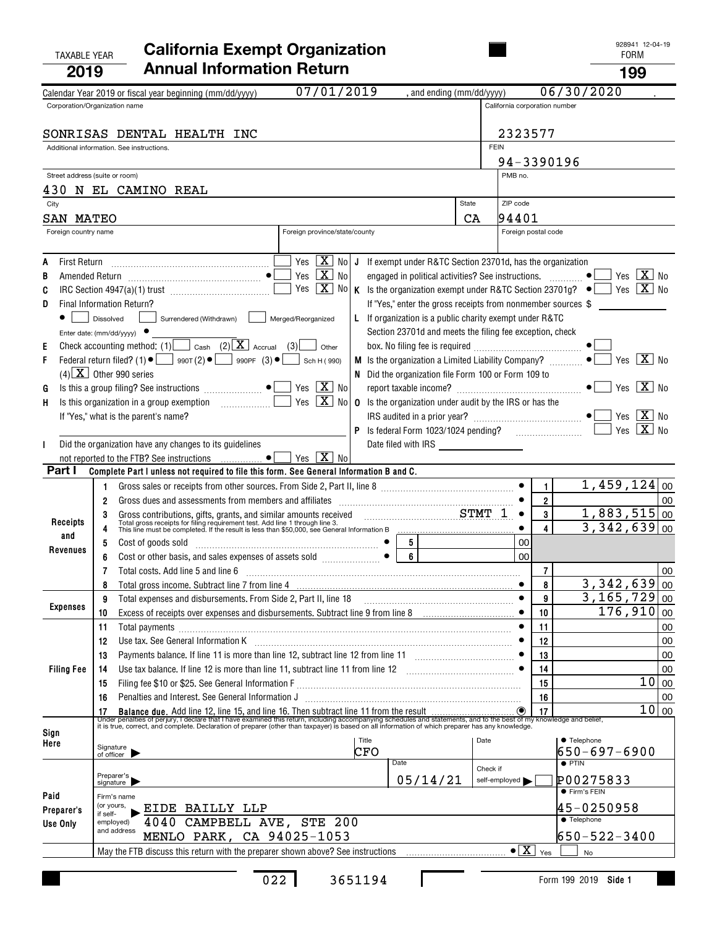#### TAXABLE YEAR FORM **California Exempt Organization 2019Annual Information Return <sup>199</sup>**

| LU I J               |                                                                                                                                                                                                                                            |                               |                                             | 1 J J                              |          |
|----------------------|--------------------------------------------------------------------------------------------------------------------------------------------------------------------------------------------------------------------------------------------|-------------------------------|---------------------------------------------|------------------------------------|----------|
|                      | 07/01/2019<br>, and ending (mm/dd/yyyy)<br>Calendar Year 2019 or fiscal year beginning (mm/dd/yyyy)<br>Corporation/Organization name                                                                                                       | California corporation number |                                             | 06/30/2020                         |          |
|                      |                                                                                                                                                                                                                                            |                               |                                             |                                    |          |
|                      | SONRISAS DENTAL HEALTH INC                                                                                                                                                                                                                 | 2323577                       |                                             |                                    |          |
|                      | Additional information. See instructions.                                                                                                                                                                                                  | <b>FEIN</b>                   |                                             |                                    |          |
|                      | Street address (suite or room)                                                                                                                                                                                                             | 94-3390196<br>PMB no.         |                                             |                                    |          |
|                      | 430 N EL CAMINO REAL                                                                                                                                                                                                                       |                               |                                             |                                    |          |
| City                 | State                                                                                                                                                                                                                                      | ZIP code                      |                                             |                                    |          |
| SAN MATEO            | CA                                                                                                                                                                                                                                         | 94401                         |                                             |                                    |          |
| Foreign country name | Foreign province/state/county                                                                                                                                                                                                              |                               | Foreign postal code                         |                                    |          |
| A                    | Yes $\boxed{\mathbf{X}}$ No<br>If exempt under R&TC Section 23701d, has the organization<br>J                                                                                                                                              |                               |                                             |                                    |          |
| В                    | $\boxed{\text{X}}$<br>Yes<br>engaged in political activities? See instructions.<br>No                                                                                                                                                      |                               |                                             | $X_{0}$<br>$\bullet$<br>Yes        |          |
| C                    | $\boxed{\mathbf{X}}$<br>Yes<br>No<br>K Is the organization exempt under R&TC Section 23701g? $\bullet$                                                                                                                                     |                               |                                             | $Yes \ \boxed{X} \ No$             |          |
| D                    | If "Yes," enter the gross receipts from nonmember sources \$<br>Final Information Return?                                                                                                                                                  |                               |                                             |                                    |          |
|                      | L If organization is a public charity exempt under R&TC<br>Surrendered (Withdrawn)  <br>Merged/Reorganized<br>Dissolved                                                                                                                    |                               |                                             |                                    |          |
| E                    | Section 23701d and meets the filing fee exception, check<br>Enter date: (mm/dd/yyyy) $\bullet$<br>Check accounting method: (1) $\Box$ Cash (2) $\boxed{\mathbf{X}}$ Accrual (3)<br>Other                                                   |                               |                                             |                                    |          |
| F                    | Federal return filed? (1) $\bullet$ $\bullet$ 990T (2) $\bullet$ 990PF (3) $\bullet$<br>M Is the organization a Limited Liability Company?<br>Sch H (990)                                                                                  |                               |                                             | Yes $X$ No<br>$\bullet$            |          |
|                      | $(4)$ $\boxed{\text{X}}$ Other 990 series<br>N Did the organization file Form 100 or Form 109 to                                                                                                                                           |                               |                                             |                                    |          |
| G                    | $\boxed{\mathbf{X}}$ No<br>Yes                                                                                                                                                                                                             |                               |                                             | $ X $ No<br>Yes                    |          |
| н                    | $\sqrt{X}$<br>Is this organization in a group exemption<br>. 1<br>Yes<br>No<br><b>0</b> Is the organization under audit by the IRS or has the                                                                                              |                               |                                             |                                    |          |
|                      | If "Yes," what is the parent's name?                                                                                                                                                                                                       |                               |                                             | $ X $ No<br>$\bullet$<br>Yes       |          |
|                      |                                                                                                                                                                                                                                            |                               |                                             | $Yes \ \boxed{X}$                  | No.      |
| L                    | Did the organization have any changes to its guidelines<br>not reported to the FTB? See instructions  •<br>Yes $X$ No                                                                                                                      |                               |                                             |                                    |          |
| Part I               | Complete Part I unless not required to file this form. See General Information B and C.                                                                                                                                                    |                               |                                             |                                    |          |
|                      | 1                                                                                                                                                                                                                                          |                               | 1                                           | $1,459,124$ 00                     |          |
|                      | 2                                                                                                                                                                                                                                          |                               | $\boldsymbol{2}$                            |                                    | 00       |
| Receipts             | Gross contributions, gifts, grants, and similar amounts received<br>Total gross receipts for filing requirement test. Add line 1 through line 3.<br>This line must be completed. If the result is less than \$50,000, see General Inf<br>3 | $\bullet$                     | 3<br>4                                      | 1,883,515<br>3,342,639             | 00<br>00 |
| and                  | $5\phantom{.0}$<br>5<br>Cost of goods sold                                                                                                                                                                                                 | 00                            |                                             |                                    |          |
| Revenues             | 6<br>6                                                                                                                                                                                                                                     | 00                            |                                             |                                    |          |
|                      | 7<br>Total costs. Add line 5 and line 6                                                                                                                                                                                                    |                               | $\overline{7}$                              |                                    | 00       |
|                      | Total gross income. Subtract line 7 from line 4 [11] matter in the state of the state of the state of the state of the state of the state of the state of the state of the state of the state of the state of the state of the<br>8        |                               | 8                                           | 3,342,639                          | 00       |
| <b>Expenses</b>      | 9                                                                                                                                                                                                                                          | $\bullet$                     | 9                                           | $3, 165, 729$ 00                   |          |
|                      | Excess of receipts over expenses and disbursements. Subtract line 9 from line 8 [11, 11, 11, 11, 11, 11, 11, 1<br>10                                                                                                                       |                               | 10                                          | $176,910 _{00}$                    |          |
|                      | 11<br>Total payments [111] continuum contract to the contract of the contract of the contract of the contract of the contract of the contract of the contract of the contract of the contract of the contract of the contract of the       |                               | 11                                          |                                    | 00       |
|                      | Use tax. See General Information K <b>manufacture in the contract of the Contract A</b><br>12<br>Payments balance. If line 11 is more than line 12, subtract line 12 from line 11 [1] [1] [1] [1] [1] ●<br>13                              |                               | 12<br>13                                    |                                    | 00<br>00 |
| <b>Filing Fee</b>    | Use tax balance. If line 12 is more than line 11, subtract line 11 from line 12 [11] [12] [11] [12] [11] Use tax balance. If line 12 [11] [11] Use tax balance. If line 12<br>14                                                           | $\bullet$                     | 14                                          |                                    | 00       |
|                      | 15                                                                                                                                                                                                                                         |                               | 15                                          | 10                                 | $00\,$   |
|                      | Penalties and Interest. See General Information J<br>16                                                                                                                                                                                    |                               | 16                                          |                                    | $00\,$   |
|                      |                                                                                                                                                                                                                                            |                               |                                             | 10 00                              |          |
| Sign                 |                                                                                                                                                                                                                                            |                               |                                             |                                    |          |
| Here                 | Title<br>Signature<br>of officer<br>CFO                                                                                                                                                                                                    | Date                          |                                             | <b>• Telephone</b><br>650-697-6900 |          |
|                      | Date                                                                                                                                                                                                                                       | Check if                      |                                             | $\bullet$ PTIN                     |          |
|                      | Preparer's<br>signature<br>05/14/21                                                                                                                                                                                                        | self-employed                 |                                             | P00275833                          |          |
| Paid                 | Firm's name                                                                                                                                                                                                                                |                               |                                             | <b>•</b> Firm's FEIN               |          |
| Preparer's           | (or yours,<br>EIDE BAILLY LLP<br>if self-                                                                                                                                                                                                  |                               |                                             | 45-0250958                         |          |
| Use Only             | 4040 CAMPBELL AVE, STE 200<br>employed)<br>and address                                                                                                                                                                                     |                               |                                             | $\overline{\bullet}$ Telephone     |          |
|                      | MENLO PARK, CA 94025-1053                                                                                                                                                                                                                  |                               | $\bullet$ $\boxed{\mathbf{X}}$ $\forall$ es | 650-522-3400                       |          |
|                      |                                                                                                                                                                                                                                            |                               |                                             | No                                 |          |

П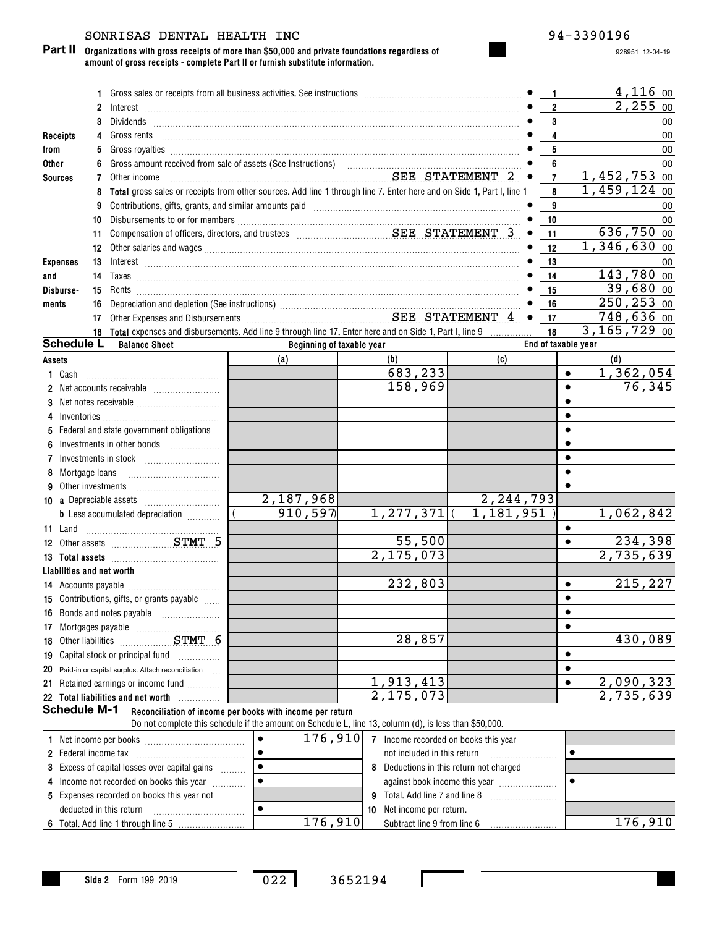#### SONRISAS DENTAL HEALTH INC  $94-3390196$

**Organizations with gross receipts of more than \$50,000 and private foundations regardless of Part II amount of gross receipts - complete Part II or furnish substitute information.**

928951 12-04-19

|                 |                     | 1.                                                                                                                                                                                                                                                                                                                                                                                   |                                                                                                        |                                         |                               | 1                       | $4,116$ 00                   |
|-----------------|---------------------|--------------------------------------------------------------------------------------------------------------------------------------------------------------------------------------------------------------------------------------------------------------------------------------------------------------------------------------------------------------------------------------|--------------------------------------------------------------------------------------------------------|-----------------------------------------|-------------------------------|-------------------------|------------------------------|
|                 |                     | $\mathbf{2}$                                                                                                                                                                                                                                                                                                                                                                         |                                                                                                        |                                         |                               | $\overline{\mathbf{2}}$ | 2,255<br>00                  |
|                 |                     | 3                                                                                                                                                                                                                                                                                                                                                                                    |                                                                                                        |                                         |                               | $\mathbf{3}$            | 00                           |
| Receipts        |                     | 4                                                                                                                                                                                                                                                                                                                                                                                    |                                                                                                        |                                         |                               | $\overline{\mathbf{4}}$ | 00                           |
| from            |                     | 5                                                                                                                                                                                                                                                                                                                                                                                    |                                                                                                        |                                         |                               | 5                       | 00                           |
| Other           |                     | 6                                                                                                                                                                                                                                                                                                                                                                                    |                                                                                                        |                                         |                               | 6                       | 00                           |
| <b>Sources</b>  |                     | 7<br>Other income                                                                                                                                                                                                                                                                                                                                                                    | SEE STATEMENT 2                                                                                        |                                         | $\bullet$                     | $\overline{7}$          | 1,452,753<br>00              |
|                 |                     | Total gross sales or receipts from other sources. Add line 1 through line 7. Enter here and on Side 1, Part I, line 1<br>8                                                                                                                                                                                                                                                           |                                                                                                        |                                         |                               | 8                       | $\overline{1,459,124}$<br>00 |
|                 |                     | Contributions, gifts, grants, and similar amounts paid manufactured contract and contributions, gifts, grants,<br>9                                                                                                                                                                                                                                                                  |                                                                                                        |                                         |                               | 9                       | 00                           |
|                 |                     | 10                                                                                                                                                                                                                                                                                                                                                                                   |                                                                                                        |                                         |                               | 10                      | 00                           |
|                 |                     | 11                                                                                                                                                                                                                                                                                                                                                                                   |                                                                                                        |                                         | $\bullet$                     | 11                      | 636,750<br>00                |
|                 |                     | 12                                                                                                                                                                                                                                                                                                                                                                                   |                                                                                                        |                                         |                               | 12                      | 1,346,630<br>00              |
| <b>Expenses</b> |                     | 13<br>$Interest \begin{array}{c} \rule{2.5cm}{0.15cm} \rule{2.5cm}{0.15cm} \rule{2.5cm}{0.15cm} \rule{2.5cm}{0.15cm} \rule{2.5cm}{0.15cm} \rule{2.5cm}{0.15cm} \rule{2.5cm}{0.15cm} \rule{2.5cm}{0.15cm} \rule{2.5cm}{0.15cm} \rule{2.5cm}{0.15cm} \rule{2.5cm}{0.15cm} \rule{2.5cm}{0.15cm} \rule{2.5cm}{0.15cm} \rule{2.5cm}{0.15cm} \rule{2.5cm}{0.15cm} \$                       |                                                                                                        |                                         |                               | 13                      | 00                           |
| and             |                     | 14                                                                                                                                                                                                                                                                                                                                                                                   |                                                                                                        |                                         |                               | 14                      | $143,780$ 00                 |
| Disburse-       |                     | 15                                                                                                                                                                                                                                                                                                                                                                                   |                                                                                                        |                                         |                               | 15                      | $39,680 _{00}$               |
| ments           |                     | 16                                                                                                                                                                                                                                                                                                                                                                                   |                                                                                                        |                                         |                               | 16                      | $250, 253$ 00                |
|                 |                     | Depreciation and depletion (See instructions)<br>Other Expenses and Disbursements<br>Citier Expenses and Disbursements<br>Citier STATEMENT 4<br>17                                                                                                                                                                                                                                   |                                                                                                        |                                         | $\bullet$                     | 17                      | $748,636$ 00                 |
|                 |                     | Total expenses and disbursements. Add line 9 through line 17. Enter here and on Side 1, Part I, line 9<br>18                                                                                                                                                                                                                                                                         |                                                                                                        |                                         |                               | 18                      | $\overline{3,165,729}$ 00    |
|                 | <b>Schedule L</b>   | <b>Balance Sheet</b>                                                                                                                                                                                                                                                                                                                                                                 | Beginning of taxable year                                                                              |                                         |                               | End of taxable vear     |                              |
| Assets          |                     |                                                                                                                                                                                                                                                                                                                                                                                      | (a)                                                                                                    | (b)                                     | (c)                           |                         | (d)                          |
|                 | 1 Cash              |                                                                                                                                                                                                                                                                                                                                                                                      |                                                                                                        | 683,233                                 |                               | $\bullet$               | 1,362,054                    |
|                 |                     |                                                                                                                                                                                                                                                                                                                                                                                      |                                                                                                        | 158,969                                 |                               | $\bullet$               | 76,345                       |
|                 |                     |                                                                                                                                                                                                                                                                                                                                                                                      |                                                                                                        |                                         |                               | ٠                       |                              |
| 4               |                     | $Inventories \begin{picture}(1,0) \put(0,0){\vector(1,0){100}} \put(0,0){\vector(1,0){100}} \put(0,0){\vector(1,0){100}} \put(0,0){\vector(1,0){100}} \put(0,0){\vector(1,0){100}} \put(0,0){\vector(1,0){100}} \put(0,0){\vector(1,0){100}} \put(0,0){\vector(1,0){100}} \put(0,0){\vector(1,0){100}} \put(0,0){\vector(1,0){100}} \put(0,0){\vector(1,0){100}} \put(0,0){\vector($ |                                                                                                        |                                         |                               |                         |                              |
|                 |                     | 5 Federal and state government obligations                                                                                                                                                                                                                                                                                                                                           |                                                                                                        |                                         |                               |                         |                              |
| 6               |                     |                                                                                                                                                                                                                                                                                                                                                                                      |                                                                                                        |                                         |                               |                         |                              |
| 7               |                     |                                                                                                                                                                                                                                                                                                                                                                                      |                                                                                                        |                                         |                               |                         |                              |
|                 | 8 Mortgage Ioans    |                                                                                                                                                                                                                                                                                                                                                                                      |                                                                                                        |                                         |                               |                         |                              |
|                 |                     | Other investments                                                                                                                                                                                                                                                                                                                                                                    |                                                                                                        |                                         |                               |                         |                              |
|                 |                     |                                                                                                                                                                                                                                                                                                                                                                                      | 2,187,968                                                                                              |                                         | 2, 244, 793                   |                         |                              |
|                 |                     | <b>b</b> Less accumulated depreciation <i></i>                                                                                                                                                                                                                                                                                                                                       | 910, 597                                                                                               | $1, 277, 371$ (                         | 1,181,951                     |                         | 1,062,842                    |
| 11 Land         |                     |                                                                                                                                                                                                                                                                                                                                                                                      |                                                                                                        |                                         |                               | ٠                       |                              |
|                 |                     | 12 Other assets STMT 5                                                                                                                                                                                                                                                                                                                                                               |                                                                                                        | 55,500                                  |                               | $\bullet$               | 234,398                      |
|                 |                     |                                                                                                                                                                                                                                                                                                                                                                                      |                                                                                                        | 2,175,073                               |                               |                         | $\overline{2,735,639}$       |
|                 |                     | Liabilities and net worth                                                                                                                                                                                                                                                                                                                                                            |                                                                                                        |                                         |                               |                         |                              |
|                 |                     |                                                                                                                                                                                                                                                                                                                                                                                      |                                                                                                        | 232,803                                 |                               | $\bullet$               | 215,227                      |
|                 |                     | 15 Contributions, gifts, or grants payable                                                                                                                                                                                                                                                                                                                                           |                                                                                                        |                                         |                               |                         |                              |
|                 |                     | 16 Bonds and notes payable                                                                                                                                                                                                                                                                                                                                                           |                                                                                                        |                                         |                               | $\bullet$               |                              |
|                 |                     |                                                                                                                                                                                                                                                                                                                                                                                      |                                                                                                        |                                         |                               |                         |                              |
|                 |                     | 18 Other liabilities STMT 6                                                                                                                                                                                                                                                                                                                                                          |                                                                                                        | 28,857                                  |                               |                         | 430,089                      |
|                 |                     | 19 Capital stock or principal fund                                                                                                                                                                                                                                                                                                                                                   |                                                                                                        |                                         |                               |                         |                              |
| 20              |                     | Paid-in or capital surplus. Attach reconciliation                                                                                                                                                                                                                                                                                                                                    |                                                                                                        |                                         |                               |                         |                              |
|                 |                     | 21 Retained earnings or income fund                                                                                                                                                                                                                                                                                                                                                  |                                                                                                        | 1,913,413                               |                               |                         | 2,090,323                    |
|                 |                     | 22 Total liabilities and net worth<br>.                                                                                                                                                                                                                                                                                                                                              |                                                                                                        | 2,175,073                               |                               |                         | $\overline{2,735,639}$       |
|                 | <b>Schedule M-1</b> |                                                                                                                                                                                                                                                                                                                                                                                      | Reconciliation of income per books with income per return                                              |                                         |                               |                         |                              |
|                 |                     |                                                                                                                                                                                                                                                                                                                                                                                      | Do not complete this schedule if the amount on Schedule L, line 13, column (d), is less than \$50,000. |                                         |                               |                         |                              |
|                 |                     |                                                                                                                                                                                                                                                                                                                                                                                      | 176,910<br>$\bullet$                                                                                   | 7 Income recorded on books this year    |                               |                         |                              |
|                 |                     |                                                                                                                                                                                                                                                                                                                                                                                      | $\bullet$                                                                                              | not included in this return             |                               | $\bullet$               |                              |
|                 |                     | 3 Excess of capital losses over capital gains                                                                                                                                                                                                                                                                                                                                        | $\bullet$                                                                                              | 8 Deductions in this return not charged |                               |                         |                              |
|                 |                     | 4 Income not recorded on books this year                                                                                                                                                                                                                                                                                                                                             | $\bullet$                                                                                              |                                         | against book income this year | $\bullet$               |                              |
|                 |                     | 5 Expenses recorded on books this year not                                                                                                                                                                                                                                                                                                                                           |                                                                                                        | 9 Total. Add line 7 and line 8          |                               |                         |                              |

**Side 2** Form 199 2019

~~~~~~~~~~~

deducted in this return

**6** Total. Add line 1 through line 5

 $\bullet$ 

022 3652194

**10** Net income per return.

Subtract line 9 from line 6 176,910 176,910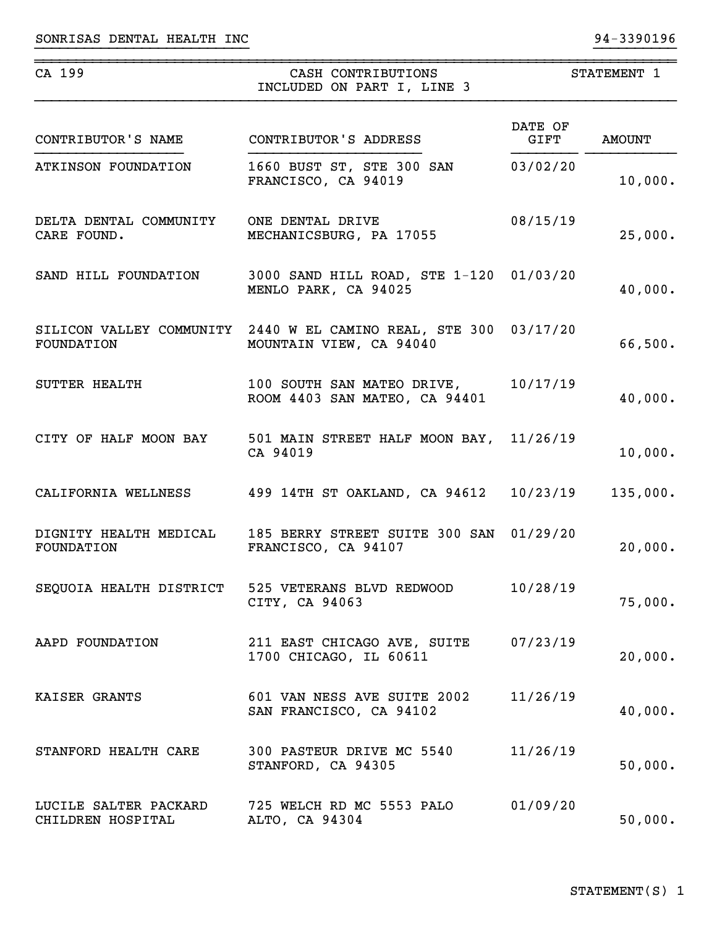| CA 199                                     | CASH CONTRIBUTIONS<br>INCLUDED ON PART I, LINE 3                                            |                 | STATEMENT 1   |
|--------------------------------------------|---------------------------------------------------------------------------------------------|-----------------|---------------|
| CONTRIBUTOR'S NAME                         | CONTRIBUTOR'S ADDRESS                                                                       | DATE OF<br>GIFT | <b>AMOUNT</b> |
| ATKINSON FOUNDATION                        | 1660 BUST ST, STE 300 SAN<br>FRANCISCO, CA 94019                                            | 03/02/20        | 10,000.       |
| DELTA DENTAL COMMUNITY<br>CARE FOUND.      | ONE DENTAL DRIVE<br>MECHANICSBURG, PA 17055                                                 | 08/15/19        | 25,000.       |
| SAND HILL FOUNDATION                       | 3000 SAND HILL ROAD, STE 1-120 01/03/20<br>MENLO PARK, CA 94025                             |                 | 40,000.       |
| FOUNDATION                                 | SILICON VALLEY COMMUNITY 2440 W EL CAMINO REAL, STE 300 03/17/20<br>MOUNTAIN VIEW, CA 94040 |                 | 66,500.       |
| SUTTER HEALTH                              | 100 SOUTH SAN MATEO DRIVE, 10/17/19<br>ROOM 4403 SAN MATEO, CA 94401                        |                 | 40,000.       |
|                                            | CITY OF HALF MOON BAY 501 MAIN STREET HALF MOON BAY, 11/26/19<br>CA 94019                   |                 | 10,000.       |
| CALIFORNIA WELLNESS                        | 499 14TH ST OAKLAND, CA 94612 10/23/19                                                      |                 | 135,000.      |
| DIGNITY HEALTH MEDICAL<br>FOUNDATION       | 185 BERRY STREET SUITE 300 SAN 01/29/20<br>FRANCISCO, CA 94107                              |                 | 20,000.       |
| SEQUOIA HEALTH DISTRICT                    | 525 VETERANS BLVD REDWOOD<br>CITY, CA 94063                                                 | 10/28/19        | 75,000.       |
| AAPD FOUNDATION                            | 211 EAST CHICAGO AVE, SUITE<br>1700 CHICAGO, IL 60611                                       | 07/23/19        | 20,000.       |
| KAISER GRANTS                              | 601 VAN NESS AVE SUITE 2002<br>SAN FRANCISCO, CA 94102                                      | 11/26/19        | 40,000.       |
| STANFORD HEALTH CARE                       | 300 PASTEUR DRIVE MC 5540<br>STANFORD, CA 94305                                             | 11/26/19        | 50,000.       |
| LUCILE SALTER PACKARD<br>CHILDREN HOSPITAL | 725 WELCH RD MC 5553 PALO<br>ALTO, CA 94304                                                 | 01/09/20        | 50,000.       |

}}}}}}}}}}}}}}}}}}}}}}}}}} }}}}}}}}}}

~~~~~~~~~~~~~~~~~~~~~~~~~~~~~~~~~~~~~~~~~~~~~~~~~~~~~~~~~~~~~~~~~~~~~~~~~~~~~~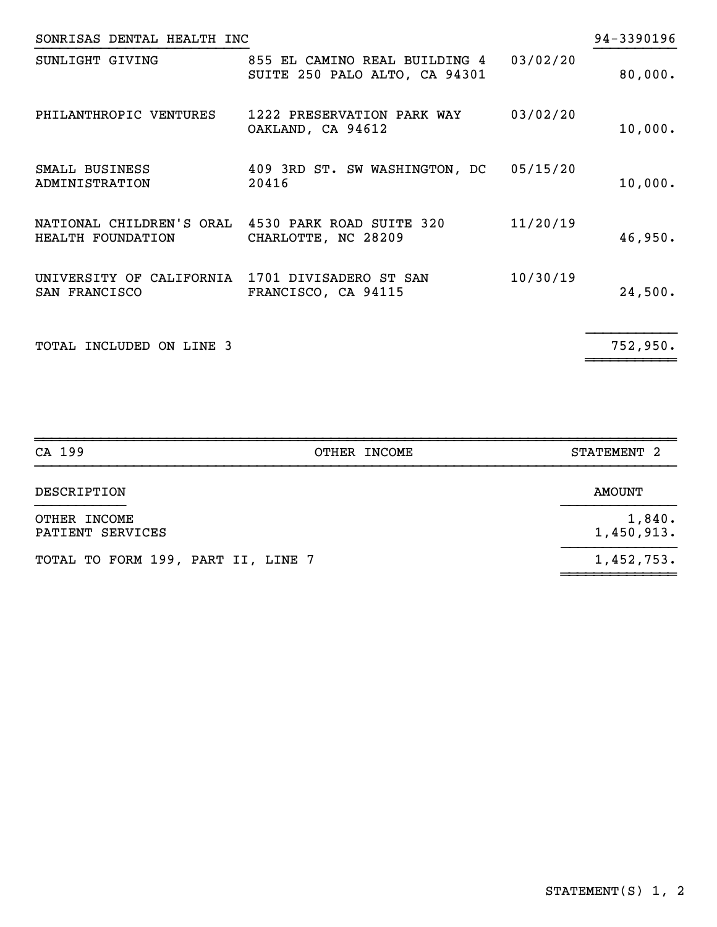| SONRISAS DENTAL HEALTH INC                                             |                                                                |          | 94-3390196 |
|------------------------------------------------------------------------|----------------------------------------------------------------|----------|------------|
| SUNLIGHT GIVING                                                        | 855 EL CAMINO REAL BUILDING 4<br>SUITE 250 PALO ALTO, CA 94301 | 03/02/20 | 80,000.    |
| PHILANTHROPIC VENTURES                                                 | 1222 PRESERVATION PARK WAY<br>OAKLAND, CA 94612                | 03/02/20 | 10,000.    |
| SMALL BUSINESS<br>ADMINISTRATION                                       | 409 3RD ST. SW WASHINGTON, DC<br>20416                         | 05/15/20 | 10,000.    |
| NATIONAL CHILDREN'S ORAL 4530 PARK ROAD SUITE 320<br>HEALTH FOUNDATION | CHARLOTTE, NC 28209                                            | 11/20/19 | 46,950.    |
| UNIVERSITY OF CALIFORNIA 1701 DIVISADERO ST SAN<br>SAN FRANCISCO       | FRANCISCO, CA 94115                                            | 10/30/19 | 24,500.    |
| TOTAL INCLUDED ON LINE 3                                               |                                                                |          | 752,950.   |

| CA 199                             | OTHER INCOME | STATEMENT <sub>2</sub> |
|------------------------------------|--------------|------------------------|
| DESCRIPTION                        |              | <b>AMOUNT</b>          |
| OTHER INCOME<br>PATIENT SERVICES   |              | 1,840.<br>1,450,913.   |
| TOTAL TO FORM 199, PART II, LINE 7 |              | 1,452,753.             |
|                                    |              |                        |

~~~~~~~~~~~~~~~~~~~~~~~~~~~~~~~~~~~~~~~~~~~~~~~~~~~~~~~~~~~~~~~~~~~~~~~~~~~~~~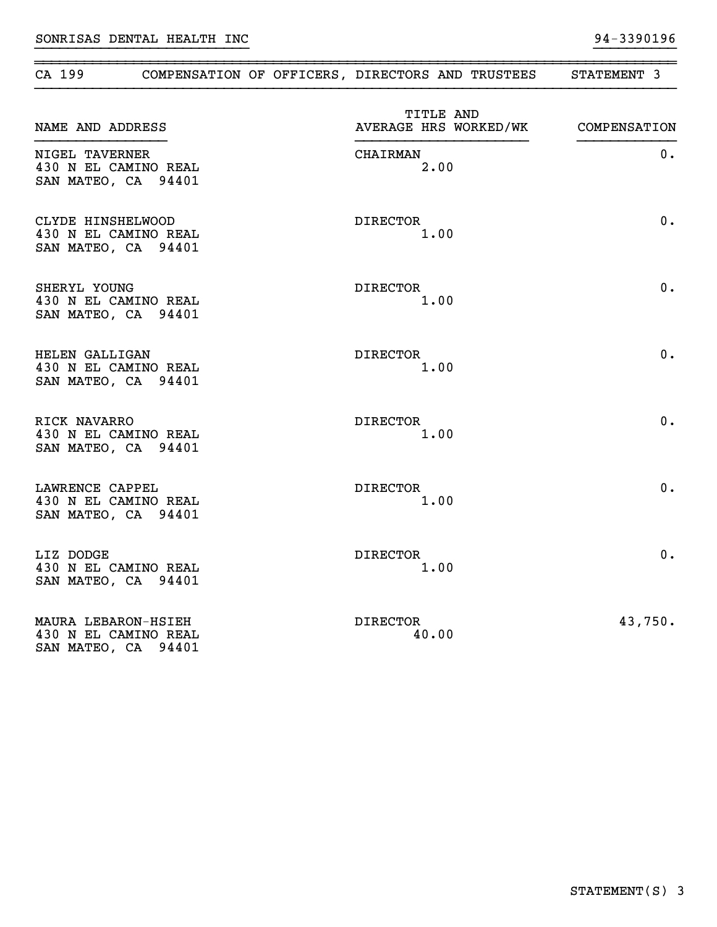| CA 199                                                             | COMPENSATION OF OFFICERS, DIRECTORS AND TRUSTEES | STATEMENT 3  |
|--------------------------------------------------------------------|--------------------------------------------------|--------------|
| NAME AND ADDRESS                                                   | TITLE AND<br>AVERAGE HRS WORKED/WK               | COMPENSATION |
| NIGEL TAVERNER<br>430 N EL CAMINO REAL<br>SAN MATEO, CA 94401      | <b>CHAIRMAN</b><br>2.00                          | $0$ .        |
| CLYDE HINSHELWOOD<br>430 N EL CAMINO REAL<br>SAN MATEO, CA 94401   | <b>DIRECTOR</b><br>1.00                          | 0.           |
| SHERYL YOUNG<br>430 N EL CAMINO REAL<br>SAN MATEO, CA 94401        | DIRECTOR<br>1.00                                 | 0.           |
| HELEN GALLIGAN<br>430 N EL CAMINO REAL<br>SAN MATEO, CA 94401      | <b>DIRECTOR</b><br>1.00                          | 0.           |
| RICK NAVARRO<br>430 N EL CAMINO REAL<br>SAN MATEO, CA 94401        | <b>DIRECTOR</b><br>1.00                          | 0.           |
| LAWRENCE CAPPEL<br>430 N EL CAMINO REAL<br>SAN MATEO, CA 94401     | <b>DIRECTOR</b><br>1.00                          | 0.           |
| LIZ DODGE<br>430 N EL CAMINO REAL<br>SAN MATEO, CA 94401           | DIRECTOR<br>1.00                                 | 0.           |
| MAURA LEBARON-HSIEH<br>430 N EL CAMINO REAL<br>SAN MATEO, CA 94401 | DIRECTOR<br>40.00                                | 43,750.      |

}}}}}}}}}}}}}}}}}}}}}}}}}} }}}}}}}}}}

~~~~~~~~~~~~~~~~~~~~~~~~~~~~~~~~~~~~~~~~~~~~~~~~~~~~~~~~~~~~~~~~~~~~~~~~~~~~~~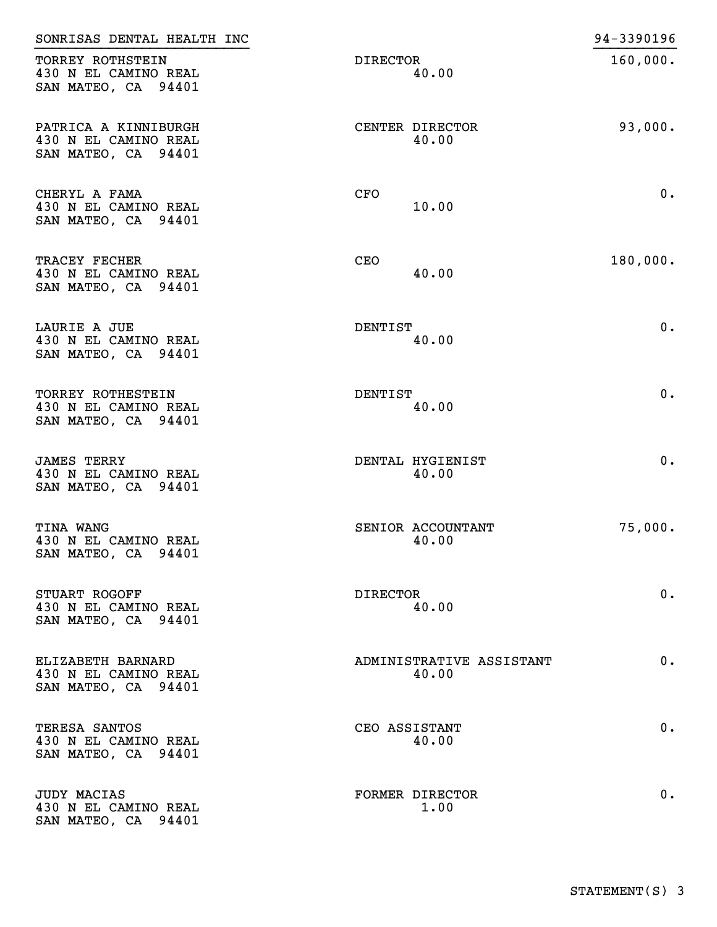| SONRISAS DENTAL HEALTH INC                                          |                                   | 94-3390196 |
|---------------------------------------------------------------------|-----------------------------------|------------|
| TORREY ROTHSTEIN<br>430 N EL CAMINO REAL<br>SAN MATEO, CA 94401     | DIRECTOR<br>40.00                 | 160,000.   |
| PATRICA A KINNIBURGH<br>430 N EL CAMINO REAL<br>SAN MATEO, CA 94401 | CENTER DIRECTOR<br>40.00          | 93,000.    |
| CHERYL A FAMA<br>430 N EL CAMINO REAL<br>SAN MATEO, CA 94401        | <b>CFO</b><br>10.00               | 0.         |
| TRACEY FECHER<br>430 N EL CAMINO REAL<br>SAN MATEO, CA 94401        | <b>CEO</b><br>40.00               | 180,000.   |
| LAURIE A JUE<br>430 N EL CAMINO REAL<br>SAN MATEO, CA 94401         | <b>DENTIST</b><br>40.00           | 0.         |
| TORREY ROTHESTEIN<br>430 N EL CAMINO REAL<br>SAN MATEO, CA 94401    | DENTIST<br>40.00                  | 0.         |
| <b>JAMES TERRY</b><br>430 N EL CAMINO REAL<br>SAN MATEO, CA 94401   | DENTAL HYGIENIST<br>40.00         | 0.         |
| <b>TINA WANG</b><br>430 N EL CAMINO REAL<br>SAN MATEO, CA 94401     | SENIOR ACCOUNTANT<br>40.00        | 75,000.    |
| STUART ROGOFF<br>430 N EL CAMINO REAL<br>SAN MATEO, CA 94401        | DIRECTOR<br>40.00                 | 0.         |
| ELIZABETH BARNARD<br>430 N EL CAMINO REAL<br>SAN MATEO, CA 94401    | ADMINISTRATIVE ASSISTANT<br>40.00 | $0$ .      |
| TERESA SANTOS<br>430 N EL CAMINO REAL<br>SAN MATEO, CA 94401        | CEO ASSISTANT<br>40.00            | $0$ .      |
| <b>JUDY MACIAS</b><br>430 N EL CAMINO REAL<br>SAN MATEO, CA 94401   | FORMER DIRECTOR<br>1.00           | $0$ .      |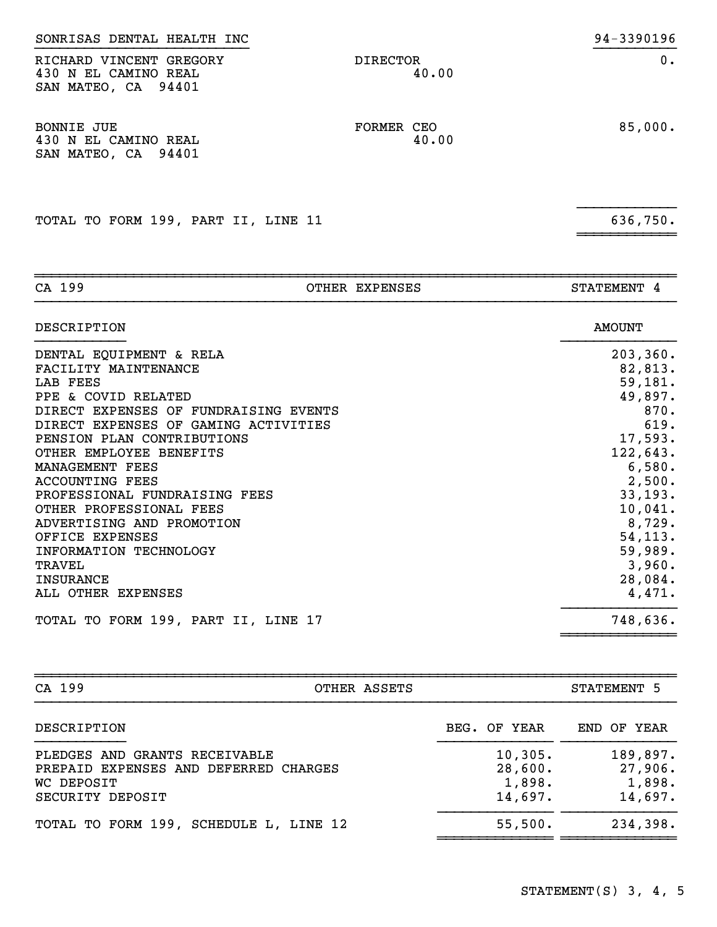| SAN MATEO, CA 94401                                              |                     |         |
|------------------------------------------------------------------|---------------------|---------|
| <b>BONNIE JUE</b><br>430 N EL CAMINO REAL<br>SAN MATEO, CA 94401 | FORMER CEO<br>40.00 | 85,000. |

}}}}}}}}}}}}

~~~~~~~~~~~~

}}}}}}}}}}}}}}}}}}}}}}}}}} }}}}}}}}}} SONRISAS DENTAL HEALTH INC 30 and 200 and 200 and 30 and 3390196 RICHARD VINCENT GREGORY DIRECTOR DIRECTOR 0.

TOTAL TO FORM 199, PART II, LINE 11 636,750.

430 N EL CAMINO REAL 40.00

| CA 199                                | OTHER EXPENSES | STATEMENT 4   |
|---------------------------------------|----------------|---------------|
| DESCRIPTION                           |                | <b>AMOUNT</b> |
| DENTAL EQUIPMENT & RELA               |                | 203, 360.     |
| FACILITY MAINTENANCE                  |                | 82,813.       |
| LAB FEES                              |                | 59,181.       |
| PPE & COVID RELATED                   |                | 49,897.       |
| DIRECT EXPENSES OF FUNDRAISING EVENTS |                | 870.          |
| DIRECT EXPENSES OF GAMING ACTIVITIES  |                | 619.          |
| PENSION PLAN CONTRIBUTIONS            |                | 17,593.       |
| OTHER EMPLOYEE BENEFITS               |                | 122,643.      |
| MANAGEMENT FEES                       |                | 6,580.        |
| <b>ACCOUNTING FEES</b>                |                | 2,500.        |
| PROFESSIONAL FUNDRAISING FEES         |                | 33, 193.      |
| OTHER PROFESSIONAL FEES               |                | 10,041.       |
| ADVERTISING AND PROMOTION             |                | 8,729.        |
| OFFICE EXPENSES                       |                | 54,113.       |
| INFORMATION TECHNOLOGY                |                | 59,989.       |
| TRAVEL                                |                | 3,960.        |
| <b>INSURANCE</b>                      |                | 28,084.       |
| ALL OTHER EXPENSES                    |                | 4,471.        |
| TOTAL TO FORM 199, PART II, LINE 17   |                | 748,636.      |
|                                       |                |               |

| CA 199<br>OTHER ASSETS                                                                                   |                                         | STATEMENT 5                              |  |  |
|----------------------------------------------------------------------------------------------------------|-----------------------------------------|------------------------------------------|--|--|
| DESCRIPTION                                                                                              | BEG. OF YEAR                            | END OF YEAR                              |  |  |
| PLEDGES AND GRANTS RECEIVABLE<br>PREPAID EXPENSES AND DEFERRED CHARGES<br>WC DEPOSIT<br>SECURITY DEPOSIT | 10,305.<br>28,600.<br>1,898.<br>14,697. | 189,897.<br>27,906.<br>1,898.<br>14,697. |  |  |
| TOTAL TO FORM 199, SCHEDULE L, LINE 12                                                                   | 55,500.                                 | 234,398.                                 |  |  |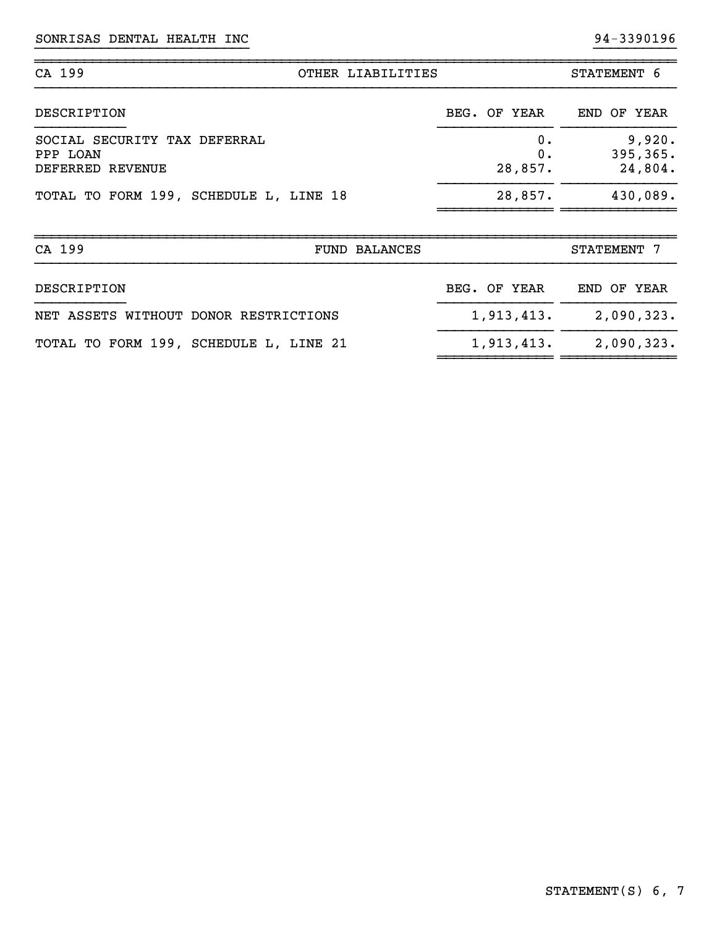| CA 199<br>OTHER LIABILITIES                                  |  |              |  |                     | STATEMENT 6 |  |                                |  |
|--------------------------------------------------------------|--|--------------|--|---------------------|-------------|--|--------------------------------|--|
| DESCRIPTION                                                  |  | BEG. OF YEAR |  |                     |             |  | END OF YEAR                    |  |
| SOCIAL SECURITY TAX DEFERRAL<br>PPP LOAN<br>DEFERRED REVENUE |  |              |  | 0.<br>0.<br>28,857. |             |  | 9,920.<br>395, 365.<br>24,804. |  |
| TOTAL TO FORM 199, SCHEDULE L, LINE 18                       |  |              |  | 28,857.             |             |  | 430,089.                       |  |
|                                                              |  |              |  |                     |             |  |                                |  |

}}}}}}}}}}}}}}}}}}}}}}}}}} }}}}}}}}}}

~~~~~~~~~~~~~~~~~~~~~~~~~~~~~~~~~~~~~~~~~~~~~~~~~~~~~~~~~~~~~~~~~~~~~~~~~~~~~~

| CA 199                                 | <b>FUND BALANCES</b> | STATEMENT 7 |  |  |  |
|----------------------------------------|----------------------|-------------|--|--|--|
| DESCRIPTION                            | BEG. OF YEAR         | END OF YEAR |  |  |  |
| NET ASSETS WITHOUT DONOR RESTRICTIONS  | 1,913,413.           | 2,090,323.  |  |  |  |
| TOTAL TO FORM 199, SCHEDULE L, LINE 21 | 1,913,413.           | 2,090,323.  |  |  |  |

~~~~~~~~~~~~~~ ~~~~~~~~~~~~~~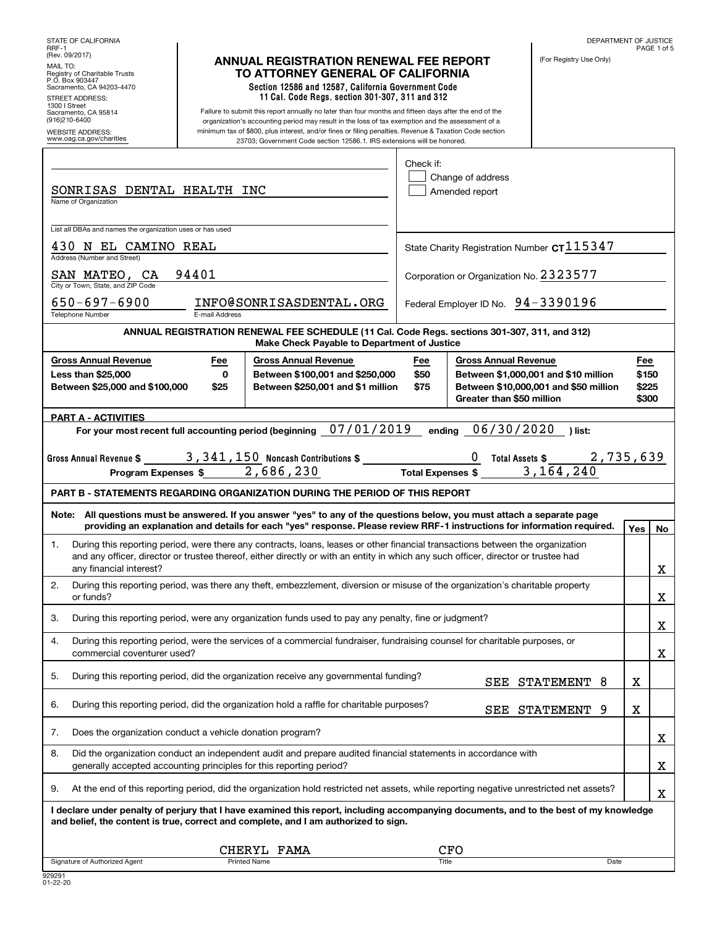| STATE OF CALIFORNIA<br>RRF-1                                                                                                   |                            |                                                                                                                                                                                                                                                                                                                                                                                                  |                     |                                                          | DEPARTMENT OF JUSTICE                                                         |                                | PAGE 1 of 5 |
|--------------------------------------------------------------------------------------------------------------------------------|----------------------------|--------------------------------------------------------------------------------------------------------------------------------------------------------------------------------------------------------------------------------------------------------------------------------------------------------------------------------------------------------------------------------------------------|---------------------|----------------------------------------------------------|-------------------------------------------------------------------------------|--------------------------------|-------------|
| (Rev. 09/2017)<br>MAIL TO:<br>Registry of Charitable Trusts<br>P.O. Box 903447<br>Sacramento, CA 94203-4470<br>STREET ADDRESS: |                            | <b>ANNUAL REGISTRATION RENEWAL FEE REPORT</b><br>TO ATTORNEY GENERAL OF CALIFORNIA<br>Section 12586 and 12587, California Government Code<br>11 Cal. Code Regs. section 301-307, 311 and 312                                                                                                                                                                                                     |                     |                                                          | (For Registry Use Only)                                                       |                                |             |
| 1300   Street<br>Sacramento, CA 95814<br>(916)210-6400<br><b>WEBSITE ADDRESS:</b><br>www.oag.ca.gov/charities                  |                            | Failure to submit this report annually no later than four months and fifteen days after the end of the<br>organization's accounting period may result in the loss of tax exemption and the assessment of a<br>minimum tax of \$800, plus interest, and/or fines or filing penalties. Revenue & Taxation Code section<br>23703; Government Code section 12586.1. IRS extensions will be honored.  |                     |                                                          |                                                                               |                                |             |
| SONRISAS DENTAL HEALTH INC<br>Name of Organization                                                                             |                            |                                                                                                                                                                                                                                                                                                                                                                                                  | Check if:           | Change of address<br>Amended report                      |                                                                               |                                |             |
| List all DBAs and names the organization uses or has used                                                                      |                            |                                                                                                                                                                                                                                                                                                                                                                                                  |                     |                                                          |                                                                               |                                |             |
| 430 N EL CAMINO REAL<br>Address (Number and Street)                                                                            |                            |                                                                                                                                                                                                                                                                                                                                                                                                  |                     | State Charity Registration Number CT 115347              |                                                                               |                                |             |
| SAN MATEO, CA<br>City or Town, State, and ZIP Code                                                                             | 94401                      |                                                                                                                                                                                                                                                                                                                                                                                                  |                     | Corporation or Organization No. 2323577                  |                                                                               |                                |             |
| $650 - 697 - 6900$<br><b>Telephone Number</b>                                                                                  | E-mail Address             | INFO@SONRISASDENTAL.ORG                                                                                                                                                                                                                                                                                                                                                                          |                     | Federal Employer ID No. 94-3390196                       |                                                                               |                                |             |
|                                                                                                                                |                            | ANNUAL REGISTRATION RENEWAL FEE SCHEDULE (11 Cal. Code Regs. sections 301-307, 311, and 312)<br>Make Check Payable to Department of Justice                                                                                                                                                                                                                                                      |                     |                                                          |                                                                               |                                |             |
| <b>Gross Annual Revenue</b><br><b>Less than \$25,000</b><br>Between \$25,000 and \$100,000                                     | Fee<br>$\mathbf 0$<br>\$25 | <b>Gross Annual Revenue</b><br>Between \$100,001 and \$250,000<br>Between \$250,001 and \$1 million                                                                                                                                                                                                                                                                                              | Fee<br>\$50<br>\$75 | <b>Gross Annual Revenue</b><br>Greater than \$50 million | Between \$1,000,001 and \$10 million<br>Between \$10,000,001 and \$50 million | Fee<br>\$150<br>\$225<br>\$300 |             |
| <b>PART A - ACTIVITIES</b>                                                                                                     |                            |                                                                                                                                                                                                                                                                                                                                                                                                  |                     |                                                          |                                                                               |                                |             |
| Gross Annual Revenue \$ $\frac{3,341,150}{\sqrt{3}}$ Noncash Contributions \$ $\frac{2}{\sqrt{3}}$                             |                            | For your most recent full accounting period (beginning 07/01/2019                                                                                                                                                                                                                                                                                                                                |                     | ending 06/30/2020                                        | ) list:                                                                       |                                |             |
|                                                                                                                                |                            |                                                                                                                                                                                                                                                                                                                                                                                                  |                     |                                                          |                                                                               |                                |             |
| <b>Program Expenses \$</b>                                                                                                     |                            | <b>PART B - STATEMENTS REGARDING ORGANIZATION DURING THE PERIOD OF THIS REPORT</b>                                                                                                                                                                                                                                                                                                               |                     |                                                          |                                                                               |                                |             |
|                                                                                                                                |                            | Note: All questions must be answered. If you answer "yes" to any of the questions below, you must attach a separate page                                                                                                                                                                                                                                                                         |                     |                                                          |                                                                               |                                |             |
| 1.<br>any financial interest?                                                                                                  |                            | providing an explanation and details for each "yes" response. Please review RRF-1 instructions for information required.<br>During this reporting period, were there any contracts, loans, leases or other financial transactions between the organization<br>and any officer, director or trustee thereof, either directly or with an entity in which any such officer, director or trustee had |                     |                                                          |                                                                               | Yes                            | No<br>X     |
| 2.                                                                                                                             |                            | During this reporting period, was there any theft, embezzlement, diversion or misuse of the organization's charitable property                                                                                                                                                                                                                                                                   |                     |                                                          |                                                                               |                                |             |
| or funds?<br>З.                                                                                                                |                            | During this reporting period, were any organization funds used to pay any penalty, fine or judgment?                                                                                                                                                                                                                                                                                             |                     |                                                          |                                                                               |                                | X<br>X      |
| 4.<br>commercial coventurer used?                                                                                              |                            | During this reporting period, were the services of a commercial fundraiser, fundraising counsel for charitable purposes, or                                                                                                                                                                                                                                                                      |                     |                                                          |                                                                               |                                | X           |
| 5.                                                                                                                             |                            | During this reporting period, did the organization receive any governmental funding?                                                                                                                                                                                                                                                                                                             |                     |                                                          | SEE STATEMENT 8                                                               | X                              |             |
| 6.                                                                                                                             |                            | During this reporting period, did the organization hold a raffle for charitable purposes?                                                                                                                                                                                                                                                                                                        |                     |                                                          | SEE STATEMENT<br>9                                                            | X                              |             |
| 7.<br>Does the organization conduct a vehicle donation program?                                                                |                            |                                                                                                                                                                                                                                                                                                                                                                                                  |                     |                                                          |                                                                               |                                | х           |
| 8.<br>generally accepted accounting principles for this reporting period?                                                      |                            | Did the organization conduct an independent audit and prepare audited financial statements in accordance with                                                                                                                                                                                                                                                                                    |                     |                                                          |                                                                               |                                | х           |
| 9.                                                                                                                             |                            | At the end of this reporting period, did the organization hold restricted net assets, while reporting negative unrestricted net assets?                                                                                                                                                                                                                                                          |                     |                                                          |                                                                               |                                |             |
|                                                                                                                                |                            | I declare under penalty of perjury that I have examined this report, including accompanying documents, and to the best of my knowledge<br>and belief, the content is true, correct and complete, and I am authorized to sign.                                                                                                                                                                    |                     |                                                          |                                                                               |                                | X           |
| Signature of Authorized Agent                                                                                                  |                            | CHERYL FAMA<br><b>Printed Name</b>                                                                                                                                                                                                                                                                                                                                                               |                     | CFO<br><b>Title</b>                                      | Date                                                                          |                                |             |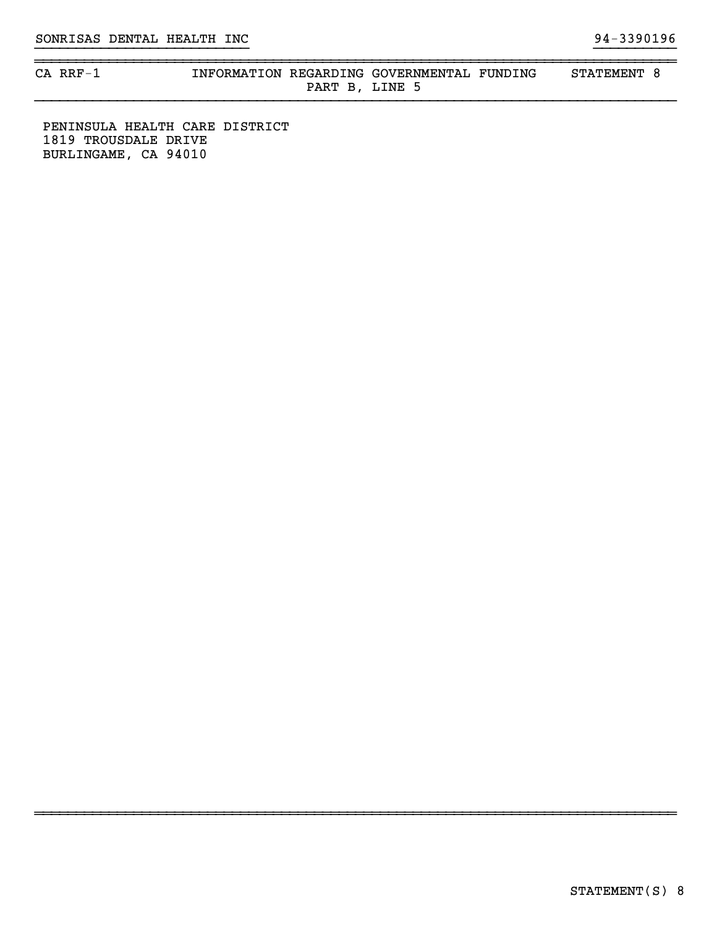~~~~~~~~~~~~~~~~~~~~~~~~~~~~~~~~~~~~~~~~~~~~~~~~~~~~~~~~~~~~~~~~~~~~~~~~~~~~~~

#### CA RRF-1 **INFORMATION REGARDING GOVERNMENTAL FUNDING** STATEMENT 8 PART B, LINE 5

}}}}}}}}}}}}}}}}}}}}}}}}}} }}}}}}}}}}

~~~~~~~~~~~~~~~~~~~~~~~~~~~~~~~~~~~~~~~~~~~~~~~~~~~~~~~~~~~~~~~~~~~~~~~~~~~~~~

PENINSULA HEALTH CARE DISTRICT 1819 TROUSDALE DRIVE BURLINGAME, CA 94010